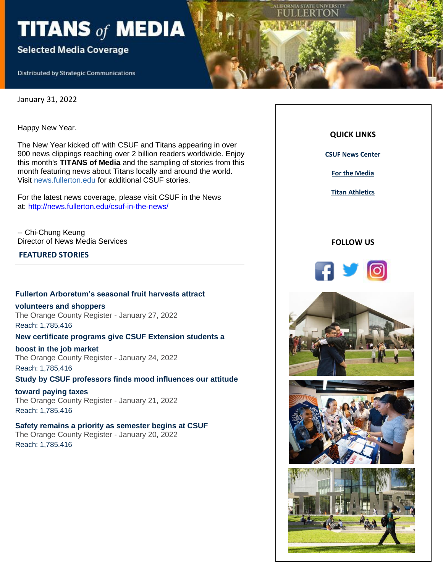# TITANS of MEDIA

# **Selected Media Coverage**

**Distributed by Strategic Communications** 

January 31, 2022

Happy New Year.

The New Year kicked off with CSUF and Titans appearing in over 900 news clippings reaching over 2 billion readers worldwide. Enjoy this month's **TITANS of Media** and the sampling of stories from this month featuring news about Titans locally and around the world. Visit news.fullerton.edu for additional CSUF stories.

For the latest news coverage, please visit CSUF in the News at: [http://news.fullerton.edu/csuf-in-the-news/](https://nam10.safelinks.protection.outlook.com/?url=https%3A%2F%2Furldefense.com%2Fv3%2F__http%3A%2F%2Flink.newsletter.meltwater.com%2Fls%2Fclick%3Fupn%3Dr55B7hZ6gkaxjSNt9aQtyAYyKokcYLCdqxq7u3ZR4ebd9eIg-2FILSYEfmkeynvOD5q8JHLE4XfnW4x-2F9-2BCJi1eA-3D-3DWS9c_ixE6zOEep6yKiBB1OGxpdhnot0zTaRBPZzdS2ZIa75kRTS-2BqzWSgnT7HtKDjfh5Jpr3-2BLaxJ-2BIqOvB-2Bz-2FISD0SHcq8ZhfIeW6tctOCbX2TauKwEmeewdHPw98u6PtEcvZgG9GbWS5dLJcq1r6zXv-2BVTfYxUnHNha1SSs6rO-2F8Vh6b31XmXFDV6aokXvxcYThstQl-2FGoqIZh7akgrwYinOxPBADeq7mgRdGdn9EHLQTEqQEFo0h25E-2FAqVAxSliXa8Ec7RoAIa8YSIeEGUIR-2BC3yj7wo3mrStzNZaIuTnfPN-2FQbs9VJAoBEsu2H2-2BgVPEOehAXolKO6KoCvKwJaSNoTwFVZFCflcNjjE8bo7-2FaD-2Fa4-2FeQyyl03RF2MjDjzWCdWFxK4GxxzFRPu8t3ufj1Sg-3D-3D__%3B!!GF3VTAzAMGBM8A!jQUWaiWD9Q5_MTS1DxHBVtW2je8BlDxTU8ULM0QoH9-HcH08N2OWPqnQLQDYdEw6S0dMweAvah8%24&data=04%7C01%7Ckatiekenn33%40csu.fullerton.edu%7Cbe2250b1fc6c4a1af85f08d9e4f37e01%7C82c0b871335f4b5c9ed0a4a23565a79b%7C0%7C0%7C637792556751968311%7CUnknown%7CTWFpbGZsb3d8eyJWIjoiMC4wLjAwMDAiLCJQIjoiV2luMzIiLCJBTiI6Ik1haWwiLCJXVCI6Mn0%3D%7C3000&sdata=2uvxE3q3j4xMP1XYyAMaD6YZkT%2FxBSpDKZp0MtbBPAE%3D&reserved=0)

-- Chi-Chung Keung Director of News Media Services

# **FEATURED STORIES**

#### **[Fullerton Arboretum's seasonal fruit harvests attract](https://nam10.safelinks.protection.outlook.com/?url=https%3A%2F%2Furldefense.com%2Fv3%2F__http%3A%2F%2Flink.newsletter.meltwater.com%2Fls%2Fclick%3Fupn%3Db8QJpFrpw1kZtxpR8rqwdcGQV78DldtL49XDppq7q3rL-2BiZDCiTAKDcVI3NoRHu4hroVazE3DcP4z5qfMCDzdQts-2FTOXIHgn77wx8xyd6ZMIZ8lR4AetXOyKlcAE5wCGv-2FKQUNjHkkUpeG7vR1mZGexGs0umBQUbYhApicPjdhnXpFGjsINZhisncbGLeifZur-2BKzR4XlGIJvS-2B4X1-2FC0c8fmzT3JA-2B9gWLFosq4vspiFvd31yRGP1gm2i-2FHWxc-2BYNKxFq8Qd4rWHF4NxqO2ZnQYztEZBCPleR7qHCQvAsizth9oL-2FJN5buG6Lb5FTDnGeB6qGnSZwuxc6pGPnuemVxI5YOgNhpr1neayk7TF-2FgWmP9QIP9U8iWBNGSwmbJg9wWIy203jA6OlEC8NMfJk8fj1y-2FcRZN61gD-2BEU7xggPcce91T94z-2F7xjcWBH7Lve8tze6Q2VkIQJWz2JD-2F-2B-2FAZRSTUyOcZdfqJtZXxYYozWTMcZFEC-2Fc-2BCKeKzyMZjKyOsC7cGRx9Y0D8NkrGV6-2B7SGJx7uRwKGW0lTC4xSt3p6vhOcYn-2FTMbqfrv2LTlU4rrMMLI6IBZdztI32azduiYbp40gGRmkJkOC0uE4Rc-2BCY64Kk-2BhnYlOhaX2Vy-2FKurmc4DH2HqCv-2BTX5O5HgXFsHqcBzPpKXwjhgA-2FbSdL1R-2Fzpx5PLvRIETU9aNVbtxlzXHLjgIGbpg1ISG8qP-2BdwbKgGi04-2F2oMl6DDn4Be40wj1XKiqWjSBHpq7gsTBY-2FX9isafeEGd-2F4VOPzC89xoVzDQ-3D-3DWBTk_ixE6zOEep6yKiBB1OGxpdhnot0zTaRBPZzdS2ZIa75kRTS-2BqzWSgnT7HtKDjfh5Jpr3-2BLaxJ-2BIqOvB-2Bz-2FISD0SHcq8ZhfIeW6tctOCbX2TauKwEmeewdHPw98u6PtEcvZgG9GbWS5dLJcq1r6zXv-2BVTfYxUnHNha1SSs6rO-2F8Vh6b31XmXFDV6aokXvxcYThstQl-2FGoqIZh7akgrwYinO17yJ6unsjsmZKvYnTI4g3HyW3vaMqgn33OZcuqbzgrlBZfFg3zgRU2hbCU8d-2B7i8NdaRGnRT44j9g4MYYMN-2BGSmJzeG9CzU-2BszBImvBWst7VmVC5WXe9MIp0OTxc5wKCptzn-2FUfRBi20RIEscFvxIbUJvIjdKeorYAW-2F5wIaOQSyT52LHPGK4y5fREJe3DJEg-3D-3D__%3B!!GF3VTAzAMGBM8A!jQUWaiWD9Q5_MTS1DxHBVtW2je8BlDxTU8ULM0QoH9-HcH08N2OWPqnQLQDYdEw6S0dM1ZXyorw%24&data=04%7C01%7Ckatiekenn33%40csu.fullerton.edu%7Cbe2250b1fc6c4a1af85f08d9e4f37e01%7C82c0b871335f4b5c9ed0a4a23565a79b%7C0%7C0%7C637792556752124552%7CUnknown%7CTWFpbGZsb3d8eyJWIjoiMC4wLjAwMDAiLCJQIjoiV2luMzIiLCJBTiI6Ik1haWwiLCJXVCI6Mn0%3D%7C3000&sdata=gqbbUYBQhL2b3H02fVPu8d3r198ud8pjTqrztaX4PFg%3D&reserved=0)**

**[volunteers and shoppers](https://nam10.safelinks.protection.outlook.com/?url=https%3A%2F%2Furldefense.com%2Fv3%2F__http%3A%2F%2Flink.newsletter.meltwater.com%2Fls%2Fclick%3Fupn%3Db8QJpFrpw1kZtxpR8rqwdcGQV78DldtL49XDppq7q3rL-2BiZDCiTAKDcVI3NoRHu4hroVazE3DcP4z5qfMCDzdQts-2FTOXIHgn77wx8xyd6ZMIZ8lR4AetXOyKlcAE5wCGv-2FKQUNjHkkUpeG7vR1mZGexGs0umBQUbYhApicPjdhnXpFGjsINZhisncbGLeifZur-2BKzR4XlGIJvS-2B4X1-2FC0c8fmzT3JA-2B9gWLFosq4vspiFvd31yRGP1gm2i-2FHWxc-2BYNKxFq8Qd4rWHF4NxqO2ZnQYztEZBCPleR7qHCQvAsizth9oL-2FJN5buG6Lb5FTDnGeB6qGnSZwuxc6pGPnuemVxI5YOgNhpr1neayk7TF-2FgWmP9QIP9U8iWBNGSwmbJg9wWIy203jA6OlEC8NMfJk8fj1y-2FcRZN61gD-2BEU7xggPcce91T94z-2F7xjcWBH7Lve8tze6Q2VkIQJWz2JD-2F-2B-2FAZRSTUyOcZdfqJtZXxYYozWTMcZFEC-2Fc-2BCKeKzyMZjKyOsC7cGRx9Y0D8NkrGV6-2B7SGJx7uRwKGW0lTC4xSt3p6vhOcYn-2FTMbqfrv2LTlU4rrMMLI6IBZdztI32azduiYbp40gGRmkJkOC0uE4Rc-2BCY64Kk-2BhnYlOhaX2Vy-2FKurmc4DH2HqCv-2BTX5O5HgXFsHqcBzPpKXwjhgA-2FbSdL1R-2Fzpx5PLvRIETU9aNVbtxlzXHLjgIGbpg1ISG8qP-2BdwbKgGi04-2F2oMl6DDn4Be40wj1XKiqWjSBHpq7gsTBY-2FX9isafeEGd-2F4VOPzC89xoVzDQ-3D-3DWBTk_ixE6zOEep6yKiBB1OGxpdhnot0zTaRBPZzdS2ZIa75kRTS-2BqzWSgnT7HtKDjfh5Jpr3-2BLaxJ-2BIqOvB-2Bz-2FISD0SHcq8ZhfIeW6tctOCbX2TauKwEmeewdHPw98u6PtEcvZgG9GbWS5dLJcq1r6zXv-2BVTfYxUnHNha1SSs6rO-2F8Vh6b31XmXFDV6aokXvxcYThstQl-2FGoqIZh7akgrwYinO17yJ6unsjsmZKvYnTI4g3HyW3vaMqgn33OZcuqbzgrlBZfFg3zgRU2hbCU8d-2B7i8NdaRGnRT44j9g4MYYMN-2BGSmJzeG9CzU-2BszBImvBWst7VmVC5WXe9MIp0OTxc5wKCptzn-2FUfRBi20RIEscFvxIbUJvIjdKeorYAW-2F5wIaOQSyT52LHPGK4y5fREJe3DJEg-3D-3D__%3B!!GF3VTAzAMGBM8A!jQUWaiWD9Q5_MTS1DxHBVtW2je8BlDxTU8ULM0QoH9-HcH08N2OWPqnQLQDYdEw6S0dM1ZXyorw%24&data=04%7C01%7Ckatiekenn33%40csu.fullerton.edu%7Cbe2250b1fc6c4a1af85f08d9e4f37e01%7C82c0b871335f4b5c9ed0a4a23565a79b%7C0%7C0%7C637792556752124552%7CUnknown%7CTWFpbGZsb3d8eyJWIjoiMC4wLjAwMDAiLCJQIjoiV2luMzIiLCJBTiI6Ik1haWwiLCJXVCI6Mn0%3D%7C3000&sdata=gqbbUYBQhL2b3H02fVPu8d3r198ud8pjTqrztaX4PFg%3D&reserved=0)**

The Orange County Register - January 27, 2022 Reach: 1,785,416

#### **[New certificate programs give CSUF Extension students a](https://nam10.safelinks.protection.outlook.com/?url=https%3A%2F%2Furldefense.com%2Fv3%2F__http%3A%2F%2Flink.newsletter.meltwater.com%2Fls%2Fclick%3Fupn%3Db8QJpFrpw1kZtxpR8rqwdcGQV78DldtL49XDppq7q3rL-2BiZDCiTAKDcVI3NoRHu4hroVazE3DcP4z5qfMCDzdQts-2FTOXIHgn77wx8xyd6ZMIZ8lR4AetXOyKlcAE5wCGsfkO7FEoKoaq-2FTEhNRWpjpaeO1CI3pCLyveAm4a005My5hHcOKGu2Mr5-2BLY1qTZMWPGWa3XoQ2CsD7P9RJ-2FEFWzPUZtHKSZwnHj9bXSdfleICBP7ymPQ6ctkvN-2FAs3Q9OWIGorZ2rEu-2BX-2FuhZsui2qhz9aT1wfxNLS2FdKy2EV4gM1eABXw-2Bkgk083FxDlQfmyVIB2aPeNrifi8TKGT0mC2ZmadwirWj8qVCb-2FuGTehSGDEcwPiz6Ozdr-2BjvJ4um0Y3VyUr7x3-2BpzbUv8xC392sqapTERakuANHcdrcCiD7l7Ho66mwNoYURZCvi2QBR5ENf2q5fErLq-2FkIenQo761SSg5rQEquD3PTbaNRAFjBwYQ5j4uxS0xWAMy150LaRF9goARADByM0gEGTyI8AtplXya8cj8yguH0fPLGH85sFg2KQ-2BmF-2FnfuFfZ1vNCW-2BWo4ykzR-2BU1obU6YdIAiltTDX-2F8F7-2FccUcasmVI44gb6WR8WQjKXAuMaJLsn5hsQ4Qay7g-2FkcqEJ88Puh6ZIncrK9H9Wv-2F5YXKtmz6W27ANLIeB7xoUKD9XHvQa1vrQkmxiPLUQuPETt0xlpzCfVmscnrunCBt1DwpAnG5CMgRiRToOwBhWiFgZYgC9VmKwbHuW00Yakc0ovxBPaqCECWUzqsYyEG3Lf104WI1mn1lCo-3DfWo8_ixE6zOEep6yKiBB1OGxpdhnot0zTaRBPZzdS2ZIa75kRTS-2BqzWSgnT7HtKDjfh5Jpr3-2BLaxJ-2BIqOvB-2Bz-2FISD0SHcq8ZhfIeW6tctOCbX2TauKwEmeewdHPw98u6PtEcvZgG9GbWS5dLJcq1r6zXv-2BVTfYxUnHNha1SSs6rO-2F8Vh6b31XmXFDV6aokXvxcYThstQl-2FGoqIZh7akgrwYinOwnz93KsmofByoYgEjp4eCWG0PTT73DRv0GDYuu4zvieQGArwsF8FjGrBCRKj5yNfT09O-2FHd6wANDm68czCYfJg0lok-2F0hpaPIxKGmi8zEMfSKZwofTbiYv-2BwtVMQDbbBF-2FlOIh9cRKooyhnQh1ktZDlf94zRuBY-2BcwNVgoWJxbjMgdFjAZ-2FODNZlkeLkG-2F4fw-3D-3D__%3B!!GF3VTAzAMGBM8A!jQUWaiWD9Q5_MTS1DxHBVtW2je8BlDxTU8ULM0QoH9-HcH08N2OWPqnQLQDYdEw6S0dMQrrBTfo%24&data=04%7C01%7Ckatiekenn33%40csu.fullerton.edu%7Cbe2250b1fc6c4a1af85f08d9e4f37e01%7C82c0b871335f4b5c9ed0a4a23565a79b%7C0%7C0%7C637792556752124552%7CUnknown%7CTWFpbGZsb3d8eyJWIjoiMC4wLjAwMDAiLCJQIjoiV2luMzIiLCJBTiI6Ik1haWwiLCJXVCI6Mn0%3D%7C3000&sdata=I6gByjOTAIQapCxu%2Bj%2B0Y%2B8YeS8I9j6MCy%2Fy8C0R%2Bn4%3D&reserved=0)**

**[boost in the job market](https://nam10.safelinks.protection.outlook.com/?url=https%3A%2F%2Furldefense.com%2Fv3%2F__http%3A%2F%2Flink.newsletter.meltwater.com%2Fls%2Fclick%3Fupn%3Db8QJpFrpw1kZtxpR8rqwdcGQV78DldtL49XDppq7q3rL-2BiZDCiTAKDcVI3NoRHu4hroVazE3DcP4z5qfMCDzdQts-2FTOXIHgn77wx8xyd6ZMIZ8lR4AetXOyKlcAE5wCGsfkO7FEoKoaq-2FTEhNRWpjpaeO1CI3pCLyveAm4a005My5hHcOKGu2Mr5-2BLY1qTZMWPGWa3XoQ2CsD7P9RJ-2FEFWzPUZtHKSZwnHj9bXSdfleICBP7ymPQ6ctkvN-2FAs3Q9OWIGorZ2rEu-2BX-2FuhZsui2qhz9aT1wfxNLS2FdKy2EV4gM1eABXw-2Bkgk083FxDlQfmyVIB2aPeNrifi8TKGT0mC2ZmadwirWj8qVCb-2FuGTehSGDEcwPiz6Ozdr-2BjvJ4um0Y3VyUr7x3-2BpzbUv8xC392sqapTERakuANHcdrcCiD7l7Ho66mwNoYURZCvi2QBR5ENf2q5fErLq-2FkIenQo761SSg5rQEquD3PTbaNRAFjBwYQ5j4uxS0xWAMy150LaRF9goARADByM0gEGTyI8AtplXya8cj8yguH0fPLGH85sFg2KQ-2BmF-2FnfuFfZ1vNCW-2BWo4ykzR-2BU1obU6YdIAiltTDX-2F8F7-2FccUcasmVI44gb6WR8WQjKXAuMaJLsn5hsQ4Qay7g-2FkcqEJ88Puh6ZIncrK9H9Wv-2F5YXKtmz6W27ANLIeB7xoUKD9XHvQa1vrQkmxiPLUQuPETt0xlpzCfVmscnrunCBt1DwpAnG5CMgRiRToOwBhWiFgZYgC9VmKwbHuW00Yakc0ovxBPaqCECWUzqsYyEG3Lf104WI1mn1lCo-3DfWo8_ixE6zOEep6yKiBB1OGxpdhnot0zTaRBPZzdS2ZIa75kRTS-2BqzWSgnT7HtKDjfh5Jpr3-2BLaxJ-2BIqOvB-2Bz-2FISD0SHcq8ZhfIeW6tctOCbX2TauKwEmeewdHPw98u6PtEcvZgG9GbWS5dLJcq1r6zXv-2BVTfYxUnHNha1SSs6rO-2F8Vh6b31XmXFDV6aokXvxcYThstQl-2FGoqIZh7akgrwYinOwnz93KsmofByoYgEjp4eCWG0PTT73DRv0GDYuu4zvieQGArwsF8FjGrBCRKj5yNfT09O-2FHd6wANDm68czCYfJg0lok-2F0hpaPIxKGmi8zEMfSKZwofTbiYv-2BwtVMQDbbBF-2FlOIh9cRKooyhnQh1ktZDlf94zRuBY-2BcwNVgoWJxbjMgdFjAZ-2FODNZlkeLkG-2F4fw-3D-3D__%3B!!GF3VTAzAMGBM8A!jQUWaiWD9Q5_MTS1DxHBVtW2je8BlDxTU8ULM0QoH9-HcH08N2OWPqnQLQDYdEw6S0dMQrrBTfo%24&data=04%7C01%7Ckatiekenn33%40csu.fullerton.edu%7Cbe2250b1fc6c4a1af85f08d9e4f37e01%7C82c0b871335f4b5c9ed0a4a23565a79b%7C0%7C0%7C637792556752124552%7CUnknown%7CTWFpbGZsb3d8eyJWIjoiMC4wLjAwMDAiLCJQIjoiV2luMzIiLCJBTiI6Ik1haWwiLCJXVCI6Mn0%3D%7C3000&sdata=I6gByjOTAIQapCxu%2Bj%2B0Y%2B8YeS8I9j6MCy%2Fy8C0R%2Bn4%3D&reserved=0)** The Orange County Register - January 24, 2022 Reach: 1,785,416

# **[Study by CSUF professors finds mood influences our attitude](https://nam10.safelinks.protection.outlook.com/?url=https%3A%2F%2Furldefense.com%2Fv3%2F__http%3A%2F%2Flink.newsletter.meltwater.com%2Fls%2Fclick%3Fupn%3Db8QJpFrpw1kZtxpR8rqwdcGQV78DldtL49XDppq7q3rL-2BiZDCiTAKDcVI3NoRHu4hroVazE3DcP4z5qfMCDzdQts-2FTOXIHgn77wx8xyd6ZMIZ8lR4AetXOyKlcAE5wCGl7UpcK71zN5Jc4N9eIVxGa0HMMBbcM6HunDNHqcXrizvH4HIOJo3gCjrw-2BW5VLnK3QhL-2BFm5W4ak7pmfMiZKxMPGbOMrYnW9EsPNSfF-2FBxulFGEijzicDzSva0DIhDc9himgS3mAlqTcvXxNViGSM5M5rNpUI7hazkN3-2BXPrTDuS76ou0ma2UsM38zV4fC3wJklwn7D1xSSrVToBF1yXHACdBP-2FN8Wz7kq3ncxRmlbJuMVjNuz2EuBASQgD0PBgQ8pLG8akmJOhMZKn8FhJ8XQvOA8qSeAizXqEg4AgrKTVET5KSu8OaLpABpD3GxpM5xZEtQjFPL-2BRtu9r2mTC1bIBWqycCZHAEpUD-2FJNOyMJHSZbKGBsrYxPftTVw8-2BuCA8e-2Bty97FbMtUs93sN1wEe2dpO4NO6JVO03KMQ7nAxlxoNfOhHwMSkzILZue3Hp7lhQaIAhYFd4r2I0Sjv-2FbCz-2BGmvVu1jWxiOrJNtPNx-2B5R-2F-2BqLfQ9wHozKDGgzGpG69AT16NkZ7Izj9WAACg4RkfR3-2FbPd-2F18V-2FgVFHSSnapdV4O8XGdAdu-2BRy5ZF3kQCnc36laZPU2ivmK38Ali1S4u8-2FuW30tCz9tMeSss7vjV57rMfW-2BXyHl1Oq-2BSomQLZUPpRaEP4qTSWRHsqRs1nckJtpDtK-2BqXCtP-2FIvKuGMcDLY-3D85fd_ixE6zOEep6yKiBB1OGxpdhnot0zTaRBPZzdS2ZIa75kRTS-2BqzWSgnT7HtKDjfh5Jpr3-2BLaxJ-2BIqOvB-2Bz-2FISD0SHcq8ZhfIeW6tctOCbX2TauKwEmeewdHPw98u6PtEcvZgG9GbWS5dLJcq1r6zXv-2BVTfYxUnHNha1SSs6rO-2F8Vh6b31XmXFDV6aokXvxcYThstQl-2FGoqIZh7akgrwYinO6-2Bz9PPHm7kPU7yYJLdG8IR28bXy90ZgvudA71PF2EfdNsOE0I8pEXCmcaWl6WQe13OhE6tNiT3x1Laf86Q2xPfddTJK-2FCgvG-2B9my0nnyUYtWvzyZIRFy7CyRrbPPoxFUmhyXpVtbfXEkekP9Jiw8TmB5MKFHSDFD8iFa-2BhHiU66UcYdaRYrPYD2u22j0EU0RA-3D-3D__%3B!!GF3VTAzAMGBM8A!jQUWaiWD9Q5_MTS1DxHBVtW2je8BlDxTU8ULM0QoH9-HcH08N2OWPqnQLQDYdEw6S0dMWnWWu9I%24&data=04%7C01%7Ckatiekenn33%40csu.fullerton.edu%7Cbe2250b1fc6c4a1af85f08d9e4f37e01%7C82c0b871335f4b5c9ed0a4a23565a79b%7C0%7C0%7C637792556752124552%7CUnknown%7CTWFpbGZsb3d8eyJWIjoiMC4wLjAwMDAiLCJQIjoiV2luMzIiLCJBTiI6Ik1haWwiLCJXVCI6Mn0%3D%7C3000&sdata=uQom7JtCMQqXlOz9ine4PIzUA2OdpOSBgKo76kARJSk%3D&reserved=0)**

**[toward paying taxes](https://nam10.safelinks.protection.outlook.com/?url=https%3A%2F%2Furldefense.com%2Fv3%2F__http%3A%2F%2Flink.newsletter.meltwater.com%2Fls%2Fclick%3Fupn%3Db8QJpFrpw1kZtxpR8rqwdcGQV78DldtL49XDppq7q3rL-2BiZDCiTAKDcVI3NoRHu4hroVazE3DcP4z5qfMCDzdQts-2FTOXIHgn77wx8xyd6ZMIZ8lR4AetXOyKlcAE5wCGl7UpcK71zN5Jc4N9eIVxGa0HMMBbcM6HunDNHqcXrizvH4HIOJo3gCjrw-2BW5VLnK3QhL-2BFm5W4ak7pmfMiZKxMPGbOMrYnW9EsPNSfF-2FBxulFGEijzicDzSva0DIhDc9himgS3mAlqTcvXxNViGSM5M5rNpUI7hazkN3-2BXPrTDuS76ou0ma2UsM38zV4fC3wJklwn7D1xSSrVToBF1yXHACdBP-2FN8Wz7kq3ncxRmlbJuMVjNuz2EuBASQgD0PBgQ8pLG8akmJOhMZKn8FhJ8XQvOA8qSeAizXqEg4AgrKTVET5KSu8OaLpABpD3GxpM5xZEtQjFPL-2BRtu9r2mTC1bIBWqycCZHAEpUD-2FJNOyMJHSZbKGBsrYxPftTVw8-2BuCA8e-2Bty97FbMtUs93sN1wEe2dpO4NO6JVO03KMQ7nAxlxoNfOhHwMSkzILZue3Hp7lhQaIAhYFd4r2I0Sjv-2FbCz-2BGmvVu1jWxiOrJNtPNx-2B5R-2F-2BqLfQ9wHozKDGgzGpG69AT16NkZ7Izj9WAACg4RkfR3-2FbPd-2F18V-2FgVFHSSnapdV4O8XGdAdu-2BRy5ZF3kQCnc36laZPU2ivmK38Ali1S4u8-2FuW30tCz9tMeSss7vjV57rMfW-2BXyHl1Oq-2BSomQLZUPpRaEP4qTSWRHsqRs1nckJtpDtK-2BqXCtP-2FIvKuGMcDLY-3D85fd_ixE6zOEep6yKiBB1OGxpdhnot0zTaRBPZzdS2ZIa75kRTS-2BqzWSgnT7HtKDjfh5Jpr3-2BLaxJ-2BIqOvB-2Bz-2FISD0SHcq8ZhfIeW6tctOCbX2TauKwEmeewdHPw98u6PtEcvZgG9GbWS5dLJcq1r6zXv-2BVTfYxUnHNha1SSs6rO-2F8Vh6b31XmXFDV6aokXvxcYThstQl-2FGoqIZh7akgrwYinO6-2Bz9PPHm7kPU7yYJLdG8IR28bXy90ZgvudA71PF2EfdNsOE0I8pEXCmcaWl6WQe13OhE6tNiT3x1Laf86Q2xPfddTJK-2FCgvG-2B9my0nnyUYtWvzyZIRFy7CyRrbPPoxFUmhyXpVtbfXEkekP9Jiw8TmB5MKFHSDFD8iFa-2BhHiU66UcYdaRYrPYD2u22j0EU0RA-3D-3D__%3B!!GF3VTAzAMGBM8A!jQUWaiWD9Q5_MTS1DxHBVtW2je8BlDxTU8ULM0QoH9-HcH08N2OWPqnQLQDYdEw6S0dMWnWWu9I%24&data=04%7C01%7Ckatiekenn33%40csu.fullerton.edu%7Cbe2250b1fc6c4a1af85f08d9e4f37e01%7C82c0b871335f4b5c9ed0a4a23565a79b%7C0%7C0%7C637792556752124552%7CUnknown%7CTWFpbGZsb3d8eyJWIjoiMC4wLjAwMDAiLCJQIjoiV2luMzIiLCJBTiI6Ik1haWwiLCJXVCI6Mn0%3D%7C3000&sdata=uQom7JtCMQqXlOz9ine4PIzUA2OdpOSBgKo76kARJSk%3D&reserved=0)** The Orange County Register - January 21, 2022 Reach: 1,785,416

**[Safety remains a priority as semester begins at CSUF](https://nam10.safelinks.protection.outlook.com/?url=https%3A%2F%2Furldefense.com%2Fv3%2F__http%3A%2F%2Flink.newsletter.meltwater.com%2Fls%2Fclick%3Fupn%3Db8QJpFrpw1kZtxpR8rqwdcGQV78DldtL49XDppq7q3rL-2BiZDCiTAKDcVI3NoRHu4hroVazE3DcP4z5qfMCDzdQts-2FTOXIHgn77wx8xyd6ZMIZ8lR4AetXOyKlcAE5wCGu-2FwVjRy8EZcrb-2BoVw5kqn64ywYMiw8hKEXp-2BORUtugffkAEUExU9fxpGOwKaekH4vWgq8-2B9IB7DsZQ3-2BscQIl9LAvqB5dJxunrKPjrfCsVO0riKeK0g7Z0GVTRNF6ppyZ2LnYr4TEdAG4pOBmNsjhl0shpLIgK2OAm-2FI4IOgxlkquulTBI2q4DhdplqU9bart9Afco2PSuglFk4LfL72AdsWiP-2Fxk8xKsrN9YhArIdYfrijjV7ySMKm-2BDzmJ-2B5qcT39y0C1tr3FV8CPRhyiO9r3Oupqa-2FtcsoKZkvuh47qsmlgNxSutfEIGJqnMh-2BVPOndmD1m-2BX-2FiVK80isS1k7nyoxk7lfVweikbDskXBVQFTzvVq2mH6yBjzsE5p8Yz0-2Bannz7ckLcCWl3BWAs-2BcZMhRAsCzLSqKEjBQTh9DRs8Xa-2BbeUKmMs5uMu0MuSPZA2jK04Ji0Y6bgya3g7Po8HlAVreZL5EvitdD0-2F5DhjoIoeDCbzm7KN5sBI60MS6aRtKMPVzYd52nB3vJQydUhDLL9h4IA2k9MADAcBF8IA9W4fgoeDglocI3NmY18EnxyZBMzBcFwiAao1FmKBCLFq3tndDcxM-2B-2Ba0IHQkmDtbrOAJrJjJXaGxX6uth4At56Xowk_I_ixE6zOEep6yKiBB1OGxpdhnot0zTaRBPZzdS2ZIa75kRTS-2BqzWSgnT7HtKDjfh5Jpr3-2BLaxJ-2BIqOvB-2Bz-2FISD0SHcq8ZhfIeW6tctOCbX2TauKwEmeewdHPw98u6PtEcvZgG9GbWS5dLJcq1r6zXv-2BVTfYxUnHNha1SSs6rO-2F8Vh6b31XmXFDV6aokXvxcYThstQl-2FGoqIZh7akgrwYinOxd0EXe1RwK3W7FD-2BG1D8WjdqXvpxcScE3c-2FL4mRPwmqGKcOfuPWQyYuc1pXfhttOrsbHawgyahRYuDkdGnCtyeUHxo-2BEHKIHvKWHngy-2FeD4t1BLOMfffMbv16SlsPlvgmm16f1sE7XtbBD93COrRHrn1E58N84P6PYNK0b-2F5P7vIz4kFocp-2FpPS3iYyJURYlA-3D-3D__%3B!!GF3VTAzAMGBM8A!jQUWaiWD9Q5_MTS1DxHBVtW2je8BlDxTU8ULM0QoH9-HcH08N2OWPqnQLQDYdEw6S0dMa1e7-7Y%24&data=04%7C01%7Ckatiekenn33%40csu.fullerton.edu%7Cbe2250b1fc6c4a1af85f08d9e4f37e01%7C82c0b871335f4b5c9ed0a4a23565a79b%7C0%7C0%7C637792556752124552%7CUnknown%7CTWFpbGZsb3d8eyJWIjoiMC4wLjAwMDAiLCJQIjoiV2luMzIiLCJBTiI6Ik1haWwiLCJXVCI6Mn0%3D%7C3000&sdata=8MbTrqaRVUQXGJoB4je9pwRaW8LsJ2sQgu6IOkLZ8TY%3D&reserved=0)** The Orange County Register - January 20, 2022 Reach: 1,785,416







## **QUICK LINKS**

ORNIA STATE UNIVERSITY LERIO

**[CSUF News Center](http://news.fullerton.edu/default.aspx)**

**[For the Media](http://news.fullerton.edu/media/)**

**[Titan Athletics](http://csufullerton.prestosports.com/landing/index)**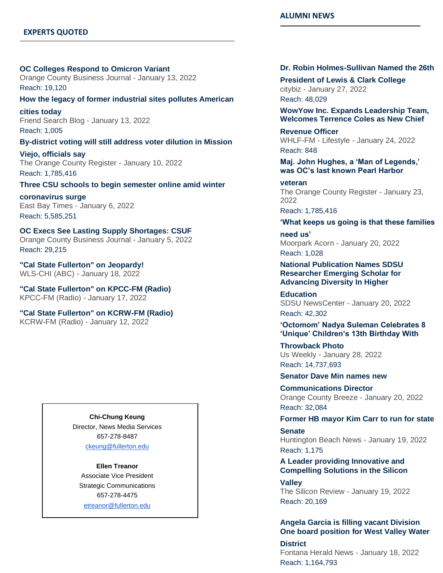#### **EXPERTS QUOTED**

# **[OC Colleges Respond to Omicron Variant](https://nam10.safelinks.protection.outlook.com/?url=https%3A%2F%2Furldefense.com%2Fv3%2F__http%3A%2F%2Flink.newsletter.meltwater.com%2Fls%2Fclick%3Fupn%3Db8QJpFrpw1kZtxpR8rqwdcGQV78DldtL49XDppq7q3rL-2BiZDCiTAKDcVI3NoRHu4hroVazE3DcP4z5qfMCDzdXmMPOiEdEdC7YIZGHK6k9frkXoplXxE-2FFwGMGR6Pl1ZqKiEno3gpJgF-2FgZG7rDQtxsqho33GfYbqR-2FwLdkEe-2B9biSKQqwtDxNSCBxmu-2F7EoeOn-2BjyH5GGL3G3Yc-2BLnoLefhZbdWTSVkPEAcRXP3g-2BJaCVdlQpgX6-2BmYuqo7n64zGBmj0ric0yMRYAknLa2py45fO5ZVQNEnqOoz1aUn15ISxuMBHbhJknZXhpyx8TGzhvno02ou25NgmT-2Fx1c7rCty96LD7iny8-2BGTF8ef7BSVSZN56AA-2Fs4U-2FY7IaGk9p9poKpUQVFdDD-2Bo8eRDM9sC3F-2BoTsqLg6v2qyzyRfeWHjqUNBDhwGxkqk7mwmWtdXna9KTsmfmIXm1URUZPTr2XaHYQguEHYc-2FjA-2B8CVS2cvXoWkloTaN1vvg-2BObYrJfzvszD6a609ovPCt8dzFgTqomOh2SA7fcnA0fIAWnG9MdhBqx4TUibjqPAva7b5QV0pn4XX52-2BBBGe6-2BbsUhEn3FaNZp2-2FJQyMFtousulKC6Dk5kxcIwKmLsoI2nOYUtq00YZtVdQPY2lmK4ZtL0TwjVR5HdtW3yW2Jn-2FSTm6wlI0qh8FM-2FcVyXE-2FlKnLoX2r2mz3luBT7y6JneIemGi7G1wciDc4IJHAMwmtgguE8EFPQ-3DE6EE_ixE6zOEep6yKiBB1OGxpdhnot0zTaRBPZzdS2ZIa75kRTS-2BqzWSgnT7HtKDjfh5Jpr3-2BLaxJ-2BIqOvB-2Bz-2FISD0SHcq8ZhfIeW6tctOCbX2TauKwEmeewdHPw98u6PtEcvZgG9GbWS5dLJcq1r6zXv-2BVTfYxUnHNha1SSs6rO-2F8Vh6b31XmXFDV6aokXvxcYThstQl-2FGoqIZh7akgrwYinO9Kqq1x4kBVsTFSQBcN1yiULEuKcrV1-2FsqNZGkmD-2BweKh8SPSOdjm6JfZzGK1nPBmHGJCDnsSKHE0bglUmsGZGRQ5IDFz-2BlApewCqvpWp-2BFARSPUu7weBGd40fNsL7QZOuLlYn-2BuERK5NznyvlJldIpFik20I14KWTVT2hTbQGOqqKNzpRbUAnIVZLwyZHQrPQ-3D-3D__%3B!!GF3VTAzAMGBM8A!jQUWaiWD9Q5_MTS1DxHBVtW2je8BlDxTU8ULM0QoH9-HcH08N2OWPqnQLQDYdEw6S0dMWvgPLEM%24&data=04%7C01%7Ckatiekenn33%40csu.fullerton.edu%7Cbe2250b1fc6c4a1af85f08d9e4f37e01%7C82c0b871335f4b5c9ed0a4a23565a79b%7C0%7C0%7C637792556752124552%7CUnknown%7CTWFpbGZsb3d8eyJWIjoiMC4wLjAwMDAiLCJQIjoiV2luMzIiLCJBTiI6Ik1haWwiLCJXVCI6Mn0%3D%7C3000&sdata=Tlx5jp8DRWPmByFL9mD%2BT%2BQIWag3OPrdsW5fiO0UEwo%3D&reserved=0)**

Orange County Business Journal - January 13, 2022 Reach: 19,120

#### **[How the legacy of former industrial sites pollutes American](https://nam10.safelinks.protection.outlook.com/?url=https%3A%2F%2Furldefense.com%2Fv3%2F__http%3A%2F%2Flink.newsletter.meltwater.com%2Fls%2Fclick%3Fupn%3Db8QJpFrpw1kZtxpR8rqwdcGQV78DldtL49XDppq7q3rL-2BiZDCiTAKDcVI3NoRHu4hroVazE3DcP4z5qfMCDzdcUnW6gbqaHnoMlOiu4uFlcevB8tKlqUpEvkPo9ZldhuLS8-2FeXdVDNSmPewgXDANigPkG7qQ-2FXXxSQjD3sqsWX-2B4oF-2BJfZRmZEwd-2F8HZTcRpKBFzu1V0qRkk19jgMa1uml50vrZcr6YUeuAl1KTM3pNBVm6gvzirEicE6YlhyZzuTPRF-2F5NDeB4KoQYHq1IXiWlleq6xqi37FL19MdzA0HByUmxKOsielWt5t7OyAwqpGHui47wiC7XcuZYKPC-2BpC86pc36FKvgZt1Ft0Cj8nPKK6uPZGg7yT-2BytXgLFMttu1RHSdIVnC2PkeBpt908k9-2BLURe9ARF37VgTc-2Fqazbl9cPEgy2NhRCJ1ppa6wdDnd-2FgzBhlRa2KLmSV3jVSw0tZXxqizrGmknsf0tKHr73kvAR5QgWGgqiLvNjinFPOVtfSzF4CyPkVfaLWfF7M6XgWkwjCBN-2Bbv4Y399kJOfDHI2bGTabmemCT5R2CF046mtAbM5yhMyhUHhPrtHvVFDr3a5aGF8GuBG7f3WJ5tQVtzt0bD-2Bqn2Be-2B49xjEJZ7Eb-2BYBA4alrfLVBk39js-2FY3EUoqQFbRqsgyHYUD9K7dtT2LDFNkomd22GWxirukX5UNMLRA5M-2Fz4-2FeiMJSXJY8vgmv6YGNTRv05-2FOQgh7nt8F56a1UNhtXOEyJSClO86UmoOKRbeT2lTtiY9QZ3cyMiw2Ii5ZQLV4lVV0bkn28veNU-3DTZQE_ixE6zOEep6yKiBB1OGxpdhnot0zTaRBPZzdS2ZIa75kRTS-2BqzWSgnT7HtKDjfh5Jpr3-2BLaxJ-2BIqOvB-2Bz-2FISD0SHcq8ZhfIeW6tctOCbX2TauKwEmeewdHPw98u6PtEcvZgG9GbWS5dLJcq1r6zXv-2BVTfYxUnHNha1SSs6rO-2F8Vh6b31XmXFDV6aokXvxcYThstQl-2FGoqIZh7akgrwYinO-2BCsE1m8A8ClnfmR6FUA8H-2Fkq-2FqdqXAFwuFWvTiwo4WYisSk7kaJ1i72fMlzcU6IxO6stpFU2PR-2Bvh6Iu9oA1H-2BZTJtyqb11GOtctbaAGc2EEAFLzkJaWfnfPfucD3QuoEN4PwdYmcYQW7aml6p-2FDfD9Oc5CA4ab0cbXrlHUt2p0kvteHX2tOJraaQKPRYIv0g-3D-3D__%3B!!GF3VTAzAMGBM8A!jQUWaiWD9Q5_MTS1DxHBVtW2je8BlDxTU8ULM0QoH9-HcH08N2OWPqnQLQDYdEw6S0dMrsa_w50%24&data=04%7C01%7Ckatiekenn33%40csu.fullerton.edu%7Cbe2250b1fc6c4a1af85f08d9e4f37e01%7C82c0b871335f4b5c9ed0a4a23565a79b%7C0%7C0%7C637792556752124552%7CUnknown%7CTWFpbGZsb3d8eyJWIjoiMC4wLjAwMDAiLCJQIjoiV2luMzIiLCJBTiI6Ik1haWwiLCJXVCI6Mn0%3D%7C3000&sdata=CZ%2BKi%2B9qT28OP4UFciF%2F4w8s4%2FOgS%2FisK8ehhhQz%2Fr8%3D&reserved=0)**

**[cities today](https://nam10.safelinks.protection.outlook.com/?url=https%3A%2F%2Furldefense.com%2Fv3%2F__http%3A%2F%2Flink.newsletter.meltwater.com%2Fls%2Fclick%3Fupn%3Db8QJpFrpw1kZtxpR8rqwdcGQV78DldtL49XDppq7q3rL-2BiZDCiTAKDcVI3NoRHu4hroVazE3DcP4z5qfMCDzdcUnW6gbqaHnoMlOiu4uFlcevB8tKlqUpEvkPo9ZldhuLS8-2FeXdVDNSmPewgXDANigPkG7qQ-2FXXxSQjD3sqsWX-2B4oF-2BJfZRmZEwd-2F8HZTcRpKBFzu1V0qRkk19jgMa1uml50vrZcr6YUeuAl1KTM3pNBVm6gvzirEicE6YlhyZzuTPRF-2F5NDeB4KoQYHq1IXiWlleq6xqi37FL19MdzA0HByUmxKOsielWt5t7OyAwqpGHui47wiC7XcuZYKPC-2BpC86pc36FKvgZt1Ft0Cj8nPKK6uPZGg7yT-2BytXgLFMttu1RHSdIVnC2PkeBpt908k9-2BLURe9ARF37VgTc-2Fqazbl9cPEgy2NhRCJ1ppa6wdDnd-2FgzBhlRa2KLmSV3jVSw0tZXxqizrGmknsf0tKHr73kvAR5QgWGgqiLvNjinFPOVtfSzF4CyPkVfaLWfF7M6XgWkwjCBN-2Bbv4Y399kJOfDHI2bGTabmemCT5R2CF046mtAbM5yhMyhUHhPrtHvVFDr3a5aGF8GuBG7f3WJ5tQVtzt0bD-2Bqn2Be-2B49xjEJZ7Eb-2BYBA4alrfLVBk39js-2FY3EUoqQFbRqsgyHYUD9K7dtT2LDFNkomd22GWxirukX5UNMLRA5M-2Fz4-2FeiMJSXJY8vgmv6YGNTRv05-2FOQgh7nt8F56a1UNhtXOEyJSClO86UmoOKRbeT2lTtiY9QZ3cyMiw2Ii5ZQLV4lVV0bkn28veNU-3DTZQE_ixE6zOEep6yKiBB1OGxpdhnot0zTaRBPZzdS2ZIa75kRTS-2BqzWSgnT7HtKDjfh5Jpr3-2BLaxJ-2BIqOvB-2Bz-2FISD0SHcq8ZhfIeW6tctOCbX2TauKwEmeewdHPw98u6PtEcvZgG9GbWS5dLJcq1r6zXv-2BVTfYxUnHNha1SSs6rO-2F8Vh6b31XmXFDV6aokXvxcYThstQl-2FGoqIZh7akgrwYinO-2BCsE1m8A8ClnfmR6FUA8H-2Fkq-2FqdqXAFwuFWvTiwo4WYisSk7kaJ1i72fMlzcU6IxO6stpFU2PR-2Bvh6Iu9oA1H-2BZTJtyqb11GOtctbaAGc2EEAFLzkJaWfnfPfucD3QuoEN4PwdYmcYQW7aml6p-2FDfD9Oc5CA4ab0cbXrlHUt2p0kvteHX2tOJraaQKPRYIv0g-3D-3D__%3B!!GF3VTAzAMGBM8A!jQUWaiWD9Q5_MTS1DxHBVtW2je8BlDxTU8ULM0QoH9-HcH08N2OWPqnQLQDYdEw6S0dMrsa_w50%24&data=04%7C01%7Ckatiekenn33%40csu.fullerton.edu%7Cbe2250b1fc6c4a1af85f08d9e4f37e01%7C82c0b871335f4b5c9ed0a4a23565a79b%7C0%7C0%7C637792556752124552%7CUnknown%7CTWFpbGZsb3d8eyJWIjoiMC4wLjAwMDAiLCJQIjoiV2luMzIiLCJBTiI6Ik1haWwiLCJXVCI6Mn0%3D%7C3000&sdata=CZ%2BKi%2B9qT28OP4UFciF%2F4w8s4%2FOgS%2FisK8ehhhQz%2Fr8%3D&reserved=0)** Friend Search Blog - January 13, 2022 Reach: 1,005

#### **[By-district voting will still address voter dilution in Mission](https://nam10.safelinks.protection.outlook.com/?url=https%3A%2F%2Furldefense.com%2Fv3%2F__http%3A%2F%2Flink.newsletter.meltwater.com%2Fls%2Fclick%3Fupn%3Db8QJpFrpw1kZtxpR8rqwdcGQV78DldtL49XDppq7q3rL-2BiZDCiTAKDcVI3NoRHu4hroVazE3DcP4z5qfMCDzdQts-2FTOXIHgn77wx8xyd6ZMIZ8lR4AetXOyKlcAE5wCGht0D3SXOTSU1N1tHrINkC0aMc9DhA8-2B-2Fexp7ZdRWORBgNjQoqw8E3dESPNbqZ8hMLUoPz0eBV3eZsKP-2B2z1jONmZlbmcezlek3flzYSbiGlHrfSdogW0sOcW-2Fc4GkqKBMvkcPyIAxUx1m7XZSxMGdDKydNz10N6CXqluQiYlORprXaCTAWBlmVR4NF4IT-2B8hHwNcrzooO-2FVDnkOv0c-2B-2F-2F5Ztrv8j-2FEKuR8SQ9G9JqIey2sHv2vVC4xroO26UdhYv-2BwXFGec-2B3Htoqh1P28yWRaGZPoLqwEJ48QAlNtOegGVsybr-2BWeaE4AtuEQss908z0adPPWYiWVAM4x3AmSWKqVSgUpbQdCi5SRT8RF6JjyASEM33sEHEL65ew2RfMmxFkEI2mz6eMR8JQFwgzFvhTPalxUtD5p25S1EoLnxkjrejq4pKpTAdaYXQGuSUP8yNfrV1UPneTeXVC4OauPi-2FKfUae3Q0ab6Vjhwt8DYO6AqId68pGW49WhyLyaSqheHMnr1GdoTaAswDudT3abrRfY7c0OOWlAYUQeIv9cDG8bTKmVmoRnNicKmVIkRFm-2Fonz9wU9ypHhFrEtKDdp1I-2B3AIX-2B3K0zac-2FRNX8omwNwATcpaFi3jeAjv73jny-2BR0-2FNfTX68wrIqMwI2zOBZQOa4XORFrDdKCPsxMu2rREX7Ww-3D2s4j_ixE6zOEep6yKiBB1OGxpdhnot0zTaRBPZzdS2ZIa75kRTS-2BqzWSgnT7HtKDjfh5Jpr3-2BLaxJ-2BIqOvB-2Bz-2FISD0SHcq8ZhfIeW6tctOCbX2TauKwEmeewdHPw98u6PtEcvZgG9GbWS5dLJcq1r6zXv-2BVTfYxUnHNha1SSs6rO-2F8Vh6b31XmXFDV6aokXvxcYThstQl-2FGoqIZh7akgrwYinO4GMegJ8lZ2yKTEEEUeq93phSEUIJZt0O8aPbFtWTFpITdTzqJqwW1g2BfWpipH3uNOkYH34rugE6GnfNjcNWasngGSqkC1mqXrtcwS7hoWYlqD12cXk-2FzA9HeihPCC-2FIL9txOWj26KYTzJA9TUfYWV0OvwFJn3iGgPFNOcbOtEjyY9rpvkwe0Pjy6pLpQpq4g-3D-3D__%3B!!GF3VTAzAMGBM8A!jQUWaiWD9Q5_MTS1DxHBVtW2je8BlDxTU8ULM0QoH9-HcH08N2OWPqnQLQDYdEw6S0dMB7VzKLU%24&data=04%7C01%7Ckatiekenn33%40csu.fullerton.edu%7Cbe2250b1fc6c4a1af85f08d9e4f37e01%7C82c0b871335f4b5c9ed0a4a23565a79b%7C0%7C0%7C637792556752280792%7CUnknown%7CTWFpbGZsb3d8eyJWIjoiMC4wLjAwMDAiLCJQIjoiV2luMzIiLCJBTiI6Ik1haWwiLCJXVCI6Mn0%3D%7C3000&sdata=COtauTv3aIhQAr6vrtwbJ9%2FXWcRYqGRGiE0OOFZdrnY%3D&reserved=0)**

**[Viejo, officials say](https://nam10.safelinks.protection.outlook.com/?url=https%3A%2F%2Furldefense.com%2Fv3%2F__http%3A%2F%2Flink.newsletter.meltwater.com%2Fls%2Fclick%3Fupn%3Db8QJpFrpw1kZtxpR8rqwdcGQV78DldtL49XDppq7q3rL-2BiZDCiTAKDcVI3NoRHu4hroVazE3DcP4z5qfMCDzdQts-2FTOXIHgn77wx8xyd6ZMIZ8lR4AetXOyKlcAE5wCGht0D3SXOTSU1N1tHrINkC0aMc9DhA8-2B-2Fexp7ZdRWORBgNjQoqw8E3dESPNbqZ8hMLUoPz0eBV3eZsKP-2B2z1jONmZlbmcezlek3flzYSbiGlHrfSdogW0sOcW-2Fc4GkqKBMvkcPyIAxUx1m7XZSxMGdDKydNz10N6CXqluQiYlORprXaCTAWBlmVR4NF4IT-2B8hHwNcrzooO-2FVDnkOv0c-2B-2F-2F5Ztrv8j-2FEKuR8SQ9G9JqIey2sHv2vVC4xroO26UdhYv-2BwXFGec-2B3Htoqh1P28yWRaGZPoLqwEJ48QAlNtOegGVsybr-2BWeaE4AtuEQss908z0adPPWYiWVAM4x3AmSWKqVSgUpbQdCi5SRT8RF6JjyASEM33sEHEL65ew2RfMmxFkEI2mz6eMR8JQFwgzFvhTPalxUtD5p25S1EoLnxkjrejq4pKpTAdaYXQGuSUP8yNfrV1UPneTeXVC4OauPi-2FKfUae3Q0ab6Vjhwt8DYO6AqId68pGW49WhyLyaSqheHMnr1GdoTaAswDudT3abrRfY7c0OOWlAYUQeIv9cDG8bTKmVmoRnNicKmVIkRFm-2Fonz9wU9ypHhFrEtKDdp1I-2B3AIX-2B3K0zac-2FRNX8omwNwATcpaFi3jeAjv73jny-2BR0-2FNfTX68wrIqMwI2zOBZQOa4XORFrDdKCPsxMu2rREX7Ww-3D2s4j_ixE6zOEep6yKiBB1OGxpdhnot0zTaRBPZzdS2ZIa75kRTS-2BqzWSgnT7HtKDjfh5Jpr3-2BLaxJ-2BIqOvB-2Bz-2FISD0SHcq8ZhfIeW6tctOCbX2TauKwEmeewdHPw98u6PtEcvZgG9GbWS5dLJcq1r6zXv-2BVTfYxUnHNha1SSs6rO-2F8Vh6b31XmXFDV6aokXvxcYThstQl-2FGoqIZh7akgrwYinO4GMegJ8lZ2yKTEEEUeq93phSEUIJZt0O8aPbFtWTFpITdTzqJqwW1g2BfWpipH3uNOkYH34rugE6GnfNjcNWasngGSqkC1mqXrtcwS7hoWYlqD12cXk-2FzA9HeihPCC-2FIL9txOWj26KYTzJA9TUfYWV0OvwFJn3iGgPFNOcbOtEjyY9rpvkwe0Pjy6pLpQpq4g-3D-3D__%3B!!GF3VTAzAMGBM8A!jQUWaiWD9Q5_MTS1DxHBVtW2je8BlDxTU8ULM0QoH9-HcH08N2OWPqnQLQDYdEw6S0dMB7VzKLU%24&data=04%7C01%7Ckatiekenn33%40csu.fullerton.edu%7Cbe2250b1fc6c4a1af85f08d9e4f37e01%7C82c0b871335f4b5c9ed0a4a23565a79b%7C0%7C0%7C637792556752280792%7CUnknown%7CTWFpbGZsb3d8eyJWIjoiMC4wLjAwMDAiLCJQIjoiV2luMzIiLCJBTiI6Ik1haWwiLCJXVCI6Mn0%3D%7C3000&sdata=COtauTv3aIhQAr6vrtwbJ9%2FXWcRYqGRGiE0OOFZdrnY%3D&reserved=0)** The Orange County Register - January 10, 2022 Reach: 1,785,416

#### **[Three CSU schools to begin semester online amid winter](https://nam10.safelinks.protection.outlook.com/?url=https%3A%2F%2Furldefense.com%2Fv3%2F__http%3A%2F%2Flink.newsletter.meltwater.com%2Fls%2Fclick%3Fupn%3Db8QJpFrpw1kZtxpR8rqwdcGQV78DldtL49XDppq7q3rL-2BiZDCiTAKDcVI3NoRHu4hroVazE3DcP4z5qfMCDzdVCMmsUKEjzqIJGXex8l6bqZ3WhfdOTNxeSEPqoTtfgpXkVl5Gd1SX0XlrG1-2FiLtqIVkt-2FAUAfBrMXZG1rdEiWhSP1r1bbL6SfDcwPmldcl5wZPbwVSp6K0lRFfSCQDAexGWVZGrQGbrSgfqVik0pwbNUvQppPPznXM5MESNZb26CMc-2Bz10BLPR09HjLnBsIPVX0LdYqinrowL2JZQ2WsJHi9OVidt2XRwZSn-2BN99WFCobsG6lnzByfz5Vi1eQEk5cC4P-2Ff1dVQ4fX4LSmwFCYeLjSj7LoexbOhUD81Z-2B1ZhfK9WXWl4vdcLxQBu9fX2S8QdTaZLHlynoEXY2yHQmKd1kCGDVFkcoG-2B2R2vibrtaJDpbdaRO1LRWFhTW8HAzv7wQF1tb9h-2FTJhfGFXdeqXmLPhPMfOp6M8CT7RNnU1ggdBMk-2FK44-2FtbqtxrPlU7quqkJ7GJHUQAmcqhAJqHhjSKpcLiWFywzjRbuxnaP9SkRLaKhxe7bNes-2BnkyypwmgxWmGlQla0FZ78yH4Po4OJIsLi8CjgUBim-2B1iIqHfp1fNNTJvT8JwZSwUESJ5jTCrr-2FHgK-2FSeOZEBbJfg2szIEcNmTSQxIcYH8JYIpKMaCzVUhJ6czOlCiNFHC5Y-2FrTge2-2BUQEjDdJCsFEisV7hveURgTc-2F7fdhyKidrqxrL-2FomxL3VHefQokjaqWfpPwgUN2PA-3D-3DDNfs_ixE6zOEep6yKiBB1OGxpdhnot0zTaRBPZzdS2ZIa75kRTS-2BqzWSgnT7HtKDjfh5Jpr3-2BLaxJ-2BIqOvB-2Bz-2FISD0SHcq8ZhfIeW6tctOCbX2TauKwEmeewdHPw98u6PtEcvZgG9GbWS5dLJcq1r6zXv-2BVTfYxUnHNha1SSs6rO-2F8Vh6b31XmXFDV6aokXvxcYThstQl-2FGoqIZh7akgrwYinOyNqDJQkx6e0qhj2ULResQO8EIZqVpj7M9ODr7u-2F4v4vghpKE2pzsI2lP3TfFfqHNkKl8bqdtCx8ZJHYWiyR3ajJEq9wgJhbAxaYflYNU8klhaCGMiiXYzNKjvVrffPWgvNDK9N4n0yCNfYb1H9Bn-2BO-2BaQr5nBOqFi5FE7EyorzBVvKQlz3jH1YVK0huBjYyTw-3D-3D__%3B!!GF3VTAzAMGBM8A!jQUWaiWD9Q5_MTS1DxHBVtW2je8BlDxTU8ULM0QoH9-HcH08N2OWPqnQLQDYdEw6S0dMmEZX9E0%24&data=04%7C01%7Ckatiekenn33%40csu.fullerton.edu%7Cbe2250b1fc6c4a1af85f08d9e4f37e01%7C82c0b871335f4b5c9ed0a4a23565a79b%7C0%7C0%7C637792556752280792%7CUnknown%7CTWFpbGZsb3d8eyJWIjoiMC4wLjAwMDAiLCJQIjoiV2luMzIiLCJBTiI6Ik1haWwiLCJXVCI6Mn0%3D%7C3000&sdata=ZjxUqNoAZJ0AI0aioaXQ9aTda2Zc8nI5PXX76hCF0QA%3D&reserved=0)**

**[coronavirus surge](https://nam10.safelinks.protection.outlook.com/?url=https%3A%2F%2Furldefense.com%2Fv3%2F__http%3A%2F%2Flink.newsletter.meltwater.com%2Fls%2Fclick%3Fupn%3Db8QJpFrpw1kZtxpR8rqwdcGQV78DldtL49XDppq7q3rL-2BiZDCiTAKDcVI3NoRHu4hroVazE3DcP4z5qfMCDzdVCMmsUKEjzqIJGXex8l6bqZ3WhfdOTNxeSEPqoTtfgpXkVl5Gd1SX0XlrG1-2FiLtqIVkt-2FAUAfBrMXZG1rdEiWhSP1r1bbL6SfDcwPmldcl5wZPbwVSp6K0lRFfSCQDAexGWVZGrQGbrSgfqVik0pwbNUvQppPPznXM5MESNZb26CMc-2Bz10BLPR09HjLnBsIPVX0LdYqinrowL2JZQ2WsJHi9OVidt2XRwZSn-2BN99WFCobsG6lnzByfz5Vi1eQEk5cC4P-2Ff1dVQ4fX4LSmwFCYeLjSj7LoexbOhUD81Z-2B1ZhfK9WXWl4vdcLxQBu9fX2S8QdTaZLHlynoEXY2yHQmKd1kCGDVFkcoG-2B2R2vibrtaJDpbdaRO1LRWFhTW8HAzv7wQF1tb9h-2FTJhfGFXdeqXmLPhPMfOp6M8CT7RNnU1ggdBMk-2FK44-2FtbqtxrPlU7quqkJ7GJHUQAmcqhAJqHhjSKpcLiWFywzjRbuxnaP9SkRLaKhxe7bNes-2BnkyypwmgxWmGlQla0FZ78yH4Po4OJIsLi8CjgUBim-2B1iIqHfp1fNNTJvT8JwZSwUESJ5jTCrr-2FHgK-2FSeOZEBbJfg2szIEcNmTSQxIcYH8JYIpKMaCzVUhJ6czOlCiNFHC5Y-2FrTge2-2BUQEjDdJCsFEisV7hveURgTc-2F7fdhyKidrqxrL-2FomxL3VHefQokjaqWfpPwgUN2PA-3D-3DDNfs_ixE6zOEep6yKiBB1OGxpdhnot0zTaRBPZzdS2ZIa75kRTS-2BqzWSgnT7HtKDjfh5Jpr3-2BLaxJ-2BIqOvB-2Bz-2FISD0SHcq8ZhfIeW6tctOCbX2TauKwEmeewdHPw98u6PtEcvZgG9GbWS5dLJcq1r6zXv-2BVTfYxUnHNha1SSs6rO-2F8Vh6b31XmXFDV6aokXvxcYThstQl-2FGoqIZh7akgrwYinOyNqDJQkx6e0qhj2ULResQO8EIZqVpj7M9ODr7u-2F4v4vghpKE2pzsI2lP3TfFfqHNkKl8bqdtCx8ZJHYWiyR3ajJEq9wgJhbAxaYflYNU8klhaCGMiiXYzNKjvVrffPWgvNDK9N4n0yCNfYb1H9Bn-2BO-2BaQr5nBOqFi5FE7EyorzBVvKQlz3jH1YVK0huBjYyTw-3D-3D__%3B!!GF3VTAzAMGBM8A!jQUWaiWD9Q5_MTS1DxHBVtW2je8BlDxTU8ULM0QoH9-HcH08N2OWPqnQLQDYdEw6S0dMmEZX9E0%24&data=04%7C01%7Ckatiekenn33%40csu.fullerton.edu%7Cbe2250b1fc6c4a1af85f08d9e4f37e01%7C82c0b871335f4b5c9ed0a4a23565a79b%7C0%7C0%7C637792556752280792%7CUnknown%7CTWFpbGZsb3d8eyJWIjoiMC4wLjAwMDAiLCJQIjoiV2luMzIiLCJBTiI6Ik1haWwiLCJXVCI6Mn0%3D%7C3000&sdata=ZjxUqNoAZJ0AI0aioaXQ9aTda2Zc8nI5PXX76hCF0QA%3D&reserved=0)** East Bay Times - January 6, 2022 Reach: 5,585,251

**[OC Execs See Lasting Supply Shortages: CSUF](https://nam10.safelinks.protection.outlook.com/?url=https%3A%2F%2Furldefense.com%2Fv3%2F__http%3A%2F%2Flink.newsletter.meltwater.com%2Fls%2Fclick%3Fupn%3Db8QJpFrpw1kZtxpR8rqwdcGQV78DldtL49XDppq7q3rL-2BiZDCiTAKDcVI3NoRHu4hroVazE3DcP4z5qfMCDzdXmMPOiEdEdC7YIZGHK6k9frkXoplXxE-2FFwGMGR6Pl1Z8mF9WwjGFK-2FdhwMBq1EB0cG9LS2taXssgoHdzkQscCiywdsWK7Q7NjOGd5nY4PEel9geoIvV2j8DZkRXXQhF8HUdHC1JiY4nB40Eng1l6HPTBgUDe-2FPq3x2sa4KhWwtcVilpghQQWka0r7-2BkI4CZp6f0dBTA2GbqOaajQ9QggIspjn2h3XqKJdQmmszT3fdAcngLE0Czxwh-2FSJGlwnX7zKGlPhwzAtKPP5wr7MpP4Snhc-2Frhjv-2BwXaJAJ3mylmIcVyzB8ADOtQUkeSckgwKijGrD3403a9U9R9UGURsfHhNQKY8eElmChi8zxG-2FnpqvTt1s7v1CgN-2BPL-2BxMai98LvHaQWWENrQCi8Bsl5K7S7YE72xOzbwkLiIt09R5BWQLHKX-2BeA7rYONrasZZsB0PxtrNSQCG3Q-2BoJVtvN0k2mEH178LEtNmHSp0PVtO9EGFclZ1i6lemh84JRFmKW6G9OqGDSZfGsHQ1Dda-2BiI2HaxtJmUcCGeX5zpEIK7ARBur1ilNMF12I-2BlHIzDnU-2BQ6VpgTUs-2FBI14cU4r5yPj6-2F8V0WMqNUftaB1IKb-2BbM8l0oM0rgpkvY4tssctgQa4S77gxQ0tkMtxxwI5gBGpdX50OW4-3DpjZE_ixE6zOEep6yKiBB1OGxpdhnot0zTaRBPZzdS2ZIa75kRTS-2BqzWSgnT7HtKDjfh5Jpr3-2BLaxJ-2BIqOvB-2Bz-2FISD0SHcq8ZhfIeW6tctOCbX2TauKwEmeewdHPw98u6PtEcvZgG9GbWS5dLJcq1r6zXv-2BVTfYxUnHNha1SSs6rO-2F8Vh6b31XmXFDV6aokXvxcYThstQl-2FGoqIZh7akgrwYinO48a-2BBpkOYdaHwszXo9QOahGzd9yJnuWeigR-2ByKT3D8Q3Ian6bL5hDmntjxu5FG5d2EIRpsb6havxBz4zV8F0xM1sAwq4nRDOu3ET4kbX7JM0IGbU1DX2KE5ZDLIWN0nW7Apk8o-2FFEhkVrQ8xRJi9cLjQSj4uYucag58diq-2BNZ9jLE6eFxMsW7oJRBT9psDqyA-3D-3D__%3B!!GF3VTAzAMGBM8A!jQUWaiWD9Q5_MTS1DxHBVtW2je8BlDxTU8ULM0QoH9-HcH08N2OWPqnQLQDYdEw6S0dME7syIGM%24&data=04%7C01%7Ckatiekenn33%40csu.fullerton.edu%7Cbe2250b1fc6c4a1af85f08d9e4f37e01%7C82c0b871335f4b5c9ed0a4a23565a79b%7C0%7C0%7C637792556752280792%7CUnknown%7CTWFpbGZsb3d8eyJWIjoiMC4wLjAwMDAiLCJQIjoiV2luMzIiLCJBTiI6Ik1haWwiLCJXVCI6Mn0%3D%7C3000&sdata=gcHMXKyoWQG%2B3B86OFwAPmezuzrKbprgK354rAZXiqk%3D&reserved=0)** Orange County Business Journal - January 5, 2022 Reach: 29,215

**["Cal State Fullerton" on Jeopardy!](https://nam10.safelinks.protection.outlook.com/?url=https%3A%2F%2Furldefense.com%2Fv3%2F__http%3A%2F%2Flink.newsletter.meltwater.com%2Fls%2Fclick%3Fupn%3Db8QJpFrpw1kZtxpR8rqwdcGQV78DldtL49XDppq7q3rL-2BiZDCiTAKDcVI3NoRHu4f-2FKSXAtVTGyFoJ-2BD59VGiJ4d9Zq-2BQFR5C28GTt-2FDvBv3ZGc-2FuGirVIjEaGZ-2FCTh6UOUqZQkCyxRED-2BcdPw0F7KF0-2BcG1SASR6IzzRbYzP5wJl6OP-2BQNIoMiIiXBKONfH2CbNMbY-2BH-2FlF2rvmYRh67luSeoNwnLp-2BfyTLzKL7tb8q1915WyvCkT-2Bx-2FHqr4AmeYnrHKhxTA6fxWZU5UmgJDjzF0qcieY-2Fw0JqxMe3whACBjiZWt5tK0ZgXWjGBY6celNEyl8ugapL9hSmIIvXLLtB5GpBkHCCcaxbGLyJLPTAooFO4RY2u3mNPje-2F6ZRy0oqfFbnCytBS9Vawij4W7mblSgxuBt1XNTGs9WS-2BdoZZyLokynDRF7-2Fi4El-2FFa-2Be5mQwpOHd6-2B-2FiEeGHjQHtSx-2FpMkhyxSck-2FZ-2FGNsmB1p28-2F9-2BfMjwDykm47hdbZIgWcIiNEIsyOYGe4LV4-2BFLdWOEHfRhOPfBJMo0nL58FRL3SUGIgLl8RzL-2FE64BEj6Vlj0oEWXAgSibgnS4UNCv9atr23q1IgzJAskqbVLQ4Ffjc-2BVF4BimkD3lagcz5IKmcUVp-2BT97G-2BjBFwb6RrMT0roWzXqGqVMSj83VTHRSwFO8NAmKPBikxaziPSlxSrZsngxXXmzcwdff6t6Tp9Nuvwt50ZXuPazbXLzOMaAD68LhCber9igSvjnc2WZcHbNDYROh3-2FNkJLlX3bpLNgP-2BGVPoZjTdFN1v2EGZHW4gucJtA-3DVp1R_ixE6zOEep6yKiBB1OGxpdhnot0zTaRBPZzdS2ZIa75kRTS-2BqzWSgnT7HtKDjfh5Jpr3-2BLaxJ-2BIqOvB-2Bz-2FISD0SHcq8ZhfIeW6tctOCbX2TauKwEmeewdHPw98u6PtEcvZgG9GbWS5dLJcq1r6zXv-2BVTfYxUnHNha1SSs6rO-2F8Vh6b31XmXFDV6aokXvxcYThstQl-2FGoqIZh7akgrwYinO9FN-2ByU6P-2BxEXRkYpaNBkYJDIKAdEvoeRgP58WuJOQ0WBE-2FJPtENf2wScd2ZIaD91samWIXfxCuXon1sUQjgx5I32fcTFFOt9idBIO-2BhJ19D1yZ0JvQ5ptHHiadqGupUTclAoB8OfMH4xiYEG7WJVBnOBgsSH07rUPpvzCPL6huWYWKpBTwOY-2FoYMvwc6qX1VA-3D-3D__%3B!!GF3VTAzAMGBM8A!jQUWaiWD9Q5_MTS1DxHBVtW2je8BlDxTU8ULM0QoH9-HcH08N2OWPqnQLQDYdEw6S0dMDYgRp3U%24&data=04%7C01%7Ckatiekenn33%40csu.fullerton.edu%7Cbe2250b1fc6c4a1af85f08d9e4f37e01%7C82c0b871335f4b5c9ed0a4a23565a79b%7C0%7C0%7C637792556752280792%7CUnknown%7CTWFpbGZsb3d8eyJWIjoiMC4wLjAwMDAiLCJQIjoiV2luMzIiLCJBTiI6Ik1haWwiLCJXVCI6Mn0%3D%7C3000&sdata=qxjVcbXYorhOtyINP39uynZXE4Qf7Y37KaR0T50DhhY%3D&reserved=0)** WLS-CHI (ABC) - January 18, 2022

**["Cal State Fullerton" on KPCC-FM \(Radio\)](https://nam10.safelinks.protection.outlook.com/?url=https%3A%2F%2Furldefense.com%2Fv3%2F__http%3A%2F%2Flink.newsletter.meltwater.com%2Fls%2Fclick%3Fupn%3Db8QJpFrpw1kZtxpR8rqwdcGQV78DldtL49XDppq7q3rL-2BiZDCiTAKDcVI3NoRHu4f-2FKSXAtVTGyFoJ-2BD59VGiJ4d9Zq-2BQFR5C28GTt-2FDvBv3ZGc-2FuGirVIjEaGZ-2FCTh6UOUqZQkCyxRED-2BcdPw0F7Oi9Di99BTBOjT81z2I2xXMpx2jHJzvuL2xAQfChYoUUHaXsTzFSGkkEbk2iqlzM4WSmVH-2FymLuXG4q9j3d0nk0f2E1YxLf5Qyew-2FrelDpmVKx1DZI7z-2BhX-2FBYGLjcRda110d6d2kFfEBuvQt8-2FTAo-2BZXWJE3M9PUwRpYEtzBsh5-2F7tAy3Gplt7zlKwWpL4mk8tpSQSNajP77J6tYILyl1L9GI9Z7LUnJRShG62vzbkwQczRHTA1rDKZ8aW42rSzLt-2F07pOQjB6ZwH9B-2BoPuLzcvW0fouICqpgINV84ajiyojKJM4na6YTbhpnIaRP6DhGKiCrNRwrs0w1iyHpn5CK-2Bph1PjmsKjIGMUG1U9hMbh8TLMwNNrQ3AL90XFdT3tS0oq7ty5dXXU5xc-2B0TyXdy-2ByBelLSrqg58e8W0siXsyC7A3YmwEIpAcC2U6FDOPvLXeZ7golWJIHg7jHhBxWnXbHnZ9vOFBrNWxZ7yyMGSy0FrDgyPNRlVq4PrJ1X7sMc8ShRLDE8gfNgd-2Fa6Ub0WdXyS-2FRMdHozzBqUv3W3GWZ6SxSCaBBQWnY73xUdvKoq4wNvMalfZurtom4y1-2B4IphdeyFnMQ0ViRQSlThrAhh9-2B7f8w5UakQ5V-2FIu-2FgFPPAK3-2BpG9UBNM4B2X9B79FJjKY-3DuZLj_ixE6zOEep6yKiBB1OGxpdhnot0zTaRBPZzdS2ZIa75kRTS-2BqzWSgnT7HtKDjfh5Jpr3-2BLaxJ-2BIqOvB-2Bz-2FISD0SHcq8ZhfIeW6tctOCbX2TauKwEmeewdHPw98u6PtEcvZgG9GbWS5dLJcq1r6zXv-2BVTfYxUnHNha1SSs6rO-2F8Vh6b31XmXFDV6aokXvxcYThstQl-2FGoqIZh7akgrwYinO0w3p-2FXdU7uaoyg-2BREioOIjxuQJcXtzxO1vz0f9YkV0uDolDIztP9wkk-2F-2FkXtbA2cUNpD405HyOHgBqt1A7VyhYeuCbfV7zdsG5CA1TXYrvq5uhM6NdExqMxQ0YLTWx41qS9Yx7BelA6g3MurWLXeJS8SpF-2FVWeI5ekghD8k5ybDYx3PJC5AeXIE5ZNW4r1iDA-3D-3D__%3B!!GF3VTAzAMGBM8A!jQUWaiWD9Q5_MTS1DxHBVtW2je8BlDxTU8ULM0QoH9-HcH08N2OWPqnQLQDYdEw6S0dMUq7-VEw%24&data=04%7C01%7Ckatiekenn33%40csu.fullerton.edu%7Cbe2250b1fc6c4a1af85f08d9e4f37e01%7C82c0b871335f4b5c9ed0a4a23565a79b%7C0%7C0%7C637792556752280792%7CUnknown%7CTWFpbGZsb3d8eyJWIjoiMC4wLjAwMDAiLCJQIjoiV2luMzIiLCJBTiI6Ik1haWwiLCJXVCI6Mn0%3D%7C3000&sdata=Cy%2Fxv%2FrVdwyC1VX60Yf%2B9%2Fhm6D6Whl1xmzX709oHVkU%3D&reserved=0)** KPCC-FM (Radio) - January 17, 2022

**["Cal State Fullerton" on KCRW-FM \(Radio\)](https://nam10.safelinks.protection.outlook.com/?url=https%3A%2F%2Furldefense.com%2Fv3%2F__http%3A%2F%2Flink.newsletter.meltwater.com%2Fls%2Fclick%3Fupn%3Db8QJpFrpw1kZtxpR8rqwdcGQV78DldtL49XDppq7q3rL-2BiZDCiTAKDcVI3NoRHu4f-2FKSXAtVTGyFoJ-2BD59VGiJ4d9Zq-2BQFR5C28GTt-2FDvBv3ZGc-2FuGirVIjEaGZ-2FCTh6UOUqZQkCyxRED-2BcdPw0F7NyE0pdrqDZdhN8dRH-2FAq2wq3GQ2SdbaSV2rpIz-2BAcwODzBFOSlmZKiX-2FKGEYgpkGsIJ3tydSEpNLLO9ZHcYBv7taT-2BVD1iqD8kLCXv7JLaq7Sg6e9fH1EGOOS1QI31-2BfWmO4PCtk46XCBacr05dQqK53YTJMhNW5jrONP4G4oFv9kLgFSoxVjmDEFyRTKEtEZTKFaJClSK2zxfclQveL122KzvnvjzPAjDFScAJnpW0Yjw5aZseI3dW-2Bh8ZD91Fr3f-2ByIfC9dST91RiKTqq5ugozXuFVE0rfX-2F1DAjntL082SLyws8DlitxgVryW7dC8UbTBEfRrvqW04kdFE2dfrGxs-2FYQ2ZSlnzEv2aOMLvGhHmTNA-2Bt92doT06Hrx2UZFPhTZg6oDwjPnDonrv6IALYsb82QH-2FLMfzz0uXFD3Mo64RFWjEz0mURDCYpwEFq7IVGpJVVWvNb-2Bq-2Fn9T-2FQQwVrk97stKnIam60492AqYYuzx18qbp4yuo5OmErTvrIB9Uy8V9oUyiZYeqtdry8s657a0ykiq9D97f-2BXo-2BMIkOL7vMST2EhA44wFtzaFDwXcjsLp92P82HPlwCo3uiXKKtzfII65EBBMp42a3vL2g5v77FzWg99XaJXV64n9lKfhmYBe9QIhQzV5q-2BCxhO-2BI-2FIs-3DBoiw_ixE6zOEep6yKiBB1OGxpdhnot0zTaRBPZzdS2ZIa75kRTS-2BqzWSgnT7HtKDjfh5Jpr3-2BLaxJ-2BIqOvB-2Bz-2FISD0SHcq8ZhfIeW6tctOCbX2TauKwEmeewdHPw98u6PtEcvZgG9GbWS5dLJcq1r6zXv-2BVTfYxUnHNha1SSs6rO-2F8Vh6b31XmXFDV6aokXvxcYThstQl-2FGoqIZh7akgrwYinO5l6b4jHW5jHr1Adx08V1dcxLJKZB4j-2BSxzcopyySJtS3Pl4HG79000wRU-2Be9lkOiTT8U4C1x750pcnsuXjpX2zza2pJ9zbXyEOG4kRxCHQyCMOSVDppSt-2BDm7M-2FWgdgP5FB0CeVkH9i2as7-2B2ZvIuI057VYcVD1dsaUFS25IgML-2FFZcJp-2FvoTCJsoFXht4qLw-3D-3D__%3B!!GF3VTAzAMGBM8A!jQUWaiWD9Q5_MTS1DxHBVtW2je8BlDxTU8ULM0QoH9-HcH08N2OWPqnQLQDYdEw6S0dMOg0A-ho%24&data=04%7C01%7Ckatiekenn33%40csu.fullerton.edu%7Cbe2250b1fc6c4a1af85f08d9e4f37e01%7C82c0b871335f4b5c9ed0a4a23565a79b%7C0%7C0%7C637792556752437031%7CUnknown%7CTWFpbGZsb3d8eyJWIjoiMC4wLjAwMDAiLCJQIjoiV2luMzIiLCJBTiI6Ik1haWwiLCJXVCI6Mn0%3D%7C3000&sdata=dPA4u0a%2FNEbq9XbVDNpUwidDk3OnErUJxalfIqsa3Hg%3D&reserved=0)** KCRW-FM (Radio) - January 12, 2022

> **Chi-Chung Keung** Director, News Media Services 657-278-8487 [ckeung@fullerton.edu](mailto:ckeung@fullerton.edu)

**Ellen Treanor** Associate Vice President Strategic Communications 657-278-4475 [etreanor@fullerton.edu](mailto:etreanor@fullerton.edu)

#### **ALUMNI NEWS**

#### **[Dr. Robin Holmes-Sullivan Named the 26th](https://nam10.safelinks.protection.outlook.com/?url=https%3A%2F%2Furldefense.com%2Fv3%2F__http%3A%2F%2Flink.newsletter.meltwater.com%2Fls%2Fclick%3Fupn%3Db8QJpFrpw1kZtxpR8rqwdcGQV78DldtL49XDppq7q3rL-2BiZDCiTAKDcVI3NoRHu4hroVazE3DcP4z5qfMCDzda3YiTVQj5MPw0lHPjOJ-2BfTY9V5Om4wueBstOabvaLzQ0ssfZcbqhGLbFYB0ynYJ2FVHcUg-2FQKqi8bDvpBTvB-2BxTn6-2BsiYM0r0snpO9KmATa7HIwltmKbybBkaI8TFY4Ok1Vk2tlD0Ms9zdPwHAbYN189ceUfx5huqTmRW2U05uQqunUp-2Fn819gdMU9GYWpCTiAAFNhZKpPMwH9QAP4mfbRGWbRS9Wg-2Fxt0JLLOpfkh76YK4axrgxHmKZr4CMSZMGwbYxBbr9-2BOgVTesYTuQldg1sSpRzgLp2ZS6qKgpYv4Fwlz6B4S8IpZLWV2gUxk99aY38t21UckiYPzj6fgICgLSrlTc48L2nWAFm3N5OnqLqe2AO6-2FanfAD9i-2FIi4VXSqT87KlDXjPeApcytFeVnpC9pahmRUI-2BSMTkZPRJlGqwhLp7j867pPwwJi9wO4epgllkIb2TNN5Kx5YFgg7ye0ytP6g2mTkZt5up5vUGhc8TzARbhhg0BFm91Ftwz34FjjAtGVY4Sn25s-2F7Y9ru-2B6ZRXdxMCwxSPwYCsoO7ccEHmSZTwSc6QGhqgpycpKAEgWcT09LChOPv2UfayMqxRFkRUrHLqZRIRtkikUD5VL47nLpLbjXoYmoXUx4-2F3N-2BnXGe2LBzwS9JRI9XDEvRnKZb2MWfSvWwd8KpypXjCu3fCWd9CO2ozF1UqgJ10LkUdTNA-3D-3DZV0u_ixE6zOEep6yKiBB1OGxpdhnot0zTaRBPZzdS2ZIa75kRTS-2BqzWSgnT7HtKDjfh5Jpr3-2BLaxJ-2BIqOvB-2Bz-2FISD0SHcq8ZhfIeW6tctOCbX2TauKwEmeewdHPw98u6PtEcvZgG9GbWS5dLJcq1r6zXv-2BVTfYxUnHNha1SSs6rO-2F8Vh6b31XmXFDV6aokXvxcYThstQl-2FGoqIZh7akgrwYinO2pK7u-2FoW9fvHafxhAvLbrysDIHZkID9CP5mNqaBEY6ioT7VEwcPb0NGddiZNgWOuPCT-2BlZ8JRbOPT-2Fl3zjI490d4qThvLXmLxB-2FGnqn6S-2FMYn-2F1JqcggOniUqT8XgzbZX-2B-2B6-2B1YBOEUL4zPf98vQY5pwroruRSX1ebOJmUf87H-2BM2XytGxL13wqpTiiEiyRrw-3D-3D__%3B!!GF3VTAzAMGBM8A!jQUWaiWD9Q5_MTS1DxHBVtW2je8BlDxTU8ULM0QoH9-HcH08N2OWPqnQLQDYdEw6S0dMBD-0lZ4%24&data=04%7C01%7Ckatiekenn33%40csu.fullerton.edu%7Cbe2250b1fc6c4a1af85f08d9e4f37e01%7C82c0b871335f4b5c9ed0a4a23565a79b%7C0%7C0%7C637792556752437031%7CUnknown%7CTWFpbGZsb3d8eyJWIjoiMC4wLjAwMDAiLCJQIjoiV2luMzIiLCJBTiI6Ik1haWwiLCJXVCI6Mn0%3D%7C3000&sdata=t70dVPOARkLwyWlqutkqV1G%2BOfY4YNa9JdE0fyWWTb8%3D&reserved=0)**

**[President of Lewis & Clark College](https://nam10.safelinks.protection.outlook.com/?url=https%3A%2F%2Furldefense.com%2Fv3%2F__http%3A%2F%2Flink.newsletter.meltwater.com%2Fls%2Fclick%3Fupn%3Db8QJpFrpw1kZtxpR8rqwdcGQV78DldtL49XDppq7q3rL-2BiZDCiTAKDcVI3NoRHu4hroVazE3DcP4z5qfMCDzda3YiTVQj5MPw0lHPjOJ-2BfTY9V5Om4wueBstOabvaLzQ0ssfZcbqhGLbFYB0ynYJ2FVHcUg-2FQKqi8bDvpBTvB-2BxTn6-2BsiYM0r0snpO9KmATa7HIwltmKbybBkaI8TFY4Ok1Vk2tlD0Ms9zdPwHAbYN189ceUfx5huqTmRW2U05uQqunUp-2Fn819gdMU9GYWpCTiAAFNhZKpPMwH9QAP4mfbRGWbRS9Wg-2Fxt0JLLOpfkh76YK4axrgxHmKZr4CMSZMGwbYxBbr9-2BOgVTesYTuQldg1sSpRzgLp2ZS6qKgpYv4Fwlz6B4S8IpZLWV2gUxk99aY38t21UckiYPzj6fgICgLSrlTc48L2nWAFm3N5OnqLqe2AO6-2FanfAD9i-2FIi4VXSqT87KlDXjPeApcytFeVnpC9pahmRUI-2BSMTkZPRJlGqwhLp7j867pPwwJi9wO4epgllkIb2TNN5Kx5YFgg7ye0ytP6g2mTkZt5up5vUGhc8TzARbhhg0BFm91Ftwz34FjjAtGVY4Sn25s-2F7Y9ru-2B6ZRXdxMCwxSPwYCsoO7ccEHmSZTwSc6QGhqgpycpKAEgWcT09LChOPv2UfayMqxRFkRUrHLqZRIRtkikUD5VL47nLpLbjXoYmoXUx4-2F3N-2BnXGe2LBzwS9JRI9XDEvRnKZb2MWfSvWwd8KpypXjCu3fCWd9CO2ozF1UqgJ10LkUdTNA-3D-3DZV0u_ixE6zOEep6yKiBB1OGxpdhnot0zTaRBPZzdS2ZIa75kRTS-2BqzWSgnT7HtKDjfh5Jpr3-2BLaxJ-2BIqOvB-2Bz-2FISD0SHcq8ZhfIeW6tctOCbX2TauKwEmeewdHPw98u6PtEcvZgG9GbWS5dLJcq1r6zXv-2BVTfYxUnHNha1SSs6rO-2F8Vh6b31XmXFDV6aokXvxcYThstQl-2FGoqIZh7akgrwYinO2pK7u-2FoW9fvHafxhAvLbrysDIHZkID9CP5mNqaBEY6ioT7VEwcPb0NGddiZNgWOuPCT-2BlZ8JRbOPT-2Fl3zjI490d4qThvLXmLxB-2FGnqn6S-2FMYn-2F1JqcggOniUqT8XgzbZX-2B-2B6-2B1YBOEUL4zPf98vQY5pwroruRSX1ebOJmUf87H-2BM2XytGxL13wqpTiiEiyRrw-3D-3D__%3B!!GF3VTAzAMGBM8A!jQUWaiWD9Q5_MTS1DxHBVtW2je8BlDxTU8ULM0QoH9-HcH08N2OWPqnQLQDYdEw6S0dMBD-0lZ4%24&data=04%7C01%7Ckatiekenn33%40csu.fullerton.edu%7Cbe2250b1fc6c4a1af85f08d9e4f37e01%7C82c0b871335f4b5c9ed0a4a23565a79b%7C0%7C0%7C637792556752437031%7CUnknown%7CTWFpbGZsb3d8eyJWIjoiMC4wLjAwMDAiLCJQIjoiV2luMzIiLCJBTiI6Ik1haWwiLCJXVCI6Mn0%3D%7C3000&sdata=t70dVPOARkLwyWlqutkqV1G%2BOfY4YNa9JdE0fyWWTb8%3D&reserved=0)** citybiz - January 27, 2022 Reach: 48,029

**[WowYow Inc. Expands Leadership Team,](https://nam10.safelinks.protection.outlook.com/?url=https%3A%2F%2Furldefense.com%2Fv3%2F__http%3A%2F%2Flink.newsletter.meltwater.com%2Fls%2Fclick%3Fupn%3Db8QJpFrpw1kZtxpR8rqwdcGQV78DldtL49XDppq7q3rL-2BiZDCiTAKDcVI3NoRHu4hroVazE3DcP4z5qfMCDzdV0NfLtdn03go548caafRlcsjDdho1OTpmGqvzgObPXab83J9EkmVQKeixWvidOPCRETriEp6ZxNgr2YwxvNdJQcTsOkignQHECyeFsVXdbB2jbBIEYfOaUQIgsd6y0ABZb-2BAO1bAIdeLC3XTm5RF2-2FvOY6KX-2F-2BtctuyWlWra2uJa47qDjGyJBkYAP9tzscFnsgACF9MWl-2FBjlpS6R0yBbtP2jXAs7t5dkARhSopa0xTm9RUWvN4bqAKQI-2FO-2F1l3WuHljAOIv9ZSolpEchD4bWoFozE7H5pc5P2bPEsXAI2-2BpdCnvdX3dZ8AU9-2FHX2eNcWHe0btAe-2FA4VVkXBawcjnkmY80l-2FF-2FEyhK2HeQPBvdJUQmedEntrOhHweJ3Nk-2FR9fL2kl9PyZcLEwFxtK9GJfKHSSLkf4xSK0A-2BqWBIYx4jskRdy5H8jlt8Ypn-2FlSox0fbHbSoe7heMbpEjO6ReCdmBMT0O1XYeim76WLoscSAuuXC8tEmQj9ezU-2FbERZI0v05e4S-2B9t0zVP-2Fc7TtceQ6-2FXut7Q6IO1hgONdKmCxOWPlv7z-2FhAnQtRuvJItfwNqDlHzW9WcXQcfryBW4VN3jWi2tQh6OBQmkbi5BVsFSaqqiTt7cdR53MDAJZqM1uCrwQiUrlvvhhVZ1BUcD-2FKHx729DnWcU-2Fth0rml5mSeE4Z-2BpUQMzfgea4MQ25-2FnxMH9eUGdMIKcf1b2M8RTTAYlYBs-3DY0Mm_ixE6zOEep6yKiBB1OGxpdhnot0zTaRBPZzdS2ZIa75kRTS-2BqzWSgnT7HtKDjfh5Jpr3-2BLaxJ-2BIqOvB-2Bz-2FISD0SHcq8ZhfIeW6tctOCbX2TauKwEmeewdHPw98u6PtEcvZgG9GbWS5dLJcq1r6zXv-2BVTfYxUnHNha1SSs6rO-2F8Vh6b31XmXFDV6aokXvxcYThstQl-2FGoqIZh7akgrwYinO3eWexM3vpjqsrnJvBAPPfHynNEW9HifdjpY-2FmEN73Xubh8DXS1RU-2BDWpxc60eKNP6vSEIidVPf-2F9cNWKoysvsAoKcCepwXwCh130F0QvXceaA5zLQaLhjQwFUdrYe6OfS6yvc94ywL-2BnQwAg3Z9fM7HRCXTSeUrfTYfJ4MpdoRDCO-2BJ-2Fsv1qbNSKqO-2BrLtMIQ-3D-3D__%3B!!GF3VTAzAMGBM8A!jQUWaiWD9Q5_MTS1DxHBVtW2je8BlDxTU8ULM0QoH9-HcH08N2OWPqnQLQDYdEw6S0dM4FgxaY0%24&data=04%7C01%7Ckatiekenn33%40csu.fullerton.edu%7Cbe2250b1fc6c4a1af85f08d9e4f37e01%7C82c0b871335f4b5c9ed0a4a23565a79b%7C0%7C0%7C637792556752437031%7CUnknown%7CTWFpbGZsb3d8eyJWIjoiMC4wLjAwMDAiLCJQIjoiV2luMzIiLCJBTiI6Ik1haWwiLCJXVCI6Mn0%3D%7C3000&sdata=gNzzIzLz%2FvAwsMKxzYEQn7YR0DOPiu3ua1b3L%2FEZ2R4%3D&reserved=0)  [Welcomes Terrence Coles as New Chief](https://nam10.safelinks.protection.outlook.com/?url=https%3A%2F%2Furldefense.com%2Fv3%2F__http%3A%2F%2Flink.newsletter.meltwater.com%2Fls%2Fclick%3Fupn%3Db8QJpFrpw1kZtxpR8rqwdcGQV78DldtL49XDppq7q3rL-2BiZDCiTAKDcVI3NoRHu4hroVazE3DcP4z5qfMCDzdV0NfLtdn03go548caafRlcsjDdho1OTpmGqvzgObPXab83J9EkmVQKeixWvidOPCRETriEp6ZxNgr2YwxvNdJQcTsOkignQHECyeFsVXdbB2jbBIEYfOaUQIgsd6y0ABZb-2BAO1bAIdeLC3XTm5RF2-2FvOY6KX-2F-2BtctuyWlWra2uJa47qDjGyJBkYAP9tzscFnsgACF9MWl-2FBjlpS6R0yBbtP2jXAs7t5dkARhSopa0xTm9RUWvN4bqAKQI-2FO-2F1l3WuHljAOIv9ZSolpEchD4bWoFozE7H5pc5P2bPEsXAI2-2BpdCnvdX3dZ8AU9-2FHX2eNcWHe0btAe-2FA4VVkXBawcjnkmY80l-2FF-2FEyhK2HeQPBvdJUQmedEntrOhHweJ3Nk-2FR9fL2kl9PyZcLEwFxtK9GJfKHSSLkf4xSK0A-2BqWBIYx4jskRdy5H8jlt8Ypn-2FlSox0fbHbSoe7heMbpEjO6ReCdmBMT0O1XYeim76WLoscSAuuXC8tEmQj9ezU-2FbERZI0v05e4S-2B9t0zVP-2Fc7TtceQ6-2FXut7Q6IO1hgONdKmCxOWPlv7z-2FhAnQtRuvJItfwNqDlHzW9WcXQcfryBW4VN3jWi2tQh6OBQmkbi5BVsFSaqqiTt7cdR53MDAJZqM1uCrwQiUrlvvhhVZ1BUcD-2FKHx729DnWcU-2Fth0rml5mSeE4Z-2BpUQMzfgea4MQ25-2FnxMH9eUGdMIKcf1b2M8RTTAYlYBs-3DY0Mm_ixE6zOEep6yKiBB1OGxpdhnot0zTaRBPZzdS2ZIa75kRTS-2BqzWSgnT7HtKDjfh5Jpr3-2BLaxJ-2BIqOvB-2Bz-2FISD0SHcq8ZhfIeW6tctOCbX2TauKwEmeewdHPw98u6PtEcvZgG9GbWS5dLJcq1r6zXv-2BVTfYxUnHNha1SSs6rO-2F8Vh6b31XmXFDV6aokXvxcYThstQl-2FGoqIZh7akgrwYinO3eWexM3vpjqsrnJvBAPPfHynNEW9HifdjpY-2FmEN73Xubh8DXS1RU-2BDWpxc60eKNP6vSEIidVPf-2F9cNWKoysvsAoKcCepwXwCh130F0QvXceaA5zLQaLhjQwFUdrYe6OfS6yvc94ywL-2BnQwAg3Z9fM7HRCXTSeUrfTYfJ4MpdoRDCO-2BJ-2Fsv1qbNSKqO-2BrLtMIQ-3D-3D__%3B!!GF3VTAzAMGBM8A!jQUWaiWD9Q5_MTS1DxHBVtW2je8BlDxTU8ULM0QoH9-HcH08N2OWPqnQLQDYdEw6S0dM4FgxaY0%24&data=04%7C01%7Ckatiekenn33%40csu.fullerton.edu%7Cbe2250b1fc6c4a1af85f08d9e4f37e01%7C82c0b871335f4b5c9ed0a4a23565a79b%7C0%7C0%7C637792556752437031%7CUnknown%7CTWFpbGZsb3d8eyJWIjoiMC4wLjAwMDAiLCJQIjoiV2luMzIiLCJBTiI6Ik1haWwiLCJXVCI6Mn0%3D%7C3000&sdata=gNzzIzLz%2FvAwsMKxzYEQn7YR0DOPiu3ua1b3L%2FEZ2R4%3D&reserved=0)** 

**[Revenue Officer](https://nam10.safelinks.protection.outlook.com/?url=https%3A%2F%2Furldefense.com%2Fv3%2F__http%3A%2F%2Flink.newsletter.meltwater.com%2Fls%2Fclick%3Fupn%3Db8QJpFrpw1kZtxpR8rqwdcGQV78DldtL49XDppq7q3rL-2BiZDCiTAKDcVI3NoRHu4hroVazE3DcP4z5qfMCDzdV0NfLtdn03go548caafRlcsjDdho1OTpmGqvzgObPXab83J9EkmVQKeixWvidOPCRETriEp6ZxNgr2YwxvNdJQcTsOkignQHECyeFsVXdbB2jbBIEYfOaUQIgsd6y0ABZb-2BAO1bAIdeLC3XTm5RF2-2FvOY6KX-2F-2BtctuyWlWra2uJa47qDjGyJBkYAP9tzscFnsgACF9MWl-2FBjlpS6R0yBbtP2jXAs7t5dkARhSopa0xTm9RUWvN4bqAKQI-2FO-2F1l3WuHljAOIv9ZSolpEchD4bWoFozE7H5pc5P2bPEsXAI2-2BpdCnvdX3dZ8AU9-2FHX2eNcWHe0btAe-2FA4VVkXBawcjnkmY80l-2FF-2FEyhK2HeQPBvdJUQmedEntrOhHweJ3Nk-2FR9fL2kl9PyZcLEwFxtK9GJfKHSSLkf4xSK0A-2BqWBIYx4jskRdy5H8jlt8Ypn-2FlSox0fbHbSoe7heMbpEjO6ReCdmBMT0O1XYeim76WLoscSAuuXC8tEmQj9ezU-2FbERZI0v05e4S-2B9t0zVP-2Fc7TtceQ6-2FXut7Q6IO1hgONdKmCxOWPlv7z-2FhAnQtRuvJItfwNqDlHzW9WcXQcfryBW4VN3jWi2tQh6OBQmkbi5BVsFSaqqiTt7cdR53MDAJZqM1uCrwQiUrlvvhhVZ1BUcD-2FKHx729DnWcU-2Fth0rml5mSeE4Z-2BpUQMzfgea4MQ25-2FnxMH9eUGdMIKcf1b2M8RTTAYlYBs-3DY0Mm_ixE6zOEep6yKiBB1OGxpdhnot0zTaRBPZzdS2ZIa75kRTS-2BqzWSgnT7HtKDjfh5Jpr3-2BLaxJ-2BIqOvB-2Bz-2FISD0SHcq8ZhfIeW6tctOCbX2TauKwEmeewdHPw98u6PtEcvZgG9GbWS5dLJcq1r6zXv-2BVTfYxUnHNha1SSs6rO-2F8Vh6b31XmXFDV6aokXvxcYThstQl-2FGoqIZh7akgrwYinO3eWexM3vpjqsrnJvBAPPfHynNEW9HifdjpY-2FmEN73Xubh8DXS1RU-2BDWpxc60eKNP6vSEIidVPf-2F9cNWKoysvsAoKcCepwXwCh130F0QvXceaA5zLQaLhjQwFUdrYe6OfS6yvc94ywL-2BnQwAg3Z9fM7HRCXTSeUrfTYfJ4MpdoRDCO-2BJ-2Fsv1qbNSKqO-2BrLtMIQ-3D-3D__%3B!!GF3VTAzAMGBM8A!jQUWaiWD9Q5_MTS1DxHBVtW2je8BlDxTU8ULM0QoH9-HcH08N2OWPqnQLQDYdEw6S0dM4FgxaY0%24&data=04%7C01%7Ckatiekenn33%40csu.fullerton.edu%7Cbe2250b1fc6c4a1af85f08d9e4f37e01%7C82c0b871335f4b5c9ed0a4a23565a79b%7C0%7C0%7C637792556752437031%7CUnknown%7CTWFpbGZsb3d8eyJWIjoiMC4wLjAwMDAiLCJQIjoiV2luMzIiLCJBTiI6Ik1haWwiLCJXVCI6Mn0%3D%7C3000&sdata=gNzzIzLz%2FvAwsMKxzYEQn7YR0DOPiu3ua1b3L%2FEZ2R4%3D&reserved=0)** WHLF-FM - Lifestyle - January 24, 2022 Reach: 848

#### **[Maj. John Hughes, a 'Man of Legends,'](https://nam10.safelinks.protection.outlook.com/?url=https%3A%2F%2Furldefense.com%2Fv3%2F__http%3A%2F%2Flink.newsletter.meltwater.com%2Fls%2Fclick%3Fupn%3Db8QJpFrpw1kZtxpR8rqwdcGQV78DldtL49XDppq7q3rL-2BiZDCiTAKDcVI3NoRHu4hroVazE3DcP4z5qfMCDzdQts-2FTOXIHgn77wx8xyd6ZMIZ8lR4AetXOyKlcAE5wCGi6Am8BJZckt5N-2B-2BVulVXLgEUSUEFKOclaUy8rhU3v7wjGGpnH0l3LwZtciQ2QYKXXJEjA49Wnmg8J3756LOv-2FLMPYn-2F1x-2B5vEwAghj4XZCd-2FVxb1Yb4xI-2B20i-2F3xAyDiLpqIr0XRbVqhGed65l9sMOF51svM9Ogy7VtZvoumSa7xyYc-2Bl4mOFRzp0nWtXKXESZhZVDlY-2B41lkPAFbbZ67HC9fnluycqm3tggxo-2FGch8h4BbJQ5zk9cQSp6VCaufuACueC-2FxTN43iMfqebqHRXSVSeFjVkl4J035pi6BAFB3a-2B2r9YYFDmbmcJ7xZYhmVi6YabywsL8g8ChadpB6WT7VyCaWRhWMZoAlevkILDMtWTBXHiFqsI3tzrEs-2FpvpJ9fZfiMCccKehYWC-2FB-2Fey3DQ-2Bm2SEmz-2Fx8qXfA8NUWGJlx3HoUzXm7JwI7HCIS-2B-2BIt3F8GkkV6IN7gMxUiwj0Lrm26sP7s1CVsqd8ijIQ5LAmCXChUSwTt3DmXzI69IXUaORLYQO1O0O6UvRwYr68JgHj8gxS7WGBWAj5FcgBLelt-2FiBOloHqgwEqYpJ6Gw4sYSmtlHrl-2FRU7fzg2tELTwVgtu1HVu3mkwglfmP3zwwMaUCHB-2FMyzlRjUjah1lIaz0-2FTRnr1lbXfrdNdLkpPhnA-3D-3D1-X5_ixE6zOEep6yKiBB1OGxpdhnot0zTaRBPZzdS2ZIa75kRTS-2BqzWSgnT7HtKDjfh5Jpr3-2BLaxJ-2BIqOvB-2Bz-2FISD0SHcq8ZhfIeW6tctOCbX2TauKwEmeewdHPw98u6PtEcvZgG9GbWS5dLJcq1r6zXv-2BVTfYxUnHNha1SSs6rO-2F8Vh6b31XmXFDV6aokXvxcYThstQl-2FGoqIZh7akgrwYinO93ns4D54khR-2BwXBbcAgOnLx5Kf7VBzFl-2FmF0QSRAY0TU55hCZEwRduCJsYKWp34YanXHWjNjlqShDTUMvz3h0EBF54wZ-2BZ-2BDVZ0gpcHVOy80supN2lUugeCw8qUPZ-2Fhgcozi-2BT-2BrVhmHixeMOTLT5qo5MSo60QULSSeXqUBS-2F87uirKJXnC9vKzJazmFEb68g-3D-3D__%3B!!GF3VTAzAMGBM8A!jQUWaiWD9Q5_MTS1DxHBVtW2je8BlDxTU8ULM0QoH9-HcH08N2OWPqnQLQDYdEw6S0dMkibkkbs%24&data=04%7C01%7Ckatiekenn33%40csu.fullerton.edu%7Cbe2250b1fc6c4a1af85f08d9e4f37e01%7C82c0b871335f4b5c9ed0a4a23565a79b%7C0%7C0%7C637792556752437031%7CUnknown%7CTWFpbGZsb3d8eyJWIjoiMC4wLjAwMDAiLCJQIjoiV2luMzIiLCJBTiI6Ik1haWwiLCJXVCI6Mn0%3D%7C3000&sdata=pwiCUtcvA4Wk%2Bp78ZtYkTnS1Vpg0cSJymoqo90naChw%3D&reserved=0)  [was OC's last known Pearl Harbor](https://nam10.safelinks.protection.outlook.com/?url=https%3A%2F%2Furldefense.com%2Fv3%2F__http%3A%2F%2Flink.newsletter.meltwater.com%2Fls%2Fclick%3Fupn%3Db8QJpFrpw1kZtxpR8rqwdcGQV78DldtL49XDppq7q3rL-2BiZDCiTAKDcVI3NoRHu4hroVazE3DcP4z5qfMCDzdQts-2FTOXIHgn77wx8xyd6ZMIZ8lR4AetXOyKlcAE5wCGi6Am8BJZckt5N-2B-2BVulVXLgEUSUEFKOclaUy8rhU3v7wjGGpnH0l3LwZtciQ2QYKXXJEjA49Wnmg8J3756LOv-2FLMPYn-2F1x-2B5vEwAghj4XZCd-2FVxb1Yb4xI-2B20i-2F3xAyDiLpqIr0XRbVqhGed65l9sMOF51svM9Ogy7VtZvoumSa7xyYc-2Bl4mOFRzp0nWtXKXESZhZVDlY-2B41lkPAFbbZ67HC9fnluycqm3tggxo-2FGch8h4BbJQ5zk9cQSp6VCaufuACueC-2FxTN43iMfqebqHRXSVSeFjVkl4J035pi6BAFB3a-2B2r9YYFDmbmcJ7xZYhmVi6YabywsL8g8ChadpB6WT7VyCaWRhWMZoAlevkILDMtWTBXHiFqsI3tzrEs-2FpvpJ9fZfiMCccKehYWC-2FB-2Fey3DQ-2Bm2SEmz-2Fx8qXfA8NUWGJlx3HoUzXm7JwI7HCIS-2B-2BIt3F8GkkV6IN7gMxUiwj0Lrm26sP7s1CVsqd8ijIQ5LAmCXChUSwTt3DmXzI69IXUaORLYQO1O0O6UvRwYr68JgHj8gxS7WGBWAj5FcgBLelt-2FiBOloHqgwEqYpJ6Gw4sYSmtlHrl-2FRU7fzg2tELTwVgtu1HVu3mkwglfmP3zwwMaUCHB-2FMyzlRjUjah1lIaz0-2FTRnr1lbXfrdNdLkpPhnA-3D-3D1-X5_ixE6zOEep6yKiBB1OGxpdhnot0zTaRBPZzdS2ZIa75kRTS-2BqzWSgnT7HtKDjfh5Jpr3-2BLaxJ-2BIqOvB-2Bz-2FISD0SHcq8ZhfIeW6tctOCbX2TauKwEmeewdHPw98u6PtEcvZgG9GbWS5dLJcq1r6zXv-2BVTfYxUnHNha1SSs6rO-2F8Vh6b31XmXFDV6aokXvxcYThstQl-2FGoqIZh7akgrwYinO93ns4D54khR-2BwXBbcAgOnLx5Kf7VBzFl-2FmF0QSRAY0TU55hCZEwRduCJsYKWp34YanXHWjNjlqShDTUMvz3h0EBF54wZ-2BZ-2BDVZ0gpcHVOy80supN2lUugeCw8qUPZ-2Fhgcozi-2BT-2BrVhmHixeMOTLT5qo5MSo60QULSSeXqUBS-2F87uirKJXnC9vKzJazmFEb68g-3D-3D__%3B!!GF3VTAzAMGBM8A!jQUWaiWD9Q5_MTS1DxHBVtW2je8BlDxTU8ULM0QoH9-HcH08N2OWPqnQLQDYdEw6S0dMkibkkbs%24&data=04%7C01%7Ckatiekenn33%40csu.fullerton.edu%7Cbe2250b1fc6c4a1af85f08d9e4f37e01%7C82c0b871335f4b5c9ed0a4a23565a79b%7C0%7C0%7C637792556752437031%7CUnknown%7CTWFpbGZsb3d8eyJWIjoiMC4wLjAwMDAiLCJQIjoiV2luMzIiLCJBTiI6Ik1haWwiLCJXVCI6Mn0%3D%7C3000&sdata=pwiCUtcvA4Wk%2Bp78ZtYkTnS1Vpg0cSJymoqo90naChw%3D&reserved=0)**

#### **[veteran](https://nam10.safelinks.protection.outlook.com/?url=https%3A%2F%2Furldefense.com%2Fv3%2F__http%3A%2F%2Flink.newsletter.meltwater.com%2Fls%2Fclick%3Fupn%3Db8QJpFrpw1kZtxpR8rqwdcGQV78DldtL49XDppq7q3rL-2BiZDCiTAKDcVI3NoRHu4hroVazE3DcP4z5qfMCDzdQts-2FTOXIHgn77wx8xyd6ZMIZ8lR4AetXOyKlcAE5wCGi6Am8BJZckt5N-2B-2BVulVXLgEUSUEFKOclaUy8rhU3v7wjGGpnH0l3LwZtciQ2QYKXXJEjA49Wnmg8J3756LOv-2FLMPYn-2F1x-2B5vEwAghj4XZCd-2FVxb1Yb4xI-2B20i-2F3xAyDiLpqIr0XRbVqhGed65l9sMOF51svM9Ogy7VtZvoumSa7xyYc-2Bl4mOFRzp0nWtXKXESZhZVDlY-2B41lkPAFbbZ67HC9fnluycqm3tggxo-2FGch8h4BbJQ5zk9cQSp6VCaufuACueC-2FxTN43iMfqebqHRXSVSeFjVkl4J035pi6BAFB3a-2B2r9YYFDmbmcJ7xZYhmVi6YabywsL8g8ChadpB6WT7VyCaWRhWMZoAlevkILDMtWTBXHiFqsI3tzrEs-2FpvpJ9fZfiMCccKehYWC-2FB-2Fey3DQ-2Bm2SEmz-2Fx8qXfA8NUWGJlx3HoUzXm7JwI7HCIS-2B-2BIt3F8GkkV6IN7gMxUiwj0Lrm26sP7s1CVsqd8ijIQ5LAmCXChUSwTt3DmXzI69IXUaORLYQO1O0O6UvRwYr68JgHj8gxS7WGBWAj5FcgBLelt-2FiBOloHqgwEqYpJ6Gw4sYSmtlHrl-2FRU7fzg2tELTwVgtu1HVu3mkwglfmP3zwwMaUCHB-2FMyzlRjUjah1lIaz0-2FTRnr1lbXfrdNdLkpPhnA-3D-3D1-X5_ixE6zOEep6yKiBB1OGxpdhnot0zTaRBPZzdS2ZIa75kRTS-2BqzWSgnT7HtKDjfh5Jpr3-2BLaxJ-2BIqOvB-2Bz-2FISD0SHcq8ZhfIeW6tctOCbX2TauKwEmeewdHPw98u6PtEcvZgG9GbWS5dLJcq1r6zXv-2BVTfYxUnHNha1SSs6rO-2F8Vh6b31XmXFDV6aokXvxcYThstQl-2FGoqIZh7akgrwYinO93ns4D54khR-2BwXBbcAgOnLx5Kf7VBzFl-2FmF0QSRAY0TU55hCZEwRduCJsYKWp34YanXHWjNjlqShDTUMvz3h0EBF54wZ-2BZ-2BDVZ0gpcHVOy80supN2lUugeCw8qUPZ-2Fhgcozi-2BT-2BrVhmHixeMOTLT5qo5MSo60QULSSeXqUBS-2F87uirKJXnC9vKzJazmFEb68g-3D-3D__%3B!!GF3VTAzAMGBM8A!jQUWaiWD9Q5_MTS1DxHBVtW2je8BlDxTU8ULM0QoH9-HcH08N2OWPqnQLQDYdEw6S0dMkibkkbs%24&data=04%7C01%7Ckatiekenn33%40csu.fullerton.edu%7Cbe2250b1fc6c4a1af85f08d9e4f37e01%7C82c0b871335f4b5c9ed0a4a23565a79b%7C0%7C0%7C637792556752437031%7CUnknown%7CTWFpbGZsb3d8eyJWIjoiMC4wLjAwMDAiLCJQIjoiV2luMzIiLCJBTiI6Ik1haWwiLCJXVCI6Mn0%3D%7C3000&sdata=pwiCUtcvA4Wk%2Bp78ZtYkTnS1Vpg0cSJymoqo90naChw%3D&reserved=0)** The Orange County Register - January 23, 2022

Reach: 1,785,416

#### **['What keeps us going is that these families](https://nam10.safelinks.protection.outlook.com/?url=https%3A%2F%2Furldefense.com%2Fv3%2F__http%3A%2F%2Flink.newsletter.meltwater.com%2Fls%2Fclick%3Fupn%3Db8QJpFrpw1kZtxpR8rqwdcGQV78DldtL49XDppq7q3rL-2BiZDCiTAKDcVI3NoRHu4hroVazE3DcP4z5qfMCDzdWjVfV9dMQGCsbZJU2UfnTCLkfMoOl2sY2sazUlaKhnpL7eHJtIjnVdBOvVisiz7T2EqiFNs-2Be7MtXhBoh7iXFZQc68bK-2BvLVcQudi2SwT7LLd6lzr3Rh8VKFxyCqF3sO-2Bd9CGF9DxxXrTz8gHvEowE2RVmb-2FJX1Yx-2B2uYjv65UbIR8K8uZqegUGj9IdfGmmwuwAk17wwCuZ74am62BQr3VeDJ5kV0PyvRCXIJ-2FanPNuwqq2puhsz7FrBlbSNBvu6clFWU7kDGxC18ba7CjCNCQkYkH3ZX-2FX3cPwyfRxrG43LuHgD1bA6B5Bm0SsHwLrQFepSSZ7HVk9iBTZ2HPbEA80sLTyTLL1t-2FZmb0ea4r4DeNxa470LMRrr3YPNeXHmOHJ-2BR5gxb3xeIaU-2BCa21tVXpkMMIVsQMgSAa-2FBKC1syjC2sY-2BmfYpWArjqSZwZx7rC-2FzOLLvztw5ryVhfWhjbXalyLQ79MkH2ywmkSqr5jNq2auqCtyLCBHakw8LKRvcafvTCP8StMG-2Fdfq-2FonmMFGwljNskQMi1gaeLeRKomvVlKxJBTTDLnodNpoMECHHW3ZKPdyoPe9JCv44wEtBewWDzyYPK0MxFqMfaHAq5-2BH4YKADeAfmgEq3kQoHb1H02jeiRo7zewbIzXoX8-2Few7m5Y-3DjTb__ixE6zOEep6yKiBB1OGxpdhnot0zTaRBPZzdS2ZIa75kRTS-2BqzWSgnT7HtKDjfh5Jpr3-2BLaxJ-2BIqOvB-2Bz-2FISD0SHcq8ZhfIeW6tctOCbX2TauKwEmeewdHPw98u6PtEcvZgG9GbWS5dLJcq1r6zXv-2BVTfYxUnHNha1SSs6rO-2F8Vh6b31XmXFDV6aokXvxcYThstQl-2FGoqIZh7akgrwYinOyfZ3LtYSCZWycBwaTz-2Fg0MBLRa1FPO0gRMqyoC5iHwotVjDWdXq9Fym4Hqj0xkVUz2ggpjD-2Fh9eOlRHXypIQlUxnBrLwTjg-2FdjEL06xOCltOfIWPteNUoHFnAmZdf6XyoLw5iZhRXRi7oeW24LJN4xFA0PKkdeG3KEtBxW3818f-2BXmPON1lVioBVKoh2rw7xQ-3D-3D__%3B!!GF3VTAzAMGBM8A!jQUWaiWD9Q5_MTS1DxHBVtW2je8BlDxTU8ULM0QoH9-HcH08N2OWPqnQLQDYdEw6S0dM9RWJBpM%24&data=04%7C01%7Ckatiekenn33%40csu.fullerton.edu%7Cbe2250b1fc6c4a1af85f08d9e4f37e01%7C82c0b871335f4b5c9ed0a4a23565a79b%7C0%7C0%7C637792556752437031%7CUnknown%7CTWFpbGZsb3d8eyJWIjoiMC4wLjAwMDAiLCJQIjoiV2luMzIiLCJBTiI6Ik1haWwiLCJXVCI6Mn0%3D%7C3000&sdata=eUgSJhj%2FxBKRARZmlcEFPhW89YXxjtuduvw6XOTr5R0%3D&reserved=0)**

**[need us'](https://nam10.safelinks.protection.outlook.com/?url=https%3A%2F%2Furldefense.com%2Fv3%2F__http%3A%2F%2Flink.newsletter.meltwater.com%2Fls%2Fclick%3Fupn%3Db8QJpFrpw1kZtxpR8rqwdcGQV78DldtL49XDppq7q3rL-2BiZDCiTAKDcVI3NoRHu4hroVazE3DcP4z5qfMCDzdWjVfV9dMQGCsbZJU2UfnTCLkfMoOl2sY2sazUlaKhnpL7eHJtIjnVdBOvVisiz7T2EqiFNs-2Be7MtXhBoh7iXFZQc68bK-2BvLVcQudi2SwT7LLd6lzr3Rh8VKFxyCqF3sO-2Bd9CGF9DxxXrTz8gHvEowE2RVmb-2FJX1Yx-2B2uYjv65UbIR8K8uZqegUGj9IdfGmmwuwAk17wwCuZ74am62BQr3VeDJ5kV0PyvRCXIJ-2FanPNuwqq2puhsz7FrBlbSNBvu6clFWU7kDGxC18ba7CjCNCQkYkH3ZX-2FX3cPwyfRxrG43LuHgD1bA6B5Bm0SsHwLrQFepSSZ7HVk9iBTZ2HPbEA80sLTyTLL1t-2FZmb0ea4r4DeNxa470LMRrr3YPNeXHmOHJ-2BR5gxb3xeIaU-2BCa21tVXpkMMIVsQMgSAa-2FBKC1syjC2sY-2BmfYpWArjqSZwZx7rC-2FzOLLvztw5ryVhfWhjbXalyLQ79MkH2ywmkSqr5jNq2auqCtyLCBHakw8LKRvcafvTCP8StMG-2Fdfq-2FonmMFGwljNskQMi1gaeLeRKomvVlKxJBTTDLnodNpoMECHHW3ZKPdyoPe9JCv44wEtBewWDzyYPK0MxFqMfaHAq5-2BH4YKADeAfmgEq3kQoHb1H02jeiRo7zewbIzXoX8-2Few7m5Y-3DjTb__ixE6zOEep6yKiBB1OGxpdhnot0zTaRBPZzdS2ZIa75kRTS-2BqzWSgnT7HtKDjfh5Jpr3-2BLaxJ-2BIqOvB-2Bz-2FISD0SHcq8ZhfIeW6tctOCbX2TauKwEmeewdHPw98u6PtEcvZgG9GbWS5dLJcq1r6zXv-2BVTfYxUnHNha1SSs6rO-2F8Vh6b31XmXFDV6aokXvxcYThstQl-2FGoqIZh7akgrwYinOyfZ3LtYSCZWycBwaTz-2Fg0MBLRa1FPO0gRMqyoC5iHwotVjDWdXq9Fym4Hqj0xkVUz2ggpjD-2Fh9eOlRHXypIQlUxnBrLwTjg-2FdjEL06xOCltOfIWPteNUoHFnAmZdf6XyoLw5iZhRXRi7oeW24LJN4xFA0PKkdeG3KEtBxW3818f-2BXmPON1lVioBVKoh2rw7xQ-3D-3D__%3B!!GF3VTAzAMGBM8A!jQUWaiWD9Q5_MTS1DxHBVtW2je8BlDxTU8ULM0QoH9-HcH08N2OWPqnQLQDYdEw6S0dM9RWJBpM%24&data=04%7C01%7Ckatiekenn33%40csu.fullerton.edu%7Cbe2250b1fc6c4a1af85f08d9e4f37e01%7C82c0b871335f4b5c9ed0a4a23565a79b%7C0%7C0%7C637792556752437031%7CUnknown%7CTWFpbGZsb3d8eyJWIjoiMC4wLjAwMDAiLCJQIjoiV2luMzIiLCJBTiI6Ik1haWwiLCJXVCI6Mn0%3D%7C3000&sdata=eUgSJhj%2FxBKRARZmlcEFPhW89YXxjtuduvw6XOTr5R0%3D&reserved=0)** Moorpark Acorn - January 20, 2022 Reach: 1,028

**[National Publication Names SDSU](https://nam10.safelinks.protection.outlook.com/?url=https%3A%2F%2Furldefense.com%2Fv3%2F__http%3A%2F%2Flink.newsletter.meltwater.com%2Fls%2Fclick%3Fupn%3Db8QJpFrpw1kZtxpR8rqwdcGQV78DldtL49XDppq7q3rL-2BiZDCiTAKDcVI3NoRHu4hroVazE3DcP4z5qfMCDzdem8pjo2cyl3e0ReVqp-2Bw4jyvHuTiVM1B9EqDULLLwEPk-2B964XdVIDaRdxywu-2B8v0DsCqfgcZTThSnQZK1ItGp449GEyxt9An-2BucWgW5qrE5uPZhsXVfWOCqY-2FNVsGqkq4GKGyxJDHn8Pm9-2BaWEL8lWWdD-2BZv-2F-2FZfJxQuC5d3t9SDTaifx8QCDDQOqvQgCwvATXliSJa3-2B7rS9VMDJKowiuR6UDv04RmjCCYjINfWvgZxXGJPcYIvsTIdgyebauIIs825sWhRWiOsVl4Mq3dFpqcT8mHBn4ZKNHiQdr3RgzfUCg2FEdT1Y2K-2F-2BOjJ15Aw6mXCH4yVMSAWtZi8IFcKpAAT9r6ohmsGp-2Bou5qDhVeK21QdwzIzIngefsOi-2FG1DmZXgHDIGvc0Fo13MKaSwGQ3pTop3H7Rb4VmYYq8wTuCe3c3kZmPCAaPdSXzaPplhYq7cHG9Evc8EOmpvzwjn3twgyXVlW9UQ-2FAxJHmLLKFsk4VnXPJMQD2d-2BreY9-2Fbkcxn3-2FAhWpWlWMXL9FZBP0QrtdCylYFSZdGndbYfB4zc8mwO206Wi3BWPhZRTDP1q2MwMqvk1JkdQpeIYc-2BRHMsvkQouGCPBDcx89MiMkAY-2F1u9pdyMjURrO-2Bs9ntVAZz0AA-3D-3Djucm_ixE6zOEep6yKiBB1OGxpdhnot0zTaRBPZzdS2ZIa75kRTS-2BqzWSgnT7HtKDjfh5Jpr3-2BLaxJ-2BIqOvB-2Bz-2FISD0SHcq8ZhfIeW6tctOCbX2TauKwEmeewdHPw98u6PtEcvZgG9GbWS5dLJcq1r6zXv-2BVTfYxUnHNha1SSs6rO-2F8Vh6b31XmXFDV6aokXvxcYThstQl-2FGoqIZh7akgrwYinO-2BvB1Ti2MeJzym8Lt6Fii7AN0AVuPs5JHVQ9UeIBi3bsK2cC6m1gBWKKyK1Y7FAuqtUdjcaniK-2B69CmJtwK4Wq4tTMgGw-2FPLHoI2nomCyL-2BPxbxKgcKewdYhBRbCjjxRvSK32A8Pi5-2BWemIHgV8oUK2vF5hbeQ03FcJBhEfJSMUnuPub4W4Mj6zVlpX-2F2-2FfGcw-3D-3D__%3B!!GF3VTAzAMGBM8A!jQUWaiWD9Q5_MTS1DxHBVtW2je8BlDxTU8ULM0QoH9-HcH08N2OWPqnQLQDYdEw6S0dMoc4Tmrs%24&data=04%7C01%7Ckatiekenn33%40csu.fullerton.edu%7Cbe2250b1fc6c4a1af85f08d9e4f37e01%7C82c0b871335f4b5c9ed0a4a23565a79b%7C0%7C0%7C637792556752437031%7CUnknown%7CTWFpbGZsb3d8eyJWIjoiMC4wLjAwMDAiLCJQIjoiV2luMzIiLCJBTiI6Ik1haWwiLCJXVCI6Mn0%3D%7C3000&sdata=kCOuhc4J6x7PNYxcvUVNjZAlxJMj0eFvqscjFAh0mH8%3D&reserved=0)  [Researcher Emerging Scholar for](https://nam10.safelinks.protection.outlook.com/?url=https%3A%2F%2Furldefense.com%2Fv3%2F__http%3A%2F%2Flink.newsletter.meltwater.com%2Fls%2Fclick%3Fupn%3Db8QJpFrpw1kZtxpR8rqwdcGQV78DldtL49XDppq7q3rL-2BiZDCiTAKDcVI3NoRHu4hroVazE3DcP4z5qfMCDzdem8pjo2cyl3e0ReVqp-2Bw4jyvHuTiVM1B9EqDULLLwEPk-2B964XdVIDaRdxywu-2B8v0DsCqfgcZTThSnQZK1ItGp449GEyxt9An-2BucWgW5qrE5uPZhsXVfWOCqY-2FNVsGqkq4GKGyxJDHn8Pm9-2BaWEL8lWWdD-2BZv-2F-2FZfJxQuC5d3t9SDTaifx8QCDDQOqvQgCwvATXliSJa3-2B7rS9VMDJKowiuR6UDv04RmjCCYjINfWvgZxXGJPcYIvsTIdgyebauIIs825sWhRWiOsVl4Mq3dFpqcT8mHBn4ZKNHiQdr3RgzfUCg2FEdT1Y2K-2F-2BOjJ15Aw6mXCH4yVMSAWtZi8IFcKpAAT9r6ohmsGp-2Bou5qDhVeK21QdwzIzIngefsOi-2FG1DmZXgHDIGvc0Fo13MKaSwGQ3pTop3H7Rb4VmYYq8wTuCe3c3kZmPCAaPdSXzaPplhYq7cHG9Evc8EOmpvzwjn3twgyXVlW9UQ-2FAxJHmLLKFsk4VnXPJMQD2d-2BreY9-2Fbkcxn3-2FAhWpWlWMXL9FZBP0QrtdCylYFSZdGndbYfB4zc8mwO206Wi3BWPhZRTDP1q2MwMqvk1JkdQpeIYc-2BRHMsvkQouGCPBDcx89MiMkAY-2F1u9pdyMjURrO-2Bs9ntVAZz0AA-3D-3Djucm_ixE6zOEep6yKiBB1OGxpdhnot0zTaRBPZzdS2ZIa75kRTS-2BqzWSgnT7HtKDjfh5Jpr3-2BLaxJ-2BIqOvB-2Bz-2FISD0SHcq8ZhfIeW6tctOCbX2TauKwEmeewdHPw98u6PtEcvZgG9GbWS5dLJcq1r6zXv-2BVTfYxUnHNha1SSs6rO-2F8Vh6b31XmXFDV6aokXvxcYThstQl-2FGoqIZh7akgrwYinO-2BvB1Ti2MeJzym8Lt6Fii7AN0AVuPs5JHVQ9UeIBi3bsK2cC6m1gBWKKyK1Y7FAuqtUdjcaniK-2B69CmJtwK4Wq4tTMgGw-2FPLHoI2nomCyL-2BPxbxKgcKewdYhBRbCjjxRvSK32A8Pi5-2BWemIHgV8oUK2vF5hbeQ03FcJBhEfJSMUnuPub4W4Mj6zVlpX-2F2-2FfGcw-3D-3D__%3B!!GF3VTAzAMGBM8A!jQUWaiWD9Q5_MTS1DxHBVtW2je8BlDxTU8ULM0QoH9-HcH08N2OWPqnQLQDYdEw6S0dMoc4Tmrs%24&data=04%7C01%7Ckatiekenn33%40csu.fullerton.edu%7Cbe2250b1fc6c4a1af85f08d9e4f37e01%7C82c0b871335f4b5c9ed0a4a23565a79b%7C0%7C0%7C637792556752437031%7CUnknown%7CTWFpbGZsb3d8eyJWIjoiMC4wLjAwMDAiLCJQIjoiV2luMzIiLCJBTiI6Ik1haWwiLCJXVCI6Mn0%3D%7C3000&sdata=kCOuhc4J6x7PNYxcvUVNjZAlxJMj0eFvqscjFAh0mH8%3D&reserved=0)  [Advancing Diversity In Higher](https://nam10.safelinks.protection.outlook.com/?url=https%3A%2F%2Furldefense.com%2Fv3%2F__http%3A%2F%2Flink.newsletter.meltwater.com%2Fls%2Fclick%3Fupn%3Db8QJpFrpw1kZtxpR8rqwdcGQV78DldtL49XDppq7q3rL-2BiZDCiTAKDcVI3NoRHu4hroVazE3DcP4z5qfMCDzdem8pjo2cyl3e0ReVqp-2Bw4jyvHuTiVM1B9EqDULLLwEPk-2B964XdVIDaRdxywu-2B8v0DsCqfgcZTThSnQZK1ItGp449GEyxt9An-2BucWgW5qrE5uPZhsXVfWOCqY-2FNVsGqkq4GKGyxJDHn8Pm9-2BaWEL8lWWdD-2BZv-2F-2FZfJxQuC5d3t9SDTaifx8QCDDQOqvQgCwvATXliSJa3-2B7rS9VMDJKowiuR6UDv04RmjCCYjINfWvgZxXGJPcYIvsTIdgyebauIIs825sWhRWiOsVl4Mq3dFpqcT8mHBn4ZKNHiQdr3RgzfUCg2FEdT1Y2K-2F-2BOjJ15Aw6mXCH4yVMSAWtZi8IFcKpAAT9r6ohmsGp-2Bou5qDhVeK21QdwzIzIngefsOi-2FG1DmZXgHDIGvc0Fo13MKaSwGQ3pTop3H7Rb4VmYYq8wTuCe3c3kZmPCAaPdSXzaPplhYq7cHG9Evc8EOmpvzwjn3twgyXVlW9UQ-2FAxJHmLLKFsk4VnXPJMQD2d-2BreY9-2Fbkcxn3-2FAhWpWlWMXL9FZBP0QrtdCylYFSZdGndbYfB4zc8mwO206Wi3BWPhZRTDP1q2MwMqvk1JkdQpeIYc-2BRHMsvkQouGCPBDcx89MiMkAY-2F1u9pdyMjURrO-2Bs9ntVAZz0AA-3D-3Djucm_ixE6zOEep6yKiBB1OGxpdhnot0zTaRBPZzdS2ZIa75kRTS-2BqzWSgnT7HtKDjfh5Jpr3-2BLaxJ-2BIqOvB-2Bz-2FISD0SHcq8ZhfIeW6tctOCbX2TauKwEmeewdHPw98u6PtEcvZgG9GbWS5dLJcq1r6zXv-2BVTfYxUnHNha1SSs6rO-2F8Vh6b31XmXFDV6aokXvxcYThstQl-2FGoqIZh7akgrwYinO-2BvB1Ti2MeJzym8Lt6Fii7AN0AVuPs5JHVQ9UeIBi3bsK2cC6m1gBWKKyK1Y7FAuqtUdjcaniK-2B69CmJtwK4Wq4tTMgGw-2FPLHoI2nomCyL-2BPxbxKgcKewdYhBRbCjjxRvSK32A8Pi5-2BWemIHgV8oUK2vF5hbeQ03FcJBhEfJSMUnuPub4W4Mj6zVlpX-2F2-2FfGcw-3D-3D__%3B!!GF3VTAzAMGBM8A!jQUWaiWD9Q5_MTS1DxHBVtW2je8BlDxTU8ULM0QoH9-HcH08N2OWPqnQLQDYdEw6S0dMoc4Tmrs%24&data=04%7C01%7Ckatiekenn33%40csu.fullerton.edu%7Cbe2250b1fc6c4a1af85f08d9e4f37e01%7C82c0b871335f4b5c9ed0a4a23565a79b%7C0%7C0%7C637792556752437031%7CUnknown%7CTWFpbGZsb3d8eyJWIjoiMC4wLjAwMDAiLCJQIjoiV2luMzIiLCJBTiI6Ik1haWwiLCJXVCI6Mn0%3D%7C3000&sdata=kCOuhc4J6x7PNYxcvUVNjZAlxJMj0eFvqscjFAh0mH8%3D&reserved=0)** 

**[Education](https://nam10.safelinks.protection.outlook.com/?url=https%3A%2F%2Furldefense.com%2Fv3%2F__http%3A%2F%2Flink.newsletter.meltwater.com%2Fls%2Fclick%3Fupn%3Db8QJpFrpw1kZtxpR8rqwdcGQV78DldtL49XDppq7q3rL-2BiZDCiTAKDcVI3NoRHu4hroVazE3DcP4z5qfMCDzdem8pjo2cyl3e0ReVqp-2Bw4jyvHuTiVM1B9EqDULLLwEPk-2B964XdVIDaRdxywu-2B8v0DsCqfgcZTThSnQZK1ItGp449GEyxt9An-2BucWgW5qrE5uPZhsXVfWOCqY-2FNVsGqkq4GKGyxJDHn8Pm9-2BaWEL8lWWdD-2BZv-2F-2FZfJxQuC5d3t9SDTaifx8QCDDQOqvQgCwvATXliSJa3-2B7rS9VMDJKowiuR6UDv04RmjCCYjINfWvgZxXGJPcYIvsTIdgyebauIIs825sWhRWiOsVl4Mq3dFpqcT8mHBn4ZKNHiQdr3RgzfUCg2FEdT1Y2K-2F-2BOjJ15Aw6mXCH4yVMSAWtZi8IFcKpAAT9r6ohmsGp-2Bou5qDhVeK21QdwzIzIngefsOi-2FG1DmZXgHDIGvc0Fo13MKaSwGQ3pTop3H7Rb4VmYYq8wTuCe3c3kZmPCAaPdSXzaPplhYq7cHG9Evc8EOmpvzwjn3twgyXVlW9UQ-2FAxJHmLLKFsk4VnXPJMQD2d-2BreY9-2Fbkcxn3-2FAhWpWlWMXL9FZBP0QrtdCylYFSZdGndbYfB4zc8mwO206Wi3BWPhZRTDP1q2MwMqvk1JkdQpeIYc-2BRHMsvkQouGCPBDcx89MiMkAY-2F1u9pdyMjURrO-2Bs9ntVAZz0AA-3D-3Djucm_ixE6zOEep6yKiBB1OGxpdhnot0zTaRBPZzdS2ZIa75kRTS-2BqzWSgnT7HtKDjfh5Jpr3-2BLaxJ-2BIqOvB-2Bz-2FISD0SHcq8ZhfIeW6tctOCbX2TauKwEmeewdHPw98u6PtEcvZgG9GbWS5dLJcq1r6zXv-2BVTfYxUnHNha1SSs6rO-2F8Vh6b31XmXFDV6aokXvxcYThstQl-2FGoqIZh7akgrwYinO-2BvB1Ti2MeJzym8Lt6Fii7AN0AVuPs5JHVQ9UeIBi3bsK2cC6m1gBWKKyK1Y7FAuqtUdjcaniK-2B69CmJtwK4Wq4tTMgGw-2FPLHoI2nomCyL-2BPxbxKgcKewdYhBRbCjjxRvSK32A8Pi5-2BWemIHgV8oUK2vF5hbeQ03FcJBhEfJSMUnuPub4W4Mj6zVlpX-2F2-2FfGcw-3D-3D__%3B!!GF3VTAzAMGBM8A!jQUWaiWD9Q5_MTS1DxHBVtW2je8BlDxTU8ULM0QoH9-HcH08N2OWPqnQLQDYdEw6S0dMoc4Tmrs%24&data=04%7C01%7Ckatiekenn33%40csu.fullerton.edu%7Cbe2250b1fc6c4a1af85f08d9e4f37e01%7C82c0b871335f4b5c9ed0a4a23565a79b%7C0%7C0%7C637792556752437031%7CUnknown%7CTWFpbGZsb3d8eyJWIjoiMC4wLjAwMDAiLCJQIjoiV2luMzIiLCJBTiI6Ik1haWwiLCJXVCI6Mn0%3D%7C3000&sdata=kCOuhc4J6x7PNYxcvUVNjZAlxJMj0eFvqscjFAh0mH8%3D&reserved=0)** SDSU NewsCenter - January 20, 2022 Reach: 42,302

#### **['Octomom' Nadya Suleman Celebrates 8](https://nam10.safelinks.protection.outlook.com/?url=https%3A%2F%2Furldefense.com%2Fv3%2F__http%3A%2F%2Flink.newsletter.meltwater.com%2Fls%2Fclick%3Fupn%3Db8QJpFrpw1kZtxpR8rqwdcGQV78DldtL49XDppq7q3rL-2BiZDCiTAKDcVI3NoRHu4hroVazE3DcP4z5qfMCDzdb-2F2rdhUzlEs59C-2FyUBNRcMGsw8MHnODdf5IbzYO8ba1gVCrz-2Fk2LSQtQ0dez11-2FqHuuxC7Duc8qzeLJN-2FmYyTiTct9nyNZRY8gbMJBAnhaTeenMrmsE7ojVg90-2B5uFgWFKfh0Ze6mbZwt-2BPorrGW2vSe586Xh-2BijK5OOL95xm7yT51v2yOjkxkY27ctXVLAC8vxw3PGRxg1BXMAZ0H2mxwlr223H64wkHhBQjGyY-2FUjH-2BX22uUy4xdU4V9k7mGsmfa-2FUQOEbXH4gUY2f8JEppBZrhn07TD1VAgE4r3DJpkSSRVSawyq5oPBAhT3wol9VCQPtK6H4soU-2F-2FHYGhv-2Fxpat4UzqoOaibuUmfYlyi1RrRVZTXPItAAAjNrJQkxVRKGIZaHpwGCCSEV5IyJ8jg5Ax0PvMpBcq8nob4VdgDOq-2FLbSSk0XMNI7pYC90i3BeTZ2hZv5hJDhbswJOqfeNecppQaayMcpQcx-2Fnint50ZzY-2FqLbHuRgggS95ZMlmnrFPNVRWIRDwRHkmk6Zl8RjubvenH17y4x-2Fw3uAU4OPnb-2BM9ChBTbbyexpn6x08e8i3CgF4gN1rMN53gBR6-2BSROttgFlDYag9NkJEg5ZGzWOdvjvq-2FjWHIoWpmsvl8JWlmSSB-2Fe8txmrlIZdLOvgRW8RoEPuh83-2Bh-2Bm8G40bQcM40A1kfYfhtpoX7q7IPYqjZm9wQ-3D-3Dp2Jt_ixE6zOEep6yKiBB1OGxpdhnot0zTaRBPZzdS2ZIa75kRTS-2BqzWSgnT7HtKDjfh5Jpr3-2BLaxJ-2BIqOvB-2Bz-2FISD0SHcq8ZhfIeW6tctOCbX2TauKwEmeewdHPw98u6PtEcvZgG9GbWS5dLJcq1r6zXv-2BVTfYxUnHNha1SSs6rO-2F8Vh6b31XmXFDV6aokXvxcYThstQl-2FGoqIZh7akgrwYinOz9NB6krz1a17hFu3JAFnIpMZU8MG46tcfMTg1tKbB01nwauDtsuuNGUrxtQSVqQlC5GArwqYFfyExn4asgzi0n9LOaCoFIz04oN2GxIkS-2BanRQsHu0tQIRwNOfqQY1JopV6X6JTTlAbjMiqGoH-2B-2FQmRKE8nn5sKiTOtQmh7jz-2FiKa-2B0fBuqopU3cwbx4XjFqQ-3D-3D__%3B!!GF3VTAzAMGBM8A!jQUWaiWD9Q5_MTS1DxHBVtW2je8BlDxTU8ULM0QoH9-HcH08N2OWPqnQLQDYdEw6S0dMRnO60tI%24&data=04%7C01%7Ckatiekenn33%40csu.fullerton.edu%7Cbe2250b1fc6c4a1af85f08d9e4f37e01%7C82c0b871335f4b5c9ed0a4a23565a79b%7C0%7C0%7C637792556752593270%7CUnknown%7CTWFpbGZsb3d8eyJWIjoiMC4wLjAwMDAiLCJQIjoiV2luMzIiLCJBTiI6Ik1haWwiLCJXVCI6Mn0%3D%7C3000&sdata=268VFP5FUr2hLychBlC8YtSla%2BWUHNRCQnz8atB6cH0%3D&reserved=0)  ['Unique' Children's 13th Birthday With](https://nam10.safelinks.protection.outlook.com/?url=https%3A%2F%2Furldefense.com%2Fv3%2F__http%3A%2F%2Flink.newsletter.meltwater.com%2Fls%2Fclick%3Fupn%3Db8QJpFrpw1kZtxpR8rqwdcGQV78DldtL49XDppq7q3rL-2BiZDCiTAKDcVI3NoRHu4hroVazE3DcP4z5qfMCDzdb-2F2rdhUzlEs59C-2FyUBNRcMGsw8MHnODdf5IbzYO8ba1gVCrz-2Fk2LSQtQ0dez11-2FqHuuxC7Duc8qzeLJN-2FmYyTiTct9nyNZRY8gbMJBAnhaTeenMrmsE7ojVg90-2B5uFgWFKfh0Ze6mbZwt-2BPorrGW2vSe586Xh-2BijK5OOL95xm7yT51v2yOjkxkY27ctXVLAC8vxw3PGRxg1BXMAZ0H2mxwlr223H64wkHhBQjGyY-2FUjH-2BX22uUy4xdU4V9k7mGsmfa-2FUQOEbXH4gUY2f8JEppBZrhn07TD1VAgE4r3DJpkSSRVSawyq5oPBAhT3wol9VCQPtK6H4soU-2F-2FHYGhv-2Fxpat4UzqoOaibuUmfYlyi1RrRVZTXPItAAAjNrJQkxVRKGIZaHpwGCCSEV5IyJ8jg5Ax0PvMpBcq8nob4VdgDOq-2FLbSSk0XMNI7pYC90i3BeTZ2hZv5hJDhbswJOqfeNecppQaayMcpQcx-2Fnint50ZzY-2FqLbHuRgggS95ZMlmnrFPNVRWIRDwRHkmk6Zl8RjubvenH17y4x-2Fw3uAU4OPnb-2BM9ChBTbbyexpn6x08e8i3CgF4gN1rMN53gBR6-2BSROttgFlDYag9NkJEg5ZGzWOdvjvq-2FjWHIoWpmsvl8JWlmSSB-2Fe8txmrlIZdLOvgRW8RoEPuh83-2Bh-2Bm8G40bQcM40A1kfYfhtpoX7q7IPYqjZm9wQ-3D-3Dp2Jt_ixE6zOEep6yKiBB1OGxpdhnot0zTaRBPZzdS2ZIa75kRTS-2BqzWSgnT7HtKDjfh5Jpr3-2BLaxJ-2BIqOvB-2Bz-2FISD0SHcq8ZhfIeW6tctOCbX2TauKwEmeewdHPw98u6PtEcvZgG9GbWS5dLJcq1r6zXv-2BVTfYxUnHNha1SSs6rO-2F8Vh6b31XmXFDV6aokXvxcYThstQl-2FGoqIZh7akgrwYinOz9NB6krz1a17hFu3JAFnIpMZU8MG46tcfMTg1tKbB01nwauDtsuuNGUrxtQSVqQlC5GArwqYFfyExn4asgzi0n9LOaCoFIz04oN2GxIkS-2BanRQsHu0tQIRwNOfqQY1JopV6X6JTTlAbjMiqGoH-2B-2FQmRKE8nn5sKiTOtQmh7jz-2FiKa-2B0fBuqopU3cwbx4XjFqQ-3D-3D__%3B!!GF3VTAzAMGBM8A!jQUWaiWD9Q5_MTS1DxHBVtW2je8BlDxTU8ULM0QoH9-HcH08N2OWPqnQLQDYdEw6S0dMRnO60tI%24&data=04%7C01%7Ckatiekenn33%40csu.fullerton.edu%7Cbe2250b1fc6c4a1af85f08d9e4f37e01%7C82c0b871335f4b5c9ed0a4a23565a79b%7C0%7C0%7C637792556752593270%7CUnknown%7CTWFpbGZsb3d8eyJWIjoiMC4wLjAwMDAiLCJQIjoiV2luMzIiLCJBTiI6Ik1haWwiLCJXVCI6Mn0%3D%7C3000&sdata=268VFP5FUr2hLychBlC8YtSla%2BWUHNRCQnz8atB6cH0%3D&reserved=0)**

**[Throwback Photo](https://nam10.safelinks.protection.outlook.com/?url=https%3A%2F%2Furldefense.com%2Fv3%2F__http%3A%2F%2Flink.newsletter.meltwater.com%2Fls%2Fclick%3Fupn%3Db8QJpFrpw1kZtxpR8rqwdcGQV78DldtL49XDppq7q3rL-2BiZDCiTAKDcVI3NoRHu4hroVazE3DcP4z5qfMCDzdb-2F2rdhUzlEs59C-2FyUBNRcMGsw8MHnODdf5IbzYO8ba1gVCrz-2Fk2LSQtQ0dez11-2FqHuuxC7Duc8qzeLJN-2FmYyTiTct9nyNZRY8gbMJBAnhaTeenMrmsE7ojVg90-2B5uFgWFKfh0Ze6mbZwt-2BPorrGW2vSe586Xh-2BijK5OOL95xm7yT51v2yOjkxkY27ctXVLAC8vxw3PGRxg1BXMAZ0H2mxwlr223H64wkHhBQjGyY-2FUjH-2BX22uUy4xdU4V9k7mGsmfa-2FUQOEbXH4gUY2f8JEppBZrhn07TD1VAgE4r3DJpkSSRVSawyq5oPBAhT3wol9VCQPtK6H4soU-2F-2FHYGhv-2Fxpat4UzqoOaibuUmfYlyi1RrRVZTXPItAAAjNrJQkxVRKGIZaHpwGCCSEV5IyJ8jg5Ax0PvMpBcq8nob4VdgDOq-2FLbSSk0XMNI7pYC90i3BeTZ2hZv5hJDhbswJOqfeNecppQaayMcpQcx-2Fnint50ZzY-2FqLbHuRgggS95ZMlmnrFPNVRWIRDwRHkmk6Zl8RjubvenH17y4x-2Fw3uAU4OPnb-2BM9ChBTbbyexpn6x08e8i3CgF4gN1rMN53gBR6-2BSROttgFlDYag9NkJEg5ZGzWOdvjvq-2FjWHIoWpmsvl8JWlmSSB-2Fe8txmrlIZdLOvgRW8RoEPuh83-2Bh-2Bm8G40bQcM40A1kfYfhtpoX7q7IPYqjZm9wQ-3D-3Dp2Jt_ixE6zOEep6yKiBB1OGxpdhnot0zTaRBPZzdS2ZIa75kRTS-2BqzWSgnT7HtKDjfh5Jpr3-2BLaxJ-2BIqOvB-2Bz-2FISD0SHcq8ZhfIeW6tctOCbX2TauKwEmeewdHPw98u6PtEcvZgG9GbWS5dLJcq1r6zXv-2BVTfYxUnHNha1SSs6rO-2F8Vh6b31XmXFDV6aokXvxcYThstQl-2FGoqIZh7akgrwYinOz9NB6krz1a17hFu3JAFnIpMZU8MG46tcfMTg1tKbB01nwauDtsuuNGUrxtQSVqQlC5GArwqYFfyExn4asgzi0n9LOaCoFIz04oN2GxIkS-2BanRQsHu0tQIRwNOfqQY1JopV6X6JTTlAbjMiqGoH-2B-2FQmRKE8nn5sKiTOtQmh7jz-2FiKa-2B0fBuqopU3cwbx4XjFqQ-3D-3D__%3B!!GF3VTAzAMGBM8A!jQUWaiWD9Q5_MTS1DxHBVtW2je8BlDxTU8ULM0QoH9-HcH08N2OWPqnQLQDYdEw6S0dMRnO60tI%24&data=04%7C01%7Ckatiekenn33%40csu.fullerton.edu%7Cbe2250b1fc6c4a1af85f08d9e4f37e01%7C82c0b871335f4b5c9ed0a4a23565a79b%7C0%7C0%7C637792556752593270%7CUnknown%7CTWFpbGZsb3d8eyJWIjoiMC4wLjAwMDAiLCJQIjoiV2luMzIiLCJBTiI6Ik1haWwiLCJXVCI6Mn0%3D%7C3000&sdata=268VFP5FUr2hLychBlC8YtSla%2BWUHNRCQnz8atB6cH0%3D&reserved=0)** Us Weekly - January 28, 2022 Reach: 14,737,693

#### **[Senator Dave Min names new](https://nam10.safelinks.protection.outlook.com/?url=https%3A%2F%2Furldefense.com%2Fv3%2F__http%3A%2F%2Flink.newsletter.meltwater.com%2Fls%2Fclick%3Fupn%3Db8QJpFrpw1kZtxpR8rqwdcGQV78DldtL49XDppq7q3rL-2BiZDCiTAKDcVI3NoRHu4hroVazE3DcP4z5qfMCDzdfsLa1kCyaPTcYg3x8oReV5vaaqVe6PoBd3Zxnsd90Q2pa3Y0id35GIIVxXb90-2FvPBcUZHPR1d4yXxYghCQAUyRNTzcAv5wzxD6sqy0Z4BR15gIphWArjaQfkP0aTSZPjux6PmNSEv4FGZ-2Ba6tTXD8ziQ0Ouy3wApokjHFRyEX1qdjqb0PvuxQ2Rffa3TSU3WuBjV4SzByO2bI1uALgaLAeMSe7HcXq5jVzSivm5QGM-2BkIt41uZ1W9T9o1NiCn7-2BJum3jH5xrotZgitvvFjDJXFA014lufNzi6iWV66kOn7zlz8lX-2FgBTsAFP-2FWj1FGcY-2B2jgv9aUz3YtEMa6JpnhgOSNBD-2BHFy8x0AB8j0q4wu6j8NECANEi5A3JMdiPk-2FT1Ga6l3FDph4qunY0E9tl4aYCWYj8WD5zMoH7J8-2FloeRKTBik0ZeYbPhTm4a4YM0PDH9orGs8oL1ZO2idEi-2BeVlKbszVsva-2BAkXX6-2FrEjC5BroGFlLQB8xSMIhOkMOXcAJvqWEQ0GwJ-2FIL7BeMXFlmTvYOngO51SoG8M3KR91XaP9UuifYvVy1LE7jr5hxN90En0-2BNz3XeLKml4k4b9zkcne-2F7-2Fz9z0wlbs9h1ObYilgeXIpFw2rG8fE7BPwZ5Cp2ABOTnMgrh68BLsKd1y1AZI9do5WSiKbGGwLXlf-2FixtBZ-2BycEcf3WYbqH1s7t3uMiPw-3D-3DSop-_ixE6zOEep6yKiBB1OGxpdhnot0zTaRBPZzdS2ZIa75kRTS-2BqzWSgnT7HtKDjfh5Jpr3-2BLaxJ-2BIqOvB-2Bz-2FISD0SHcq8ZhfIeW6tctOCbX2TauKwEmeewdHPw98u6PtEcvZgG9GbWS5dLJcq1r6zXv-2BVTfYxUnHNha1SSs6rO-2F8Vh6b31XmXFDV6aokXvxcYThstQl-2FGoqIZh7akgrwYinO9QjxDQVH2Eum-2BXBeyAXxpJR5EvJQ6h4vnzW8RCf0-2BvcEBE2Ee2hxKuyvvQQomDudn-2FAKY7Ln8WD4e3lxtaKMS7DAqfvRFCU9mOtNSXN32tyth0F3ph2W-2BKOCaPIagCqoxPKdj5NDOhHmmmBWuT6ldNoC5k4-2FFqtSW8sp7jpQzPj8YcjSU4zla8mvoZ4Cxf-2B9Q-3D-3D__%3B!!GF3VTAzAMGBM8A!jQUWaiWD9Q5_MTS1DxHBVtW2je8BlDxTU8ULM0QoH9-HcH08N2OWPqnQLQDYdEw6S0dMC_wlsb4%24&data=04%7C01%7Ckatiekenn33%40csu.fullerton.edu%7Cbe2250b1fc6c4a1af85f08d9e4f37e01%7C82c0b871335f4b5c9ed0a4a23565a79b%7C0%7C0%7C637792556752593270%7CUnknown%7CTWFpbGZsb3d8eyJWIjoiMC4wLjAwMDAiLCJQIjoiV2luMzIiLCJBTiI6Ik1haWwiLCJXVCI6Mn0%3D%7C3000&sdata=4v%2FBov1RbF2xB0EWz2lBvh0jhS36ObkeLLJk3NTSceo%3D&reserved=0)**

**[Communications Director](https://nam10.safelinks.protection.outlook.com/?url=https%3A%2F%2Furldefense.com%2Fv3%2F__http%3A%2F%2Flink.newsletter.meltwater.com%2Fls%2Fclick%3Fupn%3Db8QJpFrpw1kZtxpR8rqwdcGQV78DldtL49XDppq7q3rL-2BiZDCiTAKDcVI3NoRHu4hroVazE3DcP4z5qfMCDzdfsLa1kCyaPTcYg3x8oReV5vaaqVe6PoBd3Zxnsd90Q2pa3Y0id35GIIVxXb90-2FvPBcUZHPR1d4yXxYghCQAUyRNTzcAv5wzxD6sqy0Z4BR15gIphWArjaQfkP0aTSZPjux6PmNSEv4FGZ-2Ba6tTXD8ziQ0Ouy3wApokjHFRyEX1qdjqb0PvuxQ2Rffa3TSU3WuBjV4SzByO2bI1uALgaLAeMSe7HcXq5jVzSivm5QGM-2BkIt41uZ1W9T9o1NiCn7-2BJum3jH5xrotZgitvvFjDJXFA014lufNzi6iWV66kOn7zlz8lX-2FgBTsAFP-2FWj1FGcY-2B2jgv9aUz3YtEMa6JpnhgOSNBD-2BHFy8x0AB8j0q4wu6j8NECANEi5A3JMdiPk-2FT1Ga6l3FDph4qunY0E9tl4aYCWYj8WD5zMoH7J8-2FloeRKTBik0ZeYbPhTm4a4YM0PDH9orGs8oL1ZO2idEi-2BeVlKbszVsva-2BAkXX6-2FrEjC5BroGFlLQB8xSMIhOkMOXcAJvqWEQ0GwJ-2FIL7BeMXFlmTvYOngO51SoG8M3KR91XaP9UuifYvVy1LE7jr5hxN90En0-2BNz3XeLKml4k4b9zkcne-2F7-2Fz9z0wlbs9h1ObYilgeXIpFw2rG8fE7BPwZ5Cp2ABOTnMgrh68BLsKd1y1AZI9do5WSiKbGGwLXlf-2FixtBZ-2BycEcf3WYbqH1s7t3uMiPw-3D-3DSop-_ixE6zOEep6yKiBB1OGxpdhnot0zTaRBPZzdS2ZIa75kRTS-2BqzWSgnT7HtKDjfh5Jpr3-2BLaxJ-2BIqOvB-2Bz-2FISD0SHcq8ZhfIeW6tctOCbX2TauKwEmeewdHPw98u6PtEcvZgG9GbWS5dLJcq1r6zXv-2BVTfYxUnHNha1SSs6rO-2F8Vh6b31XmXFDV6aokXvxcYThstQl-2FGoqIZh7akgrwYinO9QjxDQVH2Eum-2BXBeyAXxpJR5EvJQ6h4vnzW8RCf0-2BvcEBE2Ee2hxKuyvvQQomDudn-2FAKY7Ln8WD4e3lxtaKMS7DAqfvRFCU9mOtNSXN32tyth0F3ph2W-2BKOCaPIagCqoxPKdj5NDOhHmmmBWuT6ldNoC5k4-2FFqtSW8sp7jpQzPj8YcjSU4zla8mvoZ4Cxf-2B9Q-3D-3D__%3B!!GF3VTAzAMGBM8A!jQUWaiWD9Q5_MTS1DxHBVtW2je8BlDxTU8ULM0QoH9-HcH08N2OWPqnQLQDYdEw6S0dMC_wlsb4%24&data=04%7C01%7Ckatiekenn33%40csu.fullerton.edu%7Cbe2250b1fc6c4a1af85f08d9e4f37e01%7C82c0b871335f4b5c9ed0a4a23565a79b%7C0%7C0%7C637792556752593270%7CUnknown%7CTWFpbGZsb3d8eyJWIjoiMC4wLjAwMDAiLCJQIjoiV2luMzIiLCJBTiI6Ik1haWwiLCJXVCI6Mn0%3D%7C3000&sdata=4v%2FBov1RbF2xB0EWz2lBvh0jhS36ObkeLLJk3NTSceo%3D&reserved=0)** Orange County Breeze - January 20, 2022 Reach: 32,084

#### **[Former HB mayor Kim Carr to run for state](https://nam10.safelinks.protection.outlook.com/?url=https%3A%2F%2Furldefense.com%2Fv3%2F__http%3A%2F%2Flink.newsletter.meltwater.com%2Fls%2Fclick%3Fupn%3Db8QJpFrpw1kZtxpR8rqwdcGQV78DldtL49XDppq7q3rL-2BiZDCiTAKDcVI3NoRHu4f-2FKSXAtVTGyFoJ-2BD59VGiApZx77rIQOoE2QvMhFTxduWYetlX2XwN9wapAfnkZGNZeacYqzxiA9QMlRLa25W7zPnuq9fALAX39Rt9zdoBZRDMC8qTpXHHqlRi9ra69SMxZ6ih2phtPX8cmPAw9YI7Ani4tbUMEsG68x3WMNWb7uDsO6s1dmx0FJpWoGEs-2FcJ3OcIFf2xn3OnOz7EUrL1AktWSqhiqtPN9L-2BcWwCdu7K4wCG6e9joFB1Vu55j-2BSqpozXT5v6sOEq0-2FjbPkRK0Ddmi8j9kVGJxCQvfLm1TM2jGrRSRkMkz5y-2BjZYLOC8CkN-2BvtxsuHrL-2FP5on6T8KBFTzJ4q9mP-2B9we35AeE-2BQHLPup80UVCwWJC9fQ77AIvx0ajhYiR2JxrxhcE55heBhlj7-2BYRLlKLFyz4MDcYvH9Be0sfGaBNwCyURvJmAsq-2F5HYhkLG-2FK1Qzu0HRv-2Bq2BlOZWPSVdMMibDQ-2FeFbnUPr-2BbO4YWz4x1efrJZAMshYobJyF4-2BoLW3QGTzNEmnaQucsyRhtt2bWnr2RLZQYLBoDR-2FkBBYaiM2jODMpmQrgiG5xnYGbBfi77-2Fbj2EsMQOZ-2FiQ-3D-3Dw88P_ixE6zOEep6yKiBB1OGxpdhnot0zTaRBPZzdS2ZIa75kRTS-2BqzWSgnT7HtKDjfh5Jpr3-2BLaxJ-2BIqOvB-2Bz-2FISD0SHcq8ZhfIeW6tctOCbX2TauKwEmeewdHPw98u6PtEcvZgG9GbWS5dLJcq1r6zXv-2BVTfYxUnHNha1SSs6rO-2F8Vh6b31XmXFDV6aokXvxcYThstQl-2FGoqIZh7akgrwYinO7Y5xhWbbjKAXvWr-2BXiwPMBx5iv0NhfzLUHbvMDnI5f42uktHc78ppQJcrza8tOzIAKs7391Ia1W8uOS1ZgMnKPt6QClaCnLQxYKz-2FIxDHze937adgFnuTO1MnoBKgTqG9tlhXgF48a6uaxPQeYszpXvXmmSXHCzss0141ZkjNwe3bjdL1nrwGZC97gnrEtNrw-3D-3D__%3B!!GF3VTAzAMGBM8A!jQUWaiWD9Q5_MTS1DxHBVtW2je8BlDxTU8ULM0QoH9-HcH08N2OWPqnQLQDYdEw6S0dMNv4Z46M%24&data=04%7C01%7Ckatiekenn33%40csu.fullerton.edu%7Cbe2250b1fc6c4a1af85f08d9e4f37e01%7C82c0b871335f4b5c9ed0a4a23565a79b%7C0%7C0%7C637792556752593270%7CUnknown%7CTWFpbGZsb3d8eyJWIjoiMC4wLjAwMDAiLCJQIjoiV2luMzIiLCJBTiI6Ik1haWwiLCJXVCI6Mn0%3D%7C3000&sdata=nFKRg6wjxBd%2BV7QgMhP10lQ3iNaiszsV9D0Z7zpHCso%3D&reserved=0)**

**[Senate](https://nam10.safelinks.protection.outlook.com/?url=https%3A%2F%2Furldefense.com%2Fv3%2F__http%3A%2F%2Flink.newsletter.meltwater.com%2Fls%2Fclick%3Fupn%3Db8QJpFrpw1kZtxpR8rqwdcGQV78DldtL49XDppq7q3rL-2BiZDCiTAKDcVI3NoRHu4f-2FKSXAtVTGyFoJ-2BD59VGiApZx77rIQOoE2QvMhFTxduWYetlX2XwN9wapAfnkZGNZeacYqzxiA9QMlRLa25W7zPnuq9fALAX39Rt9zdoBZRDMC8qTpXHHqlRi9ra69SMxZ6ih2phtPX8cmPAw9YI7Ani4tbUMEsG68x3WMNWb7uDsO6s1dmx0FJpWoGEs-2FcJ3OcIFf2xn3OnOz7EUrL1AktWSqhiqtPN9L-2BcWwCdu7K4wCG6e9joFB1Vu55j-2BSqpozXT5v6sOEq0-2FjbPkRK0Ddmi8j9kVGJxCQvfLm1TM2jGrRSRkMkz5y-2BjZYLOC8CkN-2BvtxsuHrL-2FP5on6T8KBFTzJ4q9mP-2B9we35AeE-2BQHLPup80UVCwWJC9fQ77AIvx0ajhYiR2JxrxhcE55heBhlj7-2BYRLlKLFyz4MDcYvH9Be0sfGaBNwCyURvJmAsq-2F5HYhkLG-2FK1Qzu0HRv-2Bq2BlOZWPSVdMMibDQ-2FeFbnUPr-2BbO4YWz4x1efrJZAMshYobJyF4-2BoLW3QGTzNEmnaQucsyRhtt2bWnr2RLZQYLBoDR-2FkBBYaiM2jODMpmQrgiG5xnYGbBfi77-2Fbj2EsMQOZ-2FiQ-3D-3Dw88P_ixE6zOEep6yKiBB1OGxpdhnot0zTaRBPZzdS2ZIa75kRTS-2BqzWSgnT7HtKDjfh5Jpr3-2BLaxJ-2BIqOvB-2Bz-2FISD0SHcq8ZhfIeW6tctOCbX2TauKwEmeewdHPw98u6PtEcvZgG9GbWS5dLJcq1r6zXv-2BVTfYxUnHNha1SSs6rO-2F8Vh6b31XmXFDV6aokXvxcYThstQl-2FGoqIZh7akgrwYinO7Y5xhWbbjKAXvWr-2BXiwPMBx5iv0NhfzLUHbvMDnI5f42uktHc78ppQJcrza8tOzIAKs7391Ia1W8uOS1ZgMnKPt6QClaCnLQxYKz-2FIxDHze937adgFnuTO1MnoBKgTqG9tlhXgF48a6uaxPQeYszpXvXmmSXHCzss0141ZkjNwe3bjdL1nrwGZC97gnrEtNrw-3D-3D__%3B!!GF3VTAzAMGBM8A!jQUWaiWD9Q5_MTS1DxHBVtW2je8BlDxTU8ULM0QoH9-HcH08N2OWPqnQLQDYdEw6S0dMNv4Z46M%24&data=04%7C01%7Ckatiekenn33%40csu.fullerton.edu%7Cbe2250b1fc6c4a1af85f08d9e4f37e01%7C82c0b871335f4b5c9ed0a4a23565a79b%7C0%7C0%7C637792556752593270%7CUnknown%7CTWFpbGZsb3d8eyJWIjoiMC4wLjAwMDAiLCJQIjoiV2luMzIiLCJBTiI6Ik1haWwiLCJXVCI6Mn0%3D%7C3000&sdata=nFKRg6wjxBd%2BV7QgMhP10lQ3iNaiszsV9D0Z7zpHCso%3D&reserved=0)** Huntington Beach News - January 19, 2022 Reach: 1,175

#### **[A Leader providing Innovative and](https://nam10.safelinks.protection.outlook.com/?url=https%3A%2F%2Furldefense.com%2Fv3%2F__http%3A%2F%2Flink.newsletter.meltwater.com%2Fls%2Fclick%3Fupn%3Db8QJpFrpw1kZtxpR8rqwdcGQV78DldtL49XDppq7q3rL-2BiZDCiTAKDcVI3NoRHu4hroVazE3DcP4z5qfMCDzdSfzXOuMOtjfyYXtHsNGPCxbTfQV8V8pu8pRw7kZVVgcGoTVQ037-2FyaWcpgjN22WWgTTGbQqutZYmUcN-2F1VI7V4D8iX9htMzonu6j2ntonlaquZ7fbT9k1UFtdkf4ExnCQbAQ0jOJH2OQntcrClMcB7VF6bKTkAfIoLrIFWNFNSWP-2Brth15mVHsAubJyzpCE7-2F-2FOZK80BXNWPI07FhppdTikezyTvSPZ5oR8So1cH8nmMCX3aFMHQ3XzYw12KIfjC0RBLP9wlloxR9sKmn4SY4FPnMhtIyzzBbTnXDjM05JZrGvcApZQYPvzeUYQvNiF2qBXiUQ04G6eQ6dhnUjC8KC-2BhZI1wxgnVnIVCHSL0595yhNC2e3zohKr1Jg0-2BP4Aj9X7kb-2B45VOk5HjEuVGZJfum-2Bhu-2Boi6DEArSc3i0Elb6XOubStymGs5bfGHVH-2Fb1H1DvHwF8DcJDyT0usPpxAaH8iOIzEQiu9LUvxEUA9yjRZvzHmYTjkv9KNgYly38S9X43KQwmdKVP6HzxOrYeNwq8EXNtu1xWAdtQc-2B6KiolkZs8aJqSMm1-2BAQvk90ZsOfUG6paJCtqyhEoJBIU1AEduKnKD3vO1JVa0FA39O29bcKmmq1B2Q-2Bbs7OZsPAuUfS5WF34HXxU8zHCjaJKZWUEkZfrGBN1nux-2FkKvEiD-2B6b4dfD3gk1L-2Bfm1CO72fMV1dpay7lWOXuVymiWPS2-2Fyzms-3Dvnqs_ixE6zOEep6yKiBB1OGxpdhnot0zTaRBPZzdS2ZIa75kRTS-2BqzWSgnT7HtKDjfh5Jpr3-2BLaxJ-2BIqOvB-2Bz-2FISD0SHcq8ZhfIeW6tctOCbX2TauKwEmeewdHPw98u6PtEcvZgG9GbWS5dLJcq1r6zXv-2BVTfYxUnHNha1SSs6rO-2F8Vh6b31XmXFDV6aokXvxcYThstQl-2FGoqIZh7akgrwYinO-2Bb508jbx5KyafMt6NJk8rlt-2BjPE-2Fj8-2FPWp8AMZV8Gbu2XxFhZbIp2d4VPpM6jb-2BtqwnKVX3vt6tqwVm9pKU6QeXiO7szonorObO8UB1VbPt3B0WcovMsZKZjD5C0km2GZLeDYjvGBBN4F3pcoGLMyNcFcq9ZnVTuNQNATHrY94ZiCH2G4BNUc-2B6-2FTMjy9satg-3D-3D__%3B!!GF3VTAzAMGBM8A!jQUWaiWD9Q5_MTS1DxHBVtW2je8BlDxTU8ULM0QoH9-HcH08N2OWPqnQLQDYdEw6S0dMkG2I1Iw%24&data=04%7C01%7Ckatiekenn33%40csu.fullerton.edu%7Cbe2250b1fc6c4a1af85f08d9e4f37e01%7C82c0b871335f4b5c9ed0a4a23565a79b%7C0%7C0%7C637792556752593270%7CUnknown%7CTWFpbGZsb3d8eyJWIjoiMC4wLjAwMDAiLCJQIjoiV2luMzIiLCJBTiI6Ik1haWwiLCJXVCI6Mn0%3D%7C3000&sdata=zmOHHOJhcPfL%2FssiNxlYAJEOq9ppW34vVJoYPqzoTQk%3D&reserved=0)  [Compelling Solutions in the Silicon](https://nam10.safelinks.protection.outlook.com/?url=https%3A%2F%2Furldefense.com%2Fv3%2F__http%3A%2F%2Flink.newsletter.meltwater.com%2Fls%2Fclick%3Fupn%3Db8QJpFrpw1kZtxpR8rqwdcGQV78DldtL49XDppq7q3rL-2BiZDCiTAKDcVI3NoRHu4hroVazE3DcP4z5qfMCDzdSfzXOuMOtjfyYXtHsNGPCxbTfQV8V8pu8pRw7kZVVgcGoTVQ037-2FyaWcpgjN22WWgTTGbQqutZYmUcN-2F1VI7V4D8iX9htMzonu6j2ntonlaquZ7fbT9k1UFtdkf4ExnCQbAQ0jOJH2OQntcrClMcB7VF6bKTkAfIoLrIFWNFNSWP-2Brth15mVHsAubJyzpCE7-2F-2FOZK80BXNWPI07FhppdTikezyTvSPZ5oR8So1cH8nmMCX3aFMHQ3XzYw12KIfjC0RBLP9wlloxR9sKmn4SY4FPnMhtIyzzBbTnXDjM05JZrGvcApZQYPvzeUYQvNiF2qBXiUQ04G6eQ6dhnUjC8KC-2BhZI1wxgnVnIVCHSL0595yhNC2e3zohKr1Jg0-2BP4Aj9X7kb-2B45VOk5HjEuVGZJfum-2Bhu-2Boi6DEArSc3i0Elb6XOubStymGs5bfGHVH-2Fb1H1DvHwF8DcJDyT0usPpxAaH8iOIzEQiu9LUvxEUA9yjRZvzHmYTjkv9KNgYly38S9X43KQwmdKVP6HzxOrYeNwq8EXNtu1xWAdtQc-2B6KiolkZs8aJqSMm1-2BAQvk90ZsOfUG6paJCtqyhEoJBIU1AEduKnKD3vO1JVa0FA39O29bcKmmq1B2Q-2Bbs7OZsPAuUfS5WF34HXxU8zHCjaJKZWUEkZfrGBN1nux-2FkKvEiD-2B6b4dfD3gk1L-2Bfm1CO72fMV1dpay7lWOXuVymiWPS2-2Fyzms-3Dvnqs_ixE6zOEep6yKiBB1OGxpdhnot0zTaRBPZzdS2ZIa75kRTS-2BqzWSgnT7HtKDjfh5Jpr3-2BLaxJ-2BIqOvB-2Bz-2FISD0SHcq8ZhfIeW6tctOCbX2TauKwEmeewdHPw98u6PtEcvZgG9GbWS5dLJcq1r6zXv-2BVTfYxUnHNha1SSs6rO-2F8Vh6b31XmXFDV6aokXvxcYThstQl-2FGoqIZh7akgrwYinO-2Bb508jbx5KyafMt6NJk8rlt-2BjPE-2Fj8-2FPWp8AMZV8Gbu2XxFhZbIp2d4VPpM6jb-2BtqwnKVX3vt6tqwVm9pKU6QeXiO7szonorObO8UB1VbPt3B0WcovMsZKZjD5C0km2GZLeDYjvGBBN4F3pcoGLMyNcFcq9ZnVTuNQNATHrY94ZiCH2G4BNUc-2B6-2FTMjy9satg-3D-3D__%3B!!GF3VTAzAMGBM8A!jQUWaiWD9Q5_MTS1DxHBVtW2je8BlDxTU8ULM0QoH9-HcH08N2OWPqnQLQDYdEw6S0dMkG2I1Iw%24&data=04%7C01%7Ckatiekenn33%40csu.fullerton.edu%7Cbe2250b1fc6c4a1af85f08d9e4f37e01%7C82c0b871335f4b5c9ed0a4a23565a79b%7C0%7C0%7C637792556752593270%7CUnknown%7CTWFpbGZsb3d8eyJWIjoiMC4wLjAwMDAiLCJQIjoiV2luMzIiLCJBTiI6Ik1haWwiLCJXVCI6Mn0%3D%7C3000&sdata=zmOHHOJhcPfL%2FssiNxlYAJEOq9ppW34vVJoYPqzoTQk%3D&reserved=0)**

**[Valley](https://nam10.safelinks.protection.outlook.com/?url=https%3A%2F%2Furldefense.com%2Fv3%2F__http%3A%2F%2Flink.newsletter.meltwater.com%2Fls%2Fclick%3Fupn%3Db8QJpFrpw1kZtxpR8rqwdcGQV78DldtL49XDppq7q3rL-2BiZDCiTAKDcVI3NoRHu4hroVazE3DcP4z5qfMCDzdSfzXOuMOtjfyYXtHsNGPCxbTfQV8V8pu8pRw7kZVVgcGoTVQ037-2FyaWcpgjN22WWgTTGbQqutZYmUcN-2F1VI7V4D8iX9htMzonu6j2ntonlaquZ7fbT9k1UFtdkf4ExnCQbAQ0jOJH2OQntcrClMcB7VF6bKTkAfIoLrIFWNFNSWP-2Brth15mVHsAubJyzpCE7-2F-2FOZK80BXNWPI07FhppdTikezyTvSPZ5oR8So1cH8nmMCX3aFMHQ3XzYw12KIfjC0RBLP9wlloxR9sKmn4SY4FPnMhtIyzzBbTnXDjM05JZrGvcApZQYPvzeUYQvNiF2qBXiUQ04G6eQ6dhnUjC8KC-2BhZI1wxgnVnIVCHSL0595yhNC2e3zohKr1Jg0-2BP4Aj9X7kb-2B45VOk5HjEuVGZJfum-2Bhu-2Boi6DEArSc3i0Elb6XOubStymGs5bfGHVH-2Fb1H1DvHwF8DcJDyT0usPpxAaH8iOIzEQiu9LUvxEUA9yjRZvzHmYTjkv9KNgYly38S9X43KQwmdKVP6HzxOrYeNwq8EXNtu1xWAdtQc-2B6KiolkZs8aJqSMm1-2BAQvk90ZsOfUG6paJCtqyhEoJBIU1AEduKnKD3vO1JVa0FA39O29bcKmmq1B2Q-2Bbs7OZsPAuUfS5WF34HXxU8zHCjaJKZWUEkZfrGBN1nux-2FkKvEiD-2B6b4dfD3gk1L-2Bfm1CO72fMV1dpay7lWOXuVymiWPS2-2Fyzms-3Dvnqs_ixE6zOEep6yKiBB1OGxpdhnot0zTaRBPZzdS2ZIa75kRTS-2BqzWSgnT7HtKDjfh5Jpr3-2BLaxJ-2BIqOvB-2Bz-2FISD0SHcq8ZhfIeW6tctOCbX2TauKwEmeewdHPw98u6PtEcvZgG9GbWS5dLJcq1r6zXv-2BVTfYxUnHNha1SSs6rO-2F8Vh6b31XmXFDV6aokXvxcYThstQl-2FGoqIZh7akgrwYinO-2Bb508jbx5KyafMt6NJk8rlt-2BjPE-2Fj8-2FPWp8AMZV8Gbu2XxFhZbIp2d4VPpM6jb-2BtqwnKVX3vt6tqwVm9pKU6QeXiO7szonorObO8UB1VbPt3B0WcovMsZKZjD5C0km2GZLeDYjvGBBN4F3pcoGLMyNcFcq9ZnVTuNQNATHrY94ZiCH2G4BNUc-2B6-2FTMjy9satg-3D-3D__%3B!!GF3VTAzAMGBM8A!jQUWaiWD9Q5_MTS1DxHBVtW2je8BlDxTU8ULM0QoH9-HcH08N2OWPqnQLQDYdEw6S0dMkG2I1Iw%24&data=04%7C01%7Ckatiekenn33%40csu.fullerton.edu%7Cbe2250b1fc6c4a1af85f08d9e4f37e01%7C82c0b871335f4b5c9ed0a4a23565a79b%7C0%7C0%7C637792556752593270%7CUnknown%7CTWFpbGZsb3d8eyJWIjoiMC4wLjAwMDAiLCJQIjoiV2luMzIiLCJBTiI6Ik1haWwiLCJXVCI6Mn0%3D%7C3000&sdata=zmOHHOJhcPfL%2FssiNxlYAJEOq9ppW34vVJoYPqzoTQk%3D&reserved=0)** The Silicon Review - January 19, 2022 Reach: 20,169

#### **[Angela Garcia is filling vacant Division](https://nam10.safelinks.protection.outlook.com/?url=https%3A%2F%2Furldefense.com%2Fv3%2F__http%3A%2F%2Flink.newsletter.meltwater.com%2Fls%2Fclick%3Fupn%3Db8QJpFrpw1kZtxpR8rqwdcGQV78DldtL49XDppq7q3rL-2BiZDCiTAKDcVI3NoRHu4hroVazE3DcP4z5qfMCDzddibhYfMsV8jwbR6aRHe0csIsfNPSL7FINfIZ-2FVc6F83SWlJyiearREebngTELacH06OXpkUotBisl8-2F5VrjkA0cJWyWdX7siWwthWZb4qLfw-2B7wC21yy5iDYssvbyWVtBqHRhbHqN-2BnWslTlH6K6gaFh0XK4vE46minStQCU8Xdq-2Fz4qmseNdfTV971Y5X8ZozxuyQLWprhvQ0I1LO875jxmTNjTpNcsE91DM0Ngj9RkkB6uH6wDDL3RRKjZNQ2oCSAkKyiinwAk5yhusfWA2BzpiQGupE-2BBiyn3jEEwqKzxWRREfahaGo236ARIUf8f1yx4yEAPE0blHJ3l-2FHvuOZkj9oV4Ex4-2Brlfy8U7XCYpNggU2wBecI1-2BzWmRh3OxKmbSsWdwG1cEJt-2FWKitmzhA56zkXRwIOR2XvC1XB3zDNXx1hQkGTs-2BXoX8YtajsMr4CLR4iYW6ht6BYKmHL-2FHpv-2FTS1cKhZB4UCUiL9uCxNDjHOVv8m-2BXIp-2FTpJYz5OUDjNpb12CSaQqzFpaPFatPjrpa1D-2BU2gL82D4nYu62Cx24Y3Xk24kcqi2k4VhdqKIMwCZf4kGDONTHPg3uhIoqgV0kYtU42wNeEhBIjZxoLLaEay64crSnTnvVt8L72KBqN28eivzetNvQayAlfU4IuZ33Srxd2-2BaqeCC2xmZHwnYvq7eAL7SvKP-2FfbfTJxTi-2F3BBM7oaVDxZ3-2FPfQ7nw6aX12UmwhvmEfB5YxjT6sk1X9E1Zi3yqEPo-2FAXTX0RKmtcjkvgOTeu3vmIeYc55X3-2BpCfle8o8XhgHTXVE-2Bawvq64DRR_ixE6zOEep6yKiBB1OGxpdhnot0zTaRBPZzdS2ZIa75kRTS-2BqzWSgnT7HtKDjfh5Jpr3-2BLaxJ-2BIqOvB-2Bz-2FISD0SHcq8ZhfIeW6tctOCbX2TauKwEmeewdHPw98u6PtEcvZgG9GbWS5dLJcq1r6zXv-2BVTfYxUnHNha1SSs6rO-2F8Vh6b31XmXFDV6aokXvxcYThstQl-2FGoqIZh7akgrwYinO012R9SMYsUGLHnh2POIuPcxrwd6uNYnYdGIA5P-2BVnLAAUBt6eO6qY4WRkvzvOjO1-2FX6ax2jjIZ8VvzUiXpjDNKLb3vE1Rmq3wr9Tpr82Jl6laqub1DMbyhGVOg9rVmUxm-2BelwUmgY3-2Fh96CG8L3nk8uJs921-2F1PyyY2F3kf689Em5zU9f-2BSpYvsG99h1WgYxw-3D-3D__%3B!!GF3VTAzAMGBM8A!jQUWaiWD9Q5_MTS1DxHBVtW2je8BlDxTU8ULM0QoH9-HcH08N2OWPqnQLQDYdEw6S0dMd10OG6o%24&data=04%7C01%7Ckatiekenn33%40csu.fullerton.edu%7Cbe2250b1fc6c4a1af85f08d9e4f37e01%7C82c0b871335f4b5c9ed0a4a23565a79b%7C0%7C0%7C637792556752593270%7CUnknown%7CTWFpbGZsb3d8eyJWIjoiMC4wLjAwMDAiLCJQIjoiV2luMzIiLCJBTiI6Ik1haWwiLCJXVCI6Mn0%3D%7C3000&sdata=zxqzWGAJwyQZlWTDpPhpe74FGO5lrr6Am4OVbHChtz0%3D&reserved=0)  [One board position for West Valley Water](https://nam10.safelinks.protection.outlook.com/?url=https%3A%2F%2Furldefense.com%2Fv3%2F__http%3A%2F%2Flink.newsletter.meltwater.com%2Fls%2Fclick%3Fupn%3Db8QJpFrpw1kZtxpR8rqwdcGQV78DldtL49XDppq7q3rL-2BiZDCiTAKDcVI3NoRHu4hroVazE3DcP4z5qfMCDzddibhYfMsV8jwbR6aRHe0csIsfNPSL7FINfIZ-2FVc6F83SWlJyiearREebngTELacH06OXpkUotBisl8-2F5VrjkA0cJWyWdX7siWwthWZb4qLfw-2B7wC21yy5iDYssvbyWVtBqHRhbHqN-2BnWslTlH6K6gaFh0XK4vE46minStQCU8Xdq-2Fz4qmseNdfTV971Y5X8ZozxuyQLWprhvQ0I1LO875jxmTNjTpNcsE91DM0Ngj9RkkB6uH6wDDL3RRKjZNQ2oCSAkKyiinwAk5yhusfWA2BzpiQGupE-2BBiyn3jEEwqKzxWRREfahaGo236ARIUf8f1yx4yEAPE0blHJ3l-2FHvuOZkj9oV4Ex4-2Brlfy8U7XCYpNggU2wBecI1-2BzWmRh3OxKmbSsWdwG1cEJt-2FWKitmzhA56zkXRwIOR2XvC1XB3zDNXx1hQkGTs-2BXoX8YtajsMr4CLR4iYW6ht6BYKmHL-2FHpv-2FTS1cKhZB4UCUiL9uCxNDjHOVv8m-2BXIp-2FTpJYz5OUDjNpb12CSaQqzFpaPFatPjrpa1D-2BU2gL82D4nYu62Cx24Y3Xk24kcqi2k4VhdqKIMwCZf4kGDONTHPg3uhIoqgV0kYtU42wNeEhBIjZxoLLaEay64crSnTnvVt8L72KBqN28eivzetNvQayAlfU4IuZ33Srxd2-2BaqeCC2xmZHwnYvq7eAL7SvKP-2FfbfTJxTi-2F3BBM7oaVDxZ3-2FPfQ7nw6aX12UmwhvmEfB5YxjT6sk1X9E1Zi3yqEPo-2FAXTX0RKmtcjkvgOTeu3vmIeYc55X3-2BpCfle8o8XhgHTXVE-2Bawvq64DRR_ixE6zOEep6yKiBB1OGxpdhnot0zTaRBPZzdS2ZIa75kRTS-2BqzWSgnT7HtKDjfh5Jpr3-2BLaxJ-2BIqOvB-2Bz-2FISD0SHcq8ZhfIeW6tctOCbX2TauKwEmeewdHPw98u6PtEcvZgG9GbWS5dLJcq1r6zXv-2BVTfYxUnHNha1SSs6rO-2F8Vh6b31XmXFDV6aokXvxcYThstQl-2FGoqIZh7akgrwYinO012R9SMYsUGLHnh2POIuPcxrwd6uNYnYdGIA5P-2BVnLAAUBt6eO6qY4WRkvzvOjO1-2FX6ax2jjIZ8VvzUiXpjDNKLb3vE1Rmq3wr9Tpr82Jl6laqub1DMbyhGVOg9rVmUxm-2BelwUmgY3-2Fh96CG8L3nk8uJs921-2F1PyyY2F3kf689Em5zU9f-2BSpYvsG99h1WgYxw-3D-3D__%3B!!GF3VTAzAMGBM8A!jQUWaiWD9Q5_MTS1DxHBVtW2je8BlDxTU8ULM0QoH9-HcH08N2OWPqnQLQDYdEw6S0dMd10OG6o%24&data=04%7C01%7Ckatiekenn33%40csu.fullerton.edu%7Cbe2250b1fc6c4a1af85f08d9e4f37e01%7C82c0b871335f4b5c9ed0a4a23565a79b%7C0%7C0%7C637792556752593270%7CUnknown%7CTWFpbGZsb3d8eyJWIjoiMC4wLjAwMDAiLCJQIjoiV2luMzIiLCJBTiI6Ik1haWwiLCJXVCI6Mn0%3D%7C3000&sdata=zxqzWGAJwyQZlWTDpPhpe74FGO5lrr6Am4OVbHChtz0%3D&reserved=0)**

**[District](https://nam10.safelinks.protection.outlook.com/?url=https%3A%2F%2Furldefense.com%2Fv3%2F__http%3A%2F%2Flink.newsletter.meltwater.com%2Fls%2Fclick%3Fupn%3Db8QJpFrpw1kZtxpR8rqwdcGQV78DldtL49XDppq7q3rL-2BiZDCiTAKDcVI3NoRHu4hroVazE3DcP4z5qfMCDzddibhYfMsV8jwbR6aRHe0csIsfNPSL7FINfIZ-2FVc6F83SWlJyiearREebngTELacH06OXpkUotBisl8-2F5VrjkA0cJWyWdX7siWwthWZb4qLfw-2B7wC21yy5iDYssvbyWVtBqHRhbHqN-2BnWslTlH6K6gaFh0XK4vE46minStQCU8Xdq-2Fz4qmseNdfTV971Y5X8ZozxuyQLWprhvQ0I1LO875jxmTNjTpNcsE91DM0Ngj9RkkB6uH6wDDL3RRKjZNQ2oCSAkKyiinwAk5yhusfWA2BzpiQGupE-2BBiyn3jEEwqKzxWRREfahaGo236ARIUf8f1yx4yEAPE0blHJ3l-2FHvuOZkj9oV4Ex4-2Brlfy8U7XCYpNggU2wBecI1-2BzWmRh3OxKmbSsWdwG1cEJt-2FWKitmzhA56zkXRwIOR2XvC1XB3zDNXx1hQkGTs-2BXoX8YtajsMr4CLR4iYW6ht6BYKmHL-2FHpv-2FTS1cKhZB4UCUiL9uCxNDjHOVv8m-2BXIp-2FTpJYz5OUDjNpb12CSaQqzFpaPFatPjrpa1D-2BU2gL82D4nYu62Cx24Y3Xk24kcqi2k4VhdqKIMwCZf4kGDONTHPg3uhIoqgV0kYtU42wNeEhBIjZxoLLaEay64crSnTnvVt8L72KBqN28eivzetNvQayAlfU4IuZ33Srxd2-2BaqeCC2xmZHwnYvq7eAL7SvKP-2FfbfTJxTi-2F3BBM7oaVDxZ3-2FPfQ7nw6aX12UmwhvmEfB5YxjT6sk1X9E1Zi3yqEPo-2FAXTX0RKmtcjkvgOTeu3vmIeYc55X3-2BpCfle8o8XhgHTXVE-2Bawvq64DRR_ixE6zOEep6yKiBB1OGxpdhnot0zTaRBPZzdS2ZIa75kRTS-2BqzWSgnT7HtKDjfh5Jpr3-2BLaxJ-2BIqOvB-2Bz-2FISD0SHcq8ZhfIeW6tctOCbX2TauKwEmeewdHPw98u6PtEcvZgG9GbWS5dLJcq1r6zXv-2BVTfYxUnHNha1SSs6rO-2F8Vh6b31XmXFDV6aokXvxcYThstQl-2FGoqIZh7akgrwYinO012R9SMYsUGLHnh2POIuPcxrwd6uNYnYdGIA5P-2BVnLAAUBt6eO6qY4WRkvzvOjO1-2FX6ax2jjIZ8VvzUiXpjDNKLb3vE1Rmq3wr9Tpr82Jl6laqub1DMbyhGVOg9rVmUxm-2BelwUmgY3-2Fh96CG8L3nk8uJs921-2F1PyyY2F3kf689Em5zU9f-2BSpYvsG99h1WgYxw-3D-3D__%3B!!GF3VTAzAMGBM8A!jQUWaiWD9Q5_MTS1DxHBVtW2je8BlDxTU8ULM0QoH9-HcH08N2OWPqnQLQDYdEw6S0dMd10OG6o%24&data=04%7C01%7Ckatiekenn33%40csu.fullerton.edu%7Cbe2250b1fc6c4a1af85f08d9e4f37e01%7C82c0b871335f4b5c9ed0a4a23565a79b%7C0%7C0%7C637792556752593270%7CUnknown%7CTWFpbGZsb3d8eyJWIjoiMC4wLjAwMDAiLCJQIjoiV2luMzIiLCJBTiI6Ik1haWwiLCJXVCI6Mn0%3D%7C3000&sdata=zxqzWGAJwyQZlWTDpPhpe74FGO5lrr6Am4OVbHChtz0%3D&reserved=0)** Fontana Herald News - January 18, 2022 Reach: 1,164,793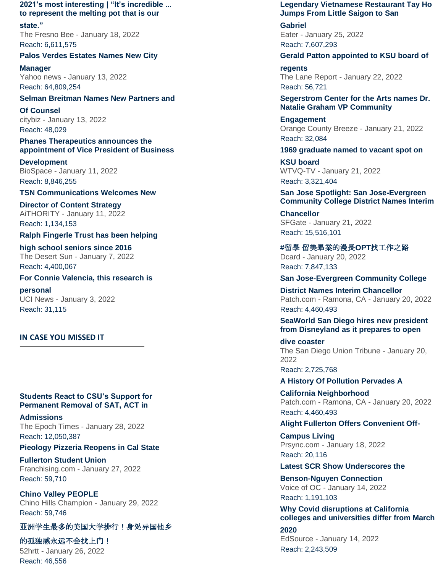**[2021's most interesting | "It's incredible ...](https://nam10.safelinks.protection.outlook.com/?url=https%3A%2F%2Furldefense.com%2Fv3%2F__http%3A%2F%2Flink.newsletter.meltwater.com%2Fls%2Fclick%3Fupn%3Db8QJpFrpw1kZtxpR8rqwdcGQV78DldtL49XDppq7q3rL-2BiZDCiTAKDcVI3NoRHu4hroVazE3DcP4z5qfMCDzdZExtT7f3yK2da0yPI48QckhwAmE9NyCeFdlFyphWsSOc8-2F0uqvEeDaZsTd9UByLcUM1fn6IS2pOu2tMxsBQA3g3FVdJO9ZYGM9W-2FpQQMEw8otQOQPi1y-2Fz3ZbNskAH555-2Ffqf5Ppjo8l2hJPs2L0bJwDn8DUM0Of-2Bs6-2B18BBKSmUA-2BtLXVtWBZPP5f-2FjDl0HnHHbATuMowwNd-2F3U7ycHi1CApOEt71X7RWvN2C8rhHFnF4Sb7KTv3wVdAODwaIKzVQJ-2FhFRGHQLPK8GgdLTbNeL3rY2DO4aXdqTMp2iSNMRKdPwgNN9RQjjS8ZXt2x-2FxgU-2Foc67M-2Foeb0L5UACHapUq2yCjo4O3tLDrH54SyJSFmcZjCY9wuLxUhk8Q1sRDK5zZ3scvTS9Uvn48zu3LriHhyqDDgc9YIHUODg2B7ybMXso9UJM-2FzM7qpEA4H3spvO2KWSl-2BUgUxEsQm2n00TRD0BwVfHoFE4R5Kr8xUN4n5IODQmg2CDi1CVf-2B-2F9JeGA0dVuCmz2jXdYQr0DGI13WIZ7jYKT-2BQP8HjdkuQkrg-2FPxWLmMl5dNKPxvgFxsqA-2Bpr6ZElAF2BhQfXu-2BpUENplrO0zYxnKERsFks4etv9-2BfOWbBtyXZq4fn2bKopfSils1ytHP-2Fbqil-2BH0Do3tjd-2B5Tur0b-2FZkI-2F3PeUPZgU4KugpQz__ixE6zOEep6yKiBB1OGxpdhnot0zTaRBPZzdS2ZIa75kRTS-2BqzWSgnT7HtKDjfh5Jpr3-2BLaxJ-2BIqOvB-2Bz-2FISD0SHcq8ZhfIeW6tctOCbX2TauKwEmeewdHPw98u6PtEcvZgG9GbWS5dLJcq1r6zXv-2BVTfYxUnHNha1SSs6rO-2F8Vh6b31XmXFDV6aokXvxcYThstQl-2FGoqIZh7akgrwYinO6vwMZgw9Q8zVwzdBuHA4oWGWUAeLO1EV-2B-2BELrJ-2Fmi57KnxAiiZ-2FHGI48F4wBLZyNGM7ym0asWITP4ApfevNNvdGxTakLeD-2B6lO3zPAAY2zW8gd6Bgs5Z4h7udhUV-2FmDPVEBaEUy1Or-2Fs8bf1U1rvGyL1uVJyyUVD3MAkc-2FVCvwtqh4g88VU9wKR09UHVLvw7w-3D-3D__%3B!!GF3VTAzAMGBM8A!jQUWaiWD9Q5_MTS1DxHBVtW2je8BlDxTU8ULM0QoH9-HcH08N2OWPqnQLQDYdEw6S0dMgxYLANs%24&data=04%7C01%7Ckatiekenn33%40csu.fullerton.edu%7Cbe2250b1fc6c4a1af85f08d9e4f37e01%7C82c0b871335f4b5c9ed0a4a23565a79b%7C0%7C0%7C637792556752749504%7CUnknown%7CTWFpbGZsb3d8eyJWIjoiMC4wLjAwMDAiLCJQIjoiV2luMzIiLCJBTiI6Ik1haWwiLCJXVCI6Mn0%3D%7C3000&sdata=j97Vq68NNL6yfWGsOGjY3a189ialOY2ekb%2Fdk7ZXvJ8%3D&reserved=0)  [to represent the melting pot](https://nam10.safelinks.protection.outlook.com/?url=https%3A%2F%2Furldefense.com%2Fv3%2F__http%3A%2F%2Flink.newsletter.meltwater.com%2Fls%2Fclick%3Fupn%3Db8QJpFrpw1kZtxpR8rqwdcGQV78DldtL49XDppq7q3rL-2BiZDCiTAKDcVI3NoRHu4hroVazE3DcP4z5qfMCDzdZExtT7f3yK2da0yPI48QckhwAmE9NyCeFdlFyphWsSOc8-2F0uqvEeDaZsTd9UByLcUM1fn6IS2pOu2tMxsBQA3g3FVdJO9ZYGM9W-2FpQQMEw8otQOQPi1y-2Fz3ZbNskAH555-2Ffqf5Ppjo8l2hJPs2L0bJwDn8DUM0Of-2Bs6-2B18BBKSmUA-2BtLXVtWBZPP5f-2FjDl0HnHHbATuMowwNd-2F3U7ycHi1CApOEt71X7RWvN2C8rhHFnF4Sb7KTv3wVdAODwaIKzVQJ-2FhFRGHQLPK8GgdLTbNeL3rY2DO4aXdqTMp2iSNMRKdPwgNN9RQjjS8ZXt2x-2FxgU-2Foc67M-2Foeb0L5UACHapUq2yCjo4O3tLDrH54SyJSFmcZjCY9wuLxUhk8Q1sRDK5zZ3scvTS9Uvn48zu3LriHhyqDDgc9YIHUODg2B7ybMXso9UJM-2FzM7qpEA4H3spvO2KWSl-2BUgUxEsQm2n00TRD0BwVfHoFE4R5Kr8xUN4n5IODQmg2CDi1CVf-2B-2F9JeGA0dVuCmz2jXdYQr0DGI13WIZ7jYKT-2BQP8HjdkuQkrg-2FPxWLmMl5dNKPxvgFxsqA-2Bpr6ZElAF2BhQfXu-2BpUENplrO0zYxnKERsFks4etv9-2BfOWbBtyXZq4fn2bKopfSils1ytHP-2Fbqil-2BH0Do3tjd-2B5Tur0b-2FZkI-2F3PeUPZgU4KugpQz__ixE6zOEep6yKiBB1OGxpdhnot0zTaRBPZzdS2ZIa75kRTS-2BqzWSgnT7HtKDjfh5Jpr3-2BLaxJ-2BIqOvB-2Bz-2FISD0SHcq8ZhfIeW6tctOCbX2TauKwEmeewdHPw98u6PtEcvZgG9GbWS5dLJcq1r6zXv-2BVTfYxUnHNha1SSs6rO-2F8Vh6b31XmXFDV6aokXvxcYThstQl-2FGoqIZh7akgrwYinO6vwMZgw9Q8zVwzdBuHA4oWGWUAeLO1EV-2B-2BELrJ-2Fmi57KnxAiiZ-2FHGI48F4wBLZyNGM7ym0asWITP4ApfevNNvdGxTakLeD-2B6lO3zPAAY2zW8gd6Bgs5Z4h7udhUV-2FmDPVEBaEUy1Or-2Fs8bf1U1rvGyL1uVJyyUVD3MAkc-2FVCvwtqh4g88VU9wKR09UHVLvw7w-3D-3D__%3B!!GF3VTAzAMGBM8A!jQUWaiWD9Q5_MTS1DxHBVtW2je8BlDxTU8ULM0QoH9-HcH08N2OWPqnQLQDYdEw6S0dMgxYLANs%24&data=04%7C01%7Ckatiekenn33%40csu.fullerton.edu%7Cbe2250b1fc6c4a1af85f08d9e4f37e01%7C82c0b871335f4b5c9ed0a4a23565a79b%7C0%7C0%7C637792556752749504%7CUnknown%7CTWFpbGZsb3d8eyJWIjoiMC4wLjAwMDAiLCJQIjoiV2luMzIiLCJBTiI6Ik1haWwiLCJXVCI6Mn0%3D%7C3000&sdata=j97Vq68NNL6yfWGsOGjY3a189ialOY2ekb%2Fdk7ZXvJ8%3D&reserved=0) that is our** 

**[state."](https://nam10.safelinks.protection.outlook.com/?url=https%3A%2F%2Furldefense.com%2Fv3%2F__http%3A%2F%2Flink.newsletter.meltwater.com%2Fls%2Fclick%3Fupn%3Db8QJpFrpw1kZtxpR8rqwdcGQV78DldtL49XDppq7q3rL-2BiZDCiTAKDcVI3NoRHu4hroVazE3DcP4z5qfMCDzdZExtT7f3yK2da0yPI48QckhwAmE9NyCeFdlFyphWsSOc8-2F0uqvEeDaZsTd9UByLcUM1fn6IS2pOu2tMxsBQA3g3FVdJO9ZYGM9W-2FpQQMEw8otQOQPi1y-2Fz3ZbNskAH555-2Ffqf5Ppjo8l2hJPs2L0bJwDn8DUM0Of-2Bs6-2B18BBKSmUA-2BtLXVtWBZPP5f-2FjDl0HnHHbATuMowwNd-2F3U7ycHi1CApOEt71X7RWvN2C8rhHFnF4Sb7KTv3wVdAODwaIKzVQJ-2FhFRGHQLPK8GgdLTbNeL3rY2DO4aXdqTMp2iSNMRKdPwgNN9RQjjS8ZXt2x-2FxgU-2Foc67M-2Foeb0L5UACHapUq2yCjo4O3tLDrH54SyJSFmcZjCY9wuLxUhk8Q1sRDK5zZ3scvTS9Uvn48zu3LriHhyqDDgc9YIHUODg2B7ybMXso9UJM-2FzM7qpEA4H3spvO2KWSl-2BUgUxEsQm2n00TRD0BwVfHoFE4R5Kr8xUN4n5IODQmg2CDi1CVf-2B-2F9JeGA0dVuCmz2jXdYQr0DGI13WIZ7jYKT-2BQP8HjdkuQkrg-2FPxWLmMl5dNKPxvgFxsqA-2Bpr6ZElAF2BhQfXu-2BpUENplrO0zYxnKERsFks4etv9-2BfOWbBtyXZq4fn2bKopfSils1ytHP-2Fbqil-2BH0Do3tjd-2B5Tur0b-2FZkI-2F3PeUPZgU4KugpQz__ixE6zOEep6yKiBB1OGxpdhnot0zTaRBPZzdS2ZIa75kRTS-2BqzWSgnT7HtKDjfh5Jpr3-2BLaxJ-2BIqOvB-2Bz-2FISD0SHcq8ZhfIeW6tctOCbX2TauKwEmeewdHPw98u6PtEcvZgG9GbWS5dLJcq1r6zXv-2BVTfYxUnHNha1SSs6rO-2F8Vh6b31XmXFDV6aokXvxcYThstQl-2FGoqIZh7akgrwYinO6vwMZgw9Q8zVwzdBuHA4oWGWUAeLO1EV-2B-2BELrJ-2Fmi57KnxAiiZ-2FHGI48F4wBLZyNGM7ym0asWITP4ApfevNNvdGxTakLeD-2B6lO3zPAAY2zW8gd6Bgs5Z4h7udhUV-2FmDPVEBaEUy1Or-2Fs8bf1U1rvGyL1uVJyyUVD3MAkc-2FVCvwtqh4g88VU9wKR09UHVLvw7w-3D-3D__%3B!!GF3VTAzAMGBM8A!jQUWaiWD9Q5_MTS1DxHBVtW2je8BlDxTU8ULM0QoH9-HcH08N2OWPqnQLQDYdEw6S0dMgxYLANs%24&data=04%7C01%7Ckatiekenn33%40csu.fullerton.edu%7Cbe2250b1fc6c4a1af85f08d9e4f37e01%7C82c0b871335f4b5c9ed0a4a23565a79b%7C0%7C0%7C637792556752749504%7CUnknown%7CTWFpbGZsb3d8eyJWIjoiMC4wLjAwMDAiLCJQIjoiV2luMzIiLCJBTiI6Ik1haWwiLCJXVCI6Mn0%3D%7C3000&sdata=j97Vq68NNL6yfWGsOGjY3a189ialOY2ekb%2Fdk7ZXvJ8%3D&reserved=0)** The Fresno Bee - January 18, 2022 Reach: 6,611,575

#### **[Palos Verdes Estates Names New City](https://nam10.safelinks.protection.outlook.com/?url=https%3A%2F%2Furldefense.com%2Fv3%2F__http%3A%2F%2Flink.newsletter.meltwater.com%2Fls%2Fclick%3Fupn%3Db8QJpFrpw1kZtxpR8rqwdcGQV78DldtL49XDppq7q3rL-2BiZDCiTAKDcVI3NoRHu4hroVazE3DcP4z5qfMCDzdYA9yYe-2F79i5ZUYoQWwBiIkQBop7dkDbXnf9LxprKsIi98FL0I8I1Id9XYMY2SF3vbjibhK0IJWPqBKHmo9o60LKqObuKgfshMxaUq4Gh6S-2BQ-2B-2FqvOQBZ7iSWldO7c0pEiMnbA41adAEYlCOpAHiHqMEaByulIFvq8gvnBpM-2BtIIFe-2BJwDzUVlVGT-2F5JKRu2PsH1AxS7pOoZypxhM-2BNT5qiF-2BlmgMXHeq9j-2BdVagvHFw8FQkvPGsg6ho3qlIQLCFv-2FJ28pgrO6RQS4HhA77uF8fqQ2hrDZiSEkGe70ZfCwcO-2BqD8TTDH4rAKUuG-2BZi6lvo4AMA6jHVW6ibPh4dr6UcJS0-2BoW6PFs9Hga22UBFxZQwxoEsrO4VfJoeqsxzfEABDmcq-2BYaCcQ-2FSkUuPE8YIBENlmeDfAVYMQQDURN5TWMuSeKcz-2BcgsAvZBodVbOA6w4Ru0BQdiT0McdlcTcFqzv-2FivbeTpol1WpXitT41grKCnpVTKnVynJlDR-2BoOJ07-2FE-2BvH4Evj6t-2BaBPF1GR1CRfUZrTl7iyYiM4yljP9svyYGN-2BXSNIDob7L2k07e-2BKH-2BRcNYN3dPR5JBgXlsSe1WcrJ0QTnir0k30i2gFBT0lqGJ5UkTuMPhSzS-2BFvsMbF0u-2FQ-3D-3D7Yf9_ixE6zOEep6yKiBB1OGxpdhnot0zTaRBPZzdS2ZIa75kRTS-2BqzWSgnT7HtKDjfh5Jpr3-2BLaxJ-2BIqOvB-2Bz-2FISD0SHcq8ZhfIeW6tctOCbX2TauKwEmeewdHPw98u6PtEcvZgG9GbWS5dLJcq1r6zXv-2BVTfYxUnHNha1SSs6rO-2F8Vh6b31XmXFDV6aokXvxcYThstQl-2FGoqIZh7akgrwYinO5gw21Z9VfUlsR1Glg2lJK34u8he0kqb4EGrhESsAWYfUSjAyoI8KIauGINxiofKWEVwFIqkf5BlXvA2kwOVLXOYQnqDEM0Ot1m6N4gqw9vP3Aokhycg6QUr2xwN52dCwZy66BG3KUsoY9VnsPaCQUeDTm2cx1KKQLLMwgoZRaI69xwPMXSzGC21uOs6fh3OOg-3D-3D__%3B!!GF3VTAzAMGBM8A!jQUWaiWD9Q5_MTS1DxHBVtW2je8BlDxTU8ULM0QoH9-HcH08N2OWPqnQLQDYdEw6S0dMHi2Ihkw%24&data=04%7C01%7Ckatiekenn33%40csu.fullerton.edu%7Cbe2250b1fc6c4a1af85f08d9e4f37e01%7C82c0b871335f4b5c9ed0a4a23565a79b%7C0%7C0%7C637792556752749504%7CUnknown%7CTWFpbGZsb3d8eyJWIjoiMC4wLjAwMDAiLCJQIjoiV2luMzIiLCJBTiI6Ik1haWwiLCJXVCI6Mn0%3D%7C3000&sdata=niQ2s%2FRk6HGULTmxT4qgLKCzow66qniY9iHLpLTRLLc%3D&reserved=0)**

**[Manager](https://nam10.safelinks.protection.outlook.com/?url=https%3A%2F%2Furldefense.com%2Fv3%2F__http%3A%2F%2Flink.newsletter.meltwater.com%2Fls%2Fclick%3Fupn%3Db8QJpFrpw1kZtxpR8rqwdcGQV78DldtL49XDppq7q3rL-2BiZDCiTAKDcVI3NoRHu4hroVazE3DcP4z5qfMCDzdYA9yYe-2F79i5ZUYoQWwBiIkQBop7dkDbXnf9LxprKsIi98FL0I8I1Id9XYMY2SF3vbjibhK0IJWPqBKHmo9o60LKqObuKgfshMxaUq4Gh6S-2BQ-2B-2FqvOQBZ7iSWldO7c0pEiMnbA41adAEYlCOpAHiHqMEaByulIFvq8gvnBpM-2BtIIFe-2BJwDzUVlVGT-2F5JKRu2PsH1AxS7pOoZypxhM-2BNT5qiF-2BlmgMXHeq9j-2BdVagvHFw8FQkvPGsg6ho3qlIQLCFv-2FJ28pgrO6RQS4HhA77uF8fqQ2hrDZiSEkGe70ZfCwcO-2BqD8TTDH4rAKUuG-2BZi6lvo4AMA6jHVW6ibPh4dr6UcJS0-2BoW6PFs9Hga22UBFxZQwxoEsrO4VfJoeqsxzfEABDmcq-2BYaCcQ-2FSkUuPE8YIBENlmeDfAVYMQQDURN5TWMuSeKcz-2BcgsAvZBodVbOA6w4Ru0BQdiT0McdlcTcFqzv-2FivbeTpol1WpXitT41grKCnpVTKnVynJlDR-2BoOJ07-2FE-2BvH4Evj6t-2BaBPF1GR1CRfUZrTl7iyYiM4yljP9svyYGN-2BXSNIDob7L2k07e-2BKH-2BRcNYN3dPR5JBgXlsSe1WcrJ0QTnir0k30i2gFBT0lqGJ5UkTuMPhSzS-2BFvsMbF0u-2FQ-3D-3D7Yf9_ixE6zOEep6yKiBB1OGxpdhnot0zTaRBPZzdS2ZIa75kRTS-2BqzWSgnT7HtKDjfh5Jpr3-2BLaxJ-2BIqOvB-2Bz-2FISD0SHcq8ZhfIeW6tctOCbX2TauKwEmeewdHPw98u6PtEcvZgG9GbWS5dLJcq1r6zXv-2BVTfYxUnHNha1SSs6rO-2F8Vh6b31XmXFDV6aokXvxcYThstQl-2FGoqIZh7akgrwYinO5gw21Z9VfUlsR1Glg2lJK34u8he0kqb4EGrhESsAWYfUSjAyoI8KIauGINxiofKWEVwFIqkf5BlXvA2kwOVLXOYQnqDEM0Ot1m6N4gqw9vP3Aokhycg6QUr2xwN52dCwZy66BG3KUsoY9VnsPaCQUeDTm2cx1KKQLLMwgoZRaI69xwPMXSzGC21uOs6fh3OOg-3D-3D__%3B!!GF3VTAzAMGBM8A!jQUWaiWD9Q5_MTS1DxHBVtW2je8BlDxTU8ULM0QoH9-HcH08N2OWPqnQLQDYdEw6S0dMHi2Ihkw%24&data=04%7C01%7Ckatiekenn33%40csu.fullerton.edu%7Cbe2250b1fc6c4a1af85f08d9e4f37e01%7C82c0b871335f4b5c9ed0a4a23565a79b%7C0%7C0%7C637792556752749504%7CUnknown%7CTWFpbGZsb3d8eyJWIjoiMC4wLjAwMDAiLCJQIjoiV2luMzIiLCJBTiI6Ik1haWwiLCJXVCI6Mn0%3D%7C3000&sdata=niQ2s%2FRk6HGULTmxT4qgLKCzow66qniY9iHLpLTRLLc%3D&reserved=0)** Yahoo news - January 13, 2022 Reach: 64,809,254

# **[Selman Breitman Names New Partners and](https://nam10.safelinks.protection.outlook.com/?url=https%3A%2F%2Furldefense.com%2Fv3%2F__http%3A%2F%2Flink.newsletter.meltwater.com%2Fls%2Fclick%3Fupn%3Db8QJpFrpw1kZtxpR8rqwdcGQV78DldtL49XDppq7q3rL-2BiZDCiTAKDcVI3NoRHu4hroVazE3DcP4z5qfMCDzda3YiTVQj5MPw0lHPjOJ-2BfTY9V5Om4wueBstOabvaLzQdbeh4x7WeVQYTbtKXq02hM-2BLp6CM4woXwSWUbGEJg6xcBzdrgPDCSIUJbrRa3hbjmvAng301Bu2xTeTSyYJbHt4XU2lcCRGij5s2C1ZNOl73SnO8v5-2F4wLCLzuDnjDezpOQKgoKqN2UXDl8k2X67ONGWzLphOUH2kcSsXpJL2UtLp4ZTRgxHlkNYnnCacHWhfEz4T8akFH-2FkLlYMeZ4qVO2Qe9Z4eUVI-2FgtAqMgiAkgE9SLrHpojnq40E347tNeA5j2nMCRvQrcmko-2BMJlBt98GMT3SNz3m7Ouyamh3RPhXJZYOL17zojg8K9QZ3-2FuNHuVSKCsY5HCawzEYJ-2Fv2fN9UJCO4YP2TGzgbudbU-2F7gnDUxGHh9wJxeQVu9JN9U8cuXGhEaKYUFUIIRnfWGKZjAKvByVAbTKlrytO-2B0eRS-2BtX0dB0omMjHqNgHPZ-2BfmUFzs7KGngR6L0kt5H3Q3gCjnQfvgc8mFlp6-2BJ-2B-2BfDFFPksN0axuUgGt3YqwD7QtCJhKRWOvG6iGMB-2FNYN3Rikfn7oufVwLVkxVFb75lEficWji0ZuJnhv-2BqvukzX4XxrYi-2FGvme8817c9xoeDMuvG-2BZAm7peSQPCyHviIrhmMEKk8-3Dlfku_ixE6zOEep6yKiBB1OGxpdhnot0zTaRBPZzdS2ZIa75kRTS-2BqzWSgnT7HtKDjfh5Jpr3-2BLaxJ-2BIqOvB-2Bz-2FISD0SHcq8ZhfIeW6tctOCbX2TauKwEmeewdHPw98u6PtEcvZgG9GbWS5dLJcq1r6zXv-2BVTfYxUnHNha1SSs6rO-2F8Vh6b31XmXFDV6aokXvxcYThstQl-2FGoqIZh7akgrwYinO6k2W1AeRp3BIqmbWdj-2FuCaZxF8jON9piXXab8tEsH5FsfYtROKqgT9IVp79sIDYOTj7Yw49V-2B-2B0fsq-2Be9yz53idOh03qWLcTj-2FbjrRPbjhKoiRYcxRJbCKBa9CVjvtT6fLftMhZA5EosV79qLaZz46ECRKqYcqPr6lTGtgvxgkbVkz3t2n-2FZrDcezf81ALT3g-3D-3D__%3B!!GF3VTAzAMGBM8A!jQUWaiWD9Q5_MTS1DxHBVtW2je8BlDxTU8ULM0QoH9-HcH08N2OWPqnQLQDYdEw6S0dM5Ndl9gA%24&data=04%7C01%7Ckatiekenn33%40csu.fullerton.edu%7Cbe2250b1fc6c4a1af85f08d9e4f37e01%7C82c0b871335f4b5c9ed0a4a23565a79b%7C0%7C0%7C637792556752749504%7CUnknown%7CTWFpbGZsb3d8eyJWIjoiMC4wLjAwMDAiLCJQIjoiV2luMzIiLCJBTiI6Ik1haWwiLCJXVCI6Mn0%3D%7C3000&sdata=jpUl8QFZLe3UcXCGS%2BH62mIqoXmw72MBLAK1Bq4FpW0%3D&reserved=0)**

**[Of Counsel](https://nam10.safelinks.protection.outlook.com/?url=https%3A%2F%2Furldefense.com%2Fv3%2F__http%3A%2F%2Flink.newsletter.meltwater.com%2Fls%2Fclick%3Fupn%3Db8QJpFrpw1kZtxpR8rqwdcGQV78DldtL49XDppq7q3rL-2BiZDCiTAKDcVI3NoRHu4hroVazE3DcP4z5qfMCDzda3YiTVQj5MPw0lHPjOJ-2BfTY9V5Om4wueBstOabvaLzQdbeh4x7WeVQYTbtKXq02hM-2BLp6CM4woXwSWUbGEJg6xcBzdrgPDCSIUJbrRa3hbjmvAng301Bu2xTeTSyYJbHt4XU2lcCRGij5s2C1ZNOl73SnO8v5-2F4wLCLzuDnjDezpOQKgoKqN2UXDl8k2X67ONGWzLphOUH2kcSsXpJL2UtLp4ZTRgxHlkNYnnCacHWhfEz4T8akFH-2FkLlYMeZ4qVO2Qe9Z4eUVI-2FgtAqMgiAkgE9SLrHpojnq40E347tNeA5j2nMCRvQrcmko-2BMJlBt98GMT3SNz3m7Ouyamh3RPhXJZYOL17zojg8K9QZ3-2FuNHuVSKCsY5HCawzEYJ-2Fv2fN9UJCO4YP2TGzgbudbU-2F7gnDUxGHh9wJxeQVu9JN9U8cuXGhEaKYUFUIIRnfWGKZjAKvByVAbTKlrytO-2B0eRS-2BtX0dB0omMjHqNgHPZ-2BfmUFzs7KGngR6L0kt5H3Q3gCjnQfvgc8mFlp6-2BJ-2B-2BfDFFPksN0axuUgGt3YqwD7QtCJhKRWOvG6iGMB-2FNYN3Rikfn7oufVwLVkxVFb75lEficWji0ZuJnhv-2BqvukzX4XxrYi-2FGvme8817c9xoeDMuvG-2BZAm7peSQPCyHviIrhmMEKk8-3Dlfku_ixE6zOEep6yKiBB1OGxpdhnot0zTaRBPZzdS2ZIa75kRTS-2BqzWSgnT7HtKDjfh5Jpr3-2BLaxJ-2BIqOvB-2Bz-2FISD0SHcq8ZhfIeW6tctOCbX2TauKwEmeewdHPw98u6PtEcvZgG9GbWS5dLJcq1r6zXv-2BVTfYxUnHNha1SSs6rO-2F8Vh6b31XmXFDV6aokXvxcYThstQl-2FGoqIZh7akgrwYinO6k2W1AeRp3BIqmbWdj-2FuCaZxF8jON9piXXab8tEsH5FsfYtROKqgT9IVp79sIDYOTj7Yw49V-2B-2B0fsq-2Be9yz53idOh03qWLcTj-2FbjrRPbjhKoiRYcxRJbCKBa9CVjvtT6fLftMhZA5EosV79qLaZz46ECRKqYcqPr6lTGtgvxgkbVkz3t2n-2FZrDcezf81ALT3g-3D-3D__%3B!!GF3VTAzAMGBM8A!jQUWaiWD9Q5_MTS1DxHBVtW2je8BlDxTU8ULM0QoH9-HcH08N2OWPqnQLQDYdEw6S0dM5Ndl9gA%24&data=04%7C01%7Ckatiekenn33%40csu.fullerton.edu%7Cbe2250b1fc6c4a1af85f08d9e4f37e01%7C82c0b871335f4b5c9ed0a4a23565a79b%7C0%7C0%7C637792556752749504%7CUnknown%7CTWFpbGZsb3d8eyJWIjoiMC4wLjAwMDAiLCJQIjoiV2luMzIiLCJBTiI6Ik1haWwiLCJXVCI6Mn0%3D%7C3000&sdata=jpUl8QFZLe3UcXCGS%2BH62mIqoXmw72MBLAK1Bq4FpW0%3D&reserved=0)** citybiz - January 13, 2022 Reach: 48,029

**[Phanes Therapeutics announces the](https://nam10.safelinks.protection.outlook.com/?url=https%3A%2F%2Furldefense.com%2Fv3%2F__http%3A%2F%2Flink.newsletter.meltwater.com%2Fls%2Fclick%3Fupn%3Db8QJpFrpw1kZtxpR8rqwdcGQV78DldtL49XDppq7q3rL-2BiZDCiTAKDcVI3NoRHu4hroVazE3DcP4z5qfMCDzdbzOMgW23aBzojm82zRr1-2FVp9AbNnxn7UzLrvTizP3NklTCL5tHwaRAqb10iFJMBpkkTgLJxcRT7i3B53T0Qq7JhJKqDUeR9GyE4cbHk3ydhcY2LtmaKJuVr8-2BAmPzF-2FnUt-2B2Nqpf7lbeDYBUmnQZmjGC-2FzQ8kWUyUjkV34cEJ1zuCvS3yLuxQtSsFESRQpWJsgVuGBuCdwqtsGn5u-2F9jOwugvQEpqUFN-2F9CQCVltvrOJnHnC7Xx-2BZyZWvSrvbMwR7dBVWHOpWBnGZPZmDmoS2MRa9Qn7Tg3FzvFGCbTMvZLmfnSQIcu27tsUyhii1iztKUUiuOaHkoZffkTHuH4BGv0iWnufXseVnju80zLm-2FZ1Py7g5I52foFN-2BAWvprNusqWZj8GHCEDGJMrzG-2B0rtYdaxyhpP3pSmFU061dLO3SdB5ybGVZTrFm1mDiNCIn9KMVjPLx40cK1uJZrFydbA6VSYMbLSE1TbfwNDK2aWoNQxf897JjLar-2FUDXNfn8CY4-2BIl8Z39Zn6-2B2grA6h4Luvp2l5dvw6plmsn07wQ-2FxgLG-2FexjwWCs7P7-2BHSBsjBbSHy-2FlGyju7sun2e4YgVD5w9-2BhHXSyFgb-2FHtLEfoqHwszc14FDQLM8-2FZLHYgyuYMB0ab4fu1w3tYhli8YJdsrBc79tg-2FrdWe3rWlud1s1nOV2ahmNLTTf1HfOJGAPDBWiuvzwxytcns6-2Bm-2Fxcpa2lrvRg-3Dk4Ip_ixE6zOEep6yKiBB1OGxpdhnot0zTaRBPZzdS2ZIa75kRTS-2BqzWSgnT7HtKDjfh5Jpr3-2BLaxJ-2BIqOvB-2Bz-2FISD0SHcq8ZhfIeW6tctOCbX2TauKwEmeewdHPw98u6PtEcvZgG9GbWS5dLJcq1r6zXv-2BVTfYxUnHNha1SSs6rO-2F8Vh6b31XmXFDV6aokXvxcYThstQl-2FGoqIZh7akgrwYinOxjxNhtb8xji0UkEpBGTdhZ5dUHnvpvtW0yyhBYyEZxhRBIYbrqm4WD-2FbjcX-2FETgl7Sesj4Stx8HV-2FqyMeed8pojgu3X-2Fmlqh0Vj7lcOpnm28MZ6ouH5I-2Fir3WVodFQ7clz8LqHMyyzDHDXeuFFLDNAG1DcHnwUZRs7K3hlrgakV3S3CwcjKHi8WSsiEavK2wA-3D-3D__%3B!!GF3VTAzAMGBM8A!jQUWaiWD9Q5_MTS1DxHBVtW2je8BlDxTU8ULM0QoH9-HcH08N2OWPqnQLQDYdEw6S0dMzUfRbOk%24&data=04%7C01%7Ckatiekenn33%40csu.fullerton.edu%7Cbe2250b1fc6c4a1af85f08d9e4f37e01%7C82c0b871335f4b5c9ed0a4a23565a79b%7C0%7C0%7C637792556752905743%7CUnknown%7CTWFpbGZsb3d8eyJWIjoiMC4wLjAwMDAiLCJQIjoiV2luMzIiLCJBTiI6Ik1haWwiLCJXVCI6Mn0%3D%7C3000&sdata=suWeqzLLUUQiVP3StbCx82BMqb43MaL8uY7tL12Bl04%3D&reserved=0)  [appointment of Vice President of Business](https://nam10.safelinks.protection.outlook.com/?url=https%3A%2F%2Furldefense.com%2Fv3%2F__http%3A%2F%2Flink.newsletter.meltwater.com%2Fls%2Fclick%3Fupn%3Db8QJpFrpw1kZtxpR8rqwdcGQV78DldtL49XDppq7q3rL-2BiZDCiTAKDcVI3NoRHu4hroVazE3DcP4z5qfMCDzdbzOMgW23aBzojm82zRr1-2FVp9AbNnxn7UzLrvTizP3NklTCL5tHwaRAqb10iFJMBpkkTgLJxcRT7i3B53T0Qq7JhJKqDUeR9GyE4cbHk3ydhcY2LtmaKJuVr8-2BAmPzF-2FnUt-2B2Nqpf7lbeDYBUmnQZmjGC-2FzQ8kWUyUjkV34cEJ1zuCvS3yLuxQtSsFESRQpWJsgVuGBuCdwqtsGn5u-2F9jOwugvQEpqUFN-2F9CQCVltvrOJnHnC7Xx-2BZyZWvSrvbMwR7dBVWHOpWBnGZPZmDmoS2MRa9Qn7Tg3FzvFGCbTMvZLmfnSQIcu27tsUyhii1iztKUUiuOaHkoZffkTHuH4BGv0iWnufXseVnju80zLm-2FZ1Py7g5I52foFN-2BAWvprNusqWZj8GHCEDGJMrzG-2B0rtYdaxyhpP3pSmFU061dLO3SdB5ybGVZTrFm1mDiNCIn9KMVjPLx40cK1uJZrFydbA6VSYMbLSE1TbfwNDK2aWoNQxf897JjLar-2FUDXNfn8CY4-2BIl8Z39Zn6-2B2grA6h4Luvp2l5dvw6plmsn07wQ-2FxgLG-2FexjwWCs7P7-2BHSBsjBbSHy-2FlGyju7sun2e4YgVD5w9-2BhHXSyFgb-2FHtLEfoqHwszc14FDQLM8-2FZLHYgyuYMB0ab4fu1w3tYhli8YJdsrBc79tg-2FrdWe3rWlud1s1nOV2ahmNLTTf1HfOJGAPDBWiuvzwxytcns6-2Bm-2Fxcpa2lrvRg-3Dk4Ip_ixE6zOEep6yKiBB1OGxpdhnot0zTaRBPZzdS2ZIa75kRTS-2BqzWSgnT7HtKDjfh5Jpr3-2BLaxJ-2BIqOvB-2Bz-2FISD0SHcq8ZhfIeW6tctOCbX2TauKwEmeewdHPw98u6PtEcvZgG9GbWS5dLJcq1r6zXv-2BVTfYxUnHNha1SSs6rO-2F8Vh6b31XmXFDV6aokXvxcYThstQl-2FGoqIZh7akgrwYinOxjxNhtb8xji0UkEpBGTdhZ5dUHnvpvtW0yyhBYyEZxhRBIYbrqm4WD-2FbjcX-2FETgl7Sesj4Stx8HV-2FqyMeed8pojgu3X-2Fmlqh0Vj7lcOpnm28MZ6ouH5I-2Fir3WVodFQ7clz8LqHMyyzDHDXeuFFLDNAG1DcHnwUZRs7K3hlrgakV3S3CwcjKHi8WSsiEavK2wA-3D-3D__%3B!!GF3VTAzAMGBM8A!jQUWaiWD9Q5_MTS1DxHBVtW2je8BlDxTU8ULM0QoH9-HcH08N2OWPqnQLQDYdEw6S0dMzUfRbOk%24&data=04%7C01%7Ckatiekenn33%40csu.fullerton.edu%7Cbe2250b1fc6c4a1af85f08d9e4f37e01%7C82c0b871335f4b5c9ed0a4a23565a79b%7C0%7C0%7C637792556752905743%7CUnknown%7CTWFpbGZsb3d8eyJWIjoiMC4wLjAwMDAiLCJQIjoiV2luMzIiLCJBTiI6Ik1haWwiLCJXVCI6Mn0%3D%7C3000&sdata=suWeqzLLUUQiVP3StbCx82BMqb43MaL8uY7tL12Bl04%3D&reserved=0)** 

**[Development](https://nam10.safelinks.protection.outlook.com/?url=https%3A%2F%2Furldefense.com%2Fv3%2F__http%3A%2F%2Flink.newsletter.meltwater.com%2Fls%2Fclick%3Fupn%3Db8QJpFrpw1kZtxpR8rqwdcGQV78DldtL49XDppq7q3rL-2BiZDCiTAKDcVI3NoRHu4hroVazE3DcP4z5qfMCDzdbzOMgW23aBzojm82zRr1-2FVp9AbNnxn7UzLrvTizP3NklTCL5tHwaRAqb10iFJMBpkkTgLJxcRT7i3B53T0Qq7JhJKqDUeR9GyE4cbHk3ydhcY2LtmaKJuVr8-2BAmPzF-2FnUt-2B2Nqpf7lbeDYBUmnQZmjGC-2FzQ8kWUyUjkV34cEJ1zuCvS3yLuxQtSsFESRQpWJsgVuGBuCdwqtsGn5u-2F9jOwugvQEpqUFN-2F9CQCVltvrOJnHnC7Xx-2BZyZWvSrvbMwR7dBVWHOpWBnGZPZmDmoS2MRa9Qn7Tg3FzvFGCbTMvZLmfnSQIcu27tsUyhii1iztKUUiuOaHkoZffkTHuH4BGv0iWnufXseVnju80zLm-2FZ1Py7g5I52foFN-2BAWvprNusqWZj8GHCEDGJMrzG-2B0rtYdaxyhpP3pSmFU061dLO3SdB5ybGVZTrFm1mDiNCIn9KMVjPLx40cK1uJZrFydbA6VSYMbLSE1TbfwNDK2aWoNQxf897JjLar-2FUDXNfn8CY4-2BIl8Z39Zn6-2B2grA6h4Luvp2l5dvw6plmsn07wQ-2FxgLG-2FexjwWCs7P7-2BHSBsjBbSHy-2FlGyju7sun2e4YgVD5w9-2BhHXSyFgb-2FHtLEfoqHwszc14FDQLM8-2FZLHYgyuYMB0ab4fu1w3tYhli8YJdsrBc79tg-2FrdWe3rWlud1s1nOV2ahmNLTTf1HfOJGAPDBWiuvzwxytcns6-2Bm-2Fxcpa2lrvRg-3Dk4Ip_ixE6zOEep6yKiBB1OGxpdhnot0zTaRBPZzdS2ZIa75kRTS-2BqzWSgnT7HtKDjfh5Jpr3-2BLaxJ-2BIqOvB-2Bz-2FISD0SHcq8ZhfIeW6tctOCbX2TauKwEmeewdHPw98u6PtEcvZgG9GbWS5dLJcq1r6zXv-2BVTfYxUnHNha1SSs6rO-2F8Vh6b31XmXFDV6aokXvxcYThstQl-2FGoqIZh7akgrwYinOxjxNhtb8xji0UkEpBGTdhZ5dUHnvpvtW0yyhBYyEZxhRBIYbrqm4WD-2FbjcX-2FETgl7Sesj4Stx8HV-2FqyMeed8pojgu3X-2Fmlqh0Vj7lcOpnm28MZ6ouH5I-2Fir3WVodFQ7clz8LqHMyyzDHDXeuFFLDNAG1DcHnwUZRs7K3hlrgakV3S3CwcjKHi8WSsiEavK2wA-3D-3D__%3B!!GF3VTAzAMGBM8A!jQUWaiWD9Q5_MTS1DxHBVtW2je8BlDxTU8ULM0QoH9-HcH08N2OWPqnQLQDYdEw6S0dMzUfRbOk%24&data=04%7C01%7Ckatiekenn33%40csu.fullerton.edu%7Cbe2250b1fc6c4a1af85f08d9e4f37e01%7C82c0b871335f4b5c9ed0a4a23565a79b%7C0%7C0%7C637792556752905743%7CUnknown%7CTWFpbGZsb3d8eyJWIjoiMC4wLjAwMDAiLCJQIjoiV2luMzIiLCJBTiI6Ik1haWwiLCJXVCI6Mn0%3D%7C3000&sdata=suWeqzLLUUQiVP3StbCx82BMqb43MaL8uY7tL12Bl04%3D&reserved=0)** BioSpace - January 11, 2022 Reach: 8,846,255

#### **[TSN Communications Welcomes New](https://nam10.safelinks.protection.outlook.com/?url=https%3A%2F%2Furldefense.com%2Fv3%2F__http%3A%2F%2Flink.newsletter.meltwater.com%2Fls%2Fclick%3Fupn%3Db8QJpFrpw1kZtxpR8rqwdcGQV78DldtL49XDppq7q3rL-2BiZDCiTAKDcVI3NoRHu4hroVazE3DcP4z5qfMCDzdTOOSgRfswIWJhXo7npveWHw9LTE5KqvSCliFLP1g3IhtATnSEgT8V5l32tzK57E0-2B1rcLljCvHa6mO7n-2BEAj-2BCbju4pMpPFz4oRt1BVsaPWqhAJrUX5kGtc3Ni4RZlg34OL7LKQau-2BLLdsTyT2YDhxEBxR0PrgNtGGq5obT33RpY0526vU-2B1ofOG1a4LKb62Z30A9bgbKVRHDDjvbJ7D1ph1hioAoMoT53cwDfB0eBPqFy93gSm4hO2lDFiS4rA9kg-2F16-2FpIHd-2BKyLyl3dl9boX-2BhTDHIv45rIEhw52Rcf4s56j75I3m7PYmvqERbUvSQXD6GMZIkp-2BIIhKa0HazNU-2BCjF7nrMOYyo9IKqnGCY-2FMAxXVWUbM3p6JMkrHWUus8xVmhl093PbFPoAnlxkoZd1yN44lppsl4Nz1TezRUyvc0nlqXgAYfq6KCdF8wkkGqxwheTHnDKqbAfQiootJflsDvwixWfvnH0E4KC0cmRqmkN2Qf7xt5lEUtN-2BKbQGuU3S-2BAhj5JovptNZ8Bs7cdI6eGLpJOS2crQ94PI2p-2B2cOELia018LyVH5TNIHYfSfF9Zz6wEwNword3eIj5CFbc50UsWHPhZFBAcoJlHRDMV8OZNRO2DDFAn5mEwvQDxCETd7ywgR5E8aiv4Jx6MuD6pNtMHgXAcrkJbY6kMMGYqgNFP_ixE6zOEep6yKiBB1OGxpdhnot0zTaRBPZzdS2ZIa75kRTS-2BqzWSgnT7HtKDjfh5Jpr3-2BLaxJ-2BIqOvB-2Bz-2FISD0SHcq8ZhfIeW6tctOCbX2TauKwEmeewdHPw98u6PtEcvZgG9GbWS5dLJcq1r6zXv-2BVTfYxUnHNha1SSs6rO-2F8Vh6b31XmXFDV6aokXvxcYThstQl-2FGoqIZh7akgrwYinOy2CQ-2FciRqBEzqte8dKXOQln6lFxB6pIlah48F7wmIf6IMP9Z2KOAhDwF5nu2n66-2FWCudXpENF5XlZMzzRX8fb4DVowI3e-2FYz4U-2FoVcT-2F5gznLwgFejcqf8veCobEi0ifR3-2B-2BgbSS96scg-2FvCsK4CvSghAAPDy2fJFkht64MMAPu5SZPIzAXIjAddAbiHMl1bw-3D-3D__%3B!!GF3VTAzAMGBM8A!jQUWaiWD9Q5_MTS1DxHBVtW2je8BlDxTU8ULM0QoH9-HcH08N2OWPqnQLQDYdEw6S0dMWd_RZvA%24&data=04%7C01%7Ckatiekenn33%40csu.fullerton.edu%7Cbe2250b1fc6c4a1af85f08d9e4f37e01%7C82c0b871335f4b5c9ed0a4a23565a79b%7C0%7C0%7C637792556752905743%7CUnknown%7CTWFpbGZsb3d8eyJWIjoiMC4wLjAwMDAiLCJQIjoiV2luMzIiLCJBTiI6Ik1haWwiLCJXVCI6Mn0%3D%7C3000&sdata=Dqx56B7SokQ5Zu29VmaozbmonOFtotCHLVTy%2F38l8ZI%3D&reserved=0)**

**[Director of Content Strategy](https://nam10.safelinks.protection.outlook.com/?url=https%3A%2F%2Furldefense.com%2Fv3%2F__http%3A%2F%2Flink.newsletter.meltwater.com%2Fls%2Fclick%3Fupn%3Db8QJpFrpw1kZtxpR8rqwdcGQV78DldtL49XDppq7q3rL-2BiZDCiTAKDcVI3NoRHu4hroVazE3DcP4z5qfMCDzdTOOSgRfswIWJhXo7npveWHw9LTE5KqvSCliFLP1g3IhtATnSEgT8V5l32tzK57E0-2B1rcLljCvHa6mO7n-2BEAj-2BCbju4pMpPFz4oRt1BVsaPWqhAJrUX5kGtc3Ni4RZlg34OL7LKQau-2BLLdsTyT2YDhxEBxR0PrgNtGGq5obT33RpY0526vU-2B1ofOG1a4LKb62Z30A9bgbKVRHDDjvbJ7D1ph1hioAoMoT53cwDfB0eBPqFy93gSm4hO2lDFiS4rA9kg-2F16-2FpIHd-2BKyLyl3dl9boX-2BhTDHIv45rIEhw52Rcf4s56j75I3m7PYmvqERbUvSQXD6GMZIkp-2BIIhKa0HazNU-2BCjF7nrMOYyo9IKqnGCY-2FMAxXVWUbM3p6JMkrHWUus8xVmhl093PbFPoAnlxkoZd1yN44lppsl4Nz1TezRUyvc0nlqXgAYfq6KCdF8wkkGqxwheTHnDKqbAfQiootJflsDvwixWfvnH0E4KC0cmRqmkN2Qf7xt5lEUtN-2BKbQGuU3S-2BAhj5JovptNZ8Bs7cdI6eGLpJOS2crQ94PI2p-2B2cOELia018LyVH5TNIHYfSfF9Zz6wEwNword3eIj5CFbc50UsWHPhZFBAcoJlHRDMV8OZNRO2DDFAn5mEwvQDxCETd7ywgR5E8aiv4Jx6MuD6pNtMHgXAcrkJbY6kMMGYqgNFP_ixE6zOEep6yKiBB1OGxpdhnot0zTaRBPZzdS2ZIa75kRTS-2BqzWSgnT7HtKDjfh5Jpr3-2BLaxJ-2BIqOvB-2Bz-2FISD0SHcq8ZhfIeW6tctOCbX2TauKwEmeewdHPw98u6PtEcvZgG9GbWS5dLJcq1r6zXv-2BVTfYxUnHNha1SSs6rO-2F8Vh6b31XmXFDV6aokXvxcYThstQl-2FGoqIZh7akgrwYinOy2CQ-2FciRqBEzqte8dKXOQln6lFxB6pIlah48F7wmIf6IMP9Z2KOAhDwF5nu2n66-2FWCudXpENF5XlZMzzRX8fb4DVowI3e-2FYz4U-2FoVcT-2F5gznLwgFejcqf8veCobEi0ifR3-2B-2BgbSS96scg-2FvCsK4CvSghAAPDy2fJFkht64MMAPu5SZPIzAXIjAddAbiHMl1bw-3D-3D__%3B!!GF3VTAzAMGBM8A!jQUWaiWD9Q5_MTS1DxHBVtW2je8BlDxTU8ULM0QoH9-HcH08N2OWPqnQLQDYdEw6S0dMWd_RZvA%24&data=04%7C01%7Ckatiekenn33%40csu.fullerton.edu%7Cbe2250b1fc6c4a1af85f08d9e4f37e01%7C82c0b871335f4b5c9ed0a4a23565a79b%7C0%7C0%7C637792556752905743%7CUnknown%7CTWFpbGZsb3d8eyJWIjoiMC4wLjAwMDAiLCJQIjoiV2luMzIiLCJBTiI6Ik1haWwiLCJXVCI6Mn0%3D%7C3000&sdata=Dqx56B7SokQ5Zu29VmaozbmonOFtotCHLVTy%2F38l8ZI%3D&reserved=0)** AiTHORITY - January 11, 2022 Reach: 1,134,153

#### **[Ralph Fingerle Trust has been helping](https://nam10.safelinks.protection.outlook.com/?url=https%3A%2F%2Furldefense.com%2Fv3%2F__http%3A%2F%2Flink.newsletter.meltwater.com%2Fls%2Fclick%3Fupn%3Db8QJpFrpw1kZtxpR8rqwdcGQV78DldtL49XDppq7q3rL-2BiZDCiTAKDcVI3NoRHu4hroVazE3DcP4z5qfMCDzdX1YHTBwOIQxP8z925SrVYQxR3FOdm6i3pLIJw6gYN8WuC0DEiEkQnh5y30vQ5HT7LhnCWLzlaA0pn0pW35eMVe2vmWxpoDBqsRmiyo4a-2BUNkCqinwe2stx9v6yHNZZcVrYO1E-2BML5WxYXcz65u7wYJAXEKAqtphxzXwSpjTdVEg9APjZfTlyvqKxFf1wD-2F0u8ekqtjDjUJqwFIb-2BIK-2FoSWrN0kExaCk-2Bx2L8KM0iaZhSZwYP2RbRwt7xtkfctVEa-2BXnB06VtclEuTC-2Fh8CmuKOiIVdRCq5xHaMqG34ecngCOghWShF0MLCE5Dr0PVSKAOCec0fWFr1A-2FFt9OF3w9HUcxnGqy18KSc0qWeBW40Un6OxbBF6t6FjmWm1Zdw439E2EX7rSytUXZ8KI272mVjfPisdnHkdtGAnJRgKqP1W2-2BpMlqdh-2BAW5ZCHpG4gdrcc10GpxA8auKoL15Mcj-2FlQHTpXeuOG9JnhsENXgO8rIcBpDx-2BEEsDeB-2BLeAR2SKfCV6pNfCLIqwOe8EkVjnUaZPLKQE60VSU5zwlWjt7aoSnF1Gp6oqwXPjFGHkqo75hsgIWUeBQfiqLXjNuBIKoiyOixBYOu4yqxS2jVmYzc9pMnE4WBkiPox9OJzHFm3mf8K3BoRueyB5LHn4r6ZGOmBi-2Bh7jAv1BrZhwKu26E8l-2FSleaLVg5AcH1kwiKaD6z4I9IlM3sFSC6N8Uvw6qfPt4Q-3Diwg5_ixE6zOEep6yKiBB1OGxpdhnot0zTaRBPZzdS2ZIa75kRTS-2BqzWSgnT7HtKDjfh5Jpr3-2BLaxJ-2BIqOvB-2Bz-2FISD0SHcq8ZhfIeW6tctOCbX2TauKwEmeewdHPw98u6PtEcvZgG9GbWS5dLJcq1r6zXv-2BVTfYxUnHNha1SSs6rO-2F8Vh6b31XmXFDV6aokXvxcYThstQl-2FGoqIZh7akgrwYinO0aL9fW0tKGgoSOn9iX2pQtjHJ29qzS4jDRAHSokdwcX-2BY5g8rmaE2jbmE4dXA4Goxml54jI-2F7ynawM9lETraX2CG7NxprPP5s04LHWUdqAZeD6L-2FtY0hEd4dw3yBU2NV-2B2DrU8wajR97APv5OSj1ycd8RTwv-2BRvIC-2FJi5VFI4rwFQvLWfJHV2arVU0eV3smHA-3D-3D__%3B!!GF3VTAzAMGBM8A!jQUWaiWD9Q5_MTS1DxHBVtW2je8BlDxTU8ULM0QoH9-HcH08N2OWPqnQLQDYdEw6S0dMQ_3ZZGo%24&data=04%7C01%7Ckatiekenn33%40csu.fullerton.edu%7Cbe2250b1fc6c4a1af85f08d9e4f37e01%7C82c0b871335f4b5c9ed0a4a23565a79b%7C0%7C0%7C637792556752905743%7CUnknown%7CTWFpbGZsb3d8eyJWIjoiMC4wLjAwMDAiLCJQIjoiV2luMzIiLCJBTiI6Ik1haWwiLCJXVCI6Mn0%3D%7C3000&sdata=nR%2FgDJCbGc0DKLEtuhwGQJ705e0Bahvk0JvBoccFXaM%3D&reserved=0)**

**[high school seniors since 2016](https://nam10.safelinks.protection.outlook.com/?url=https%3A%2F%2Furldefense.com%2Fv3%2F__http%3A%2F%2Flink.newsletter.meltwater.com%2Fls%2Fclick%3Fupn%3Db8QJpFrpw1kZtxpR8rqwdcGQV78DldtL49XDppq7q3rL-2BiZDCiTAKDcVI3NoRHu4hroVazE3DcP4z5qfMCDzdX1YHTBwOIQxP8z925SrVYQxR3FOdm6i3pLIJw6gYN8WuC0DEiEkQnh5y30vQ5HT7LhnCWLzlaA0pn0pW35eMVe2vmWxpoDBqsRmiyo4a-2BUNkCqinwe2stx9v6yHNZZcVrYO1E-2BML5WxYXcz65u7wYJAXEKAqtphxzXwSpjTdVEg9APjZfTlyvqKxFf1wD-2F0u8ekqtjDjUJqwFIb-2BIK-2FoSWrN0kExaCk-2Bx2L8KM0iaZhSZwYP2RbRwt7xtkfctVEa-2BXnB06VtclEuTC-2Fh8CmuKOiIVdRCq5xHaMqG34ecngCOghWShF0MLCE5Dr0PVSKAOCec0fWFr1A-2FFt9OF3w9HUcxnGqy18KSc0qWeBW40Un6OxbBF6t6FjmWm1Zdw439E2EX7rSytUXZ8KI272mVjfPisdnHkdtGAnJRgKqP1W2-2BpMlqdh-2BAW5ZCHpG4gdrcc10GpxA8auKoL15Mcj-2FlQHTpXeuOG9JnhsENXgO8rIcBpDx-2BEEsDeB-2BLeAR2SKfCV6pNfCLIqwOe8EkVjnUaZPLKQE60VSU5zwlWjt7aoSnF1Gp6oqwXPjFGHkqo75hsgIWUeBQfiqLXjNuBIKoiyOixBYOu4yqxS2jVmYzc9pMnE4WBkiPox9OJzHFm3mf8K3BoRueyB5LHn4r6ZGOmBi-2Bh7jAv1BrZhwKu26E8l-2FSleaLVg5AcH1kwiKaD6z4I9IlM3sFSC6N8Uvw6qfPt4Q-3Diwg5_ixE6zOEep6yKiBB1OGxpdhnot0zTaRBPZzdS2ZIa75kRTS-2BqzWSgnT7HtKDjfh5Jpr3-2BLaxJ-2BIqOvB-2Bz-2FISD0SHcq8ZhfIeW6tctOCbX2TauKwEmeewdHPw98u6PtEcvZgG9GbWS5dLJcq1r6zXv-2BVTfYxUnHNha1SSs6rO-2F8Vh6b31XmXFDV6aokXvxcYThstQl-2FGoqIZh7akgrwYinO0aL9fW0tKGgoSOn9iX2pQtjHJ29qzS4jDRAHSokdwcX-2BY5g8rmaE2jbmE4dXA4Goxml54jI-2F7ynawM9lETraX2CG7NxprPP5s04LHWUdqAZeD6L-2FtY0hEd4dw3yBU2NV-2B2DrU8wajR97APv5OSj1ycd8RTwv-2BRvIC-2FJi5VFI4rwFQvLWfJHV2arVU0eV3smHA-3D-3D__%3B!!GF3VTAzAMGBM8A!jQUWaiWD9Q5_MTS1DxHBVtW2je8BlDxTU8ULM0QoH9-HcH08N2OWPqnQLQDYdEw6S0dMQ_3ZZGo%24&data=04%7C01%7Ckatiekenn33%40csu.fullerton.edu%7Cbe2250b1fc6c4a1af85f08d9e4f37e01%7C82c0b871335f4b5c9ed0a4a23565a79b%7C0%7C0%7C637792556752905743%7CUnknown%7CTWFpbGZsb3d8eyJWIjoiMC4wLjAwMDAiLCJQIjoiV2luMzIiLCJBTiI6Ik1haWwiLCJXVCI6Mn0%3D%7C3000&sdata=nR%2FgDJCbGc0DKLEtuhwGQJ705e0Bahvk0JvBoccFXaM%3D&reserved=0)** The Desert Sun - January 7, 2022 Reach: 4,400,067

#### **[For Connie Valencia, this research is](https://nam10.safelinks.protection.outlook.com/?url=https%3A%2F%2Furldefense.com%2Fv3%2F__http%3A%2F%2Flink.newsletter.meltwater.com%2Fls%2Fclick%3Fupn%3Db8QJpFrpw1kZtxpR8rqwdcGQV78DldtL49XDppq7q3rL-2BiZDCiTAKDcVI3NoRHu4hroVazE3DcP4z5qfMCDzdSWh2Q2JV-2B0jv7H0Bm0hv9Nuayv-2FG0HXn6v9NcvMdvBSV70cBUY7HbnlEnX-2FlL5g61gsUFt1A52rMKSdSt4NNlJraf1fpJlyGbOfFBG6MTKPaihraPSFhIpDarTHvQufBchwUDbOzgVNf5Z35i92iCq3uLKX0hlIeOkb4dRjCyElk7aaaBu3zC6H4zAllqv7lIYTgPgzTQHNJJgVyo0QZGs37PTa4ZcSzpE-2BWVOp1jg5G4VCvGJ8lHW9ZaYUkn8Xqf0s7fjWVHbVvNeXvSlcLhLQicihGBkJMH39YrKbP2FLsHfp3F7o9UTcGz-2Bi6JDi0-2FSn702xv8M24z4B88GwsWV2brhiKV1gqCF4O5F6lHz9Xmxp5q8-2BQF4HOvtOunYUEZ1JSu1zqW36bJnr8mxCxKinEcNj8e9F3bd7c583iw6GRsEEF254H5mwruXPVGUt4XBTEvuBwsd5W04MgmStawjjQ4GR1d6gN9X3BZNN9Y5zsy9ZnnpeHU0fVPa45C5j-2FyqdywZ7bM9GYaFquvBZeG16lNE4po03BTQewfLuN3Yzzxlfxzhpu29-2FUk6Muv2pl1wqNh0i18AiTPkQOM-2F6Vus-2BOje6e9GORezpSYIZvNQinNLd7LN2XPbTLbRSaQ5Tmbmx0lX-2BfpuhFUAUFzCOQUQ-3Dpy9-_ixE6zOEep6yKiBB1OGxpdhnot0zTaRBPZzdS2ZIa75kRTS-2BqzWSgnT7HtKDjfh5Jpr3-2BLaxJ-2BIqOvB-2Bz-2FISD0SHcq8ZhfIeW6tctOCbX2TauKwEmeewdHPw98u6PtEcvZgG9GbWS5dLJcq1r6zXv-2BVTfYxUnHNha1SSs6rO-2F8Vh6b31XmXFDV6aokXvxcYThstQl-2FGoqIZh7akgrwYinOyUekpIy9xQtDwFvAHiVgvs2udRvW4f86dLvmk52EiO6n4DNx2CITtHAN6J-2FivUE56uwRtDWc1c8iadXm7Lo4xJl7ak6I-2FjTEb80ajptZiYm6rUXMjgi5cwLto3nHlIj1b6PH6Yf0cgtJBF5cL1BwB1e6KD8UtTfkS7Yz7VcZmjqDF5eCbiGghWRs1VDXOCNGA-3D-3D__%3B!!GF3VTAzAMGBM8A!jQUWaiWD9Q5_MTS1DxHBVtW2je8BlDxTU8ULM0QoH9-HcH08N2OWPqnQLQDYdEw6S0dMKn_9Hlk%24&data=04%7C01%7Ckatiekenn33%40csu.fullerton.edu%7Cbe2250b1fc6c4a1af85f08d9e4f37e01%7C82c0b871335f4b5c9ed0a4a23565a79b%7C0%7C0%7C637792556752905743%7CUnknown%7CTWFpbGZsb3d8eyJWIjoiMC4wLjAwMDAiLCJQIjoiV2luMzIiLCJBTiI6Ik1haWwiLCJXVCI6Mn0%3D%7C3000&sdata=jIO%2FtXXm2G%2BPsBbwGcoEpC2PBH2vMk5sB%2BY6aRPqwHs%3D&reserved=0)**

**[personal](https://nam10.safelinks.protection.outlook.com/?url=https%3A%2F%2Furldefense.com%2Fv3%2F__http%3A%2F%2Flink.newsletter.meltwater.com%2Fls%2Fclick%3Fupn%3Db8QJpFrpw1kZtxpR8rqwdcGQV78DldtL49XDppq7q3rL-2BiZDCiTAKDcVI3NoRHu4hroVazE3DcP4z5qfMCDzdSWh2Q2JV-2B0jv7H0Bm0hv9Nuayv-2FG0HXn6v9NcvMdvBSV70cBUY7HbnlEnX-2FlL5g61gsUFt1A52rMKSdSt4NNlJraf1fpJlyGbOfFBG6MTKPaihraPSFhIpDarTHvQufBchwUDbOzgVNf5Z35i92iCq3uLKX0hlIeOkb4dRjCyElk7aaaBu3zC6H4zAllqv7lIYTgPgzTQHNJJgVyo0QZGs37PTa4ZcSzpE-2BWVOp1jg5G4VCvGJ8lHW9ZaYUkn8Xqf0s7fjWVHbVvNeXvSlcLhLQicihGBkJMH39YrKbP2FLsHfp3F7o9UTcGz-2Bi6JDi0-2FSn702xv8M24z4B88GwsWV2brhiKV1gqCF4O5F6lHz9Xmxp5q8-2BQF4HOvtOunYUEZ1JSu1zqW36bJnr8mxCxKinEcNj8e9F3bd7c583iw6GRsEEF254H5mwruXPVGUt4XBTEvuBwsd5W04MgmStawjjQ4GR1d6gN9X3BZNN9Y5zsy9ZnnpeHU0fVPa45C5j-2FyqdywZ7bM9GYaFquvBZeG16lNE4po03BTQewfLuN3Yzzxlfxzhpu29-2FUk6Muv2pl1wqNh0i18AiTPkQOM-2F6Vus-2BOje6e9GORezpSYIZvNQinNLd7LN2XPbTLbRSaQ5Tmbmx0lX-2BfpuhFUAUFzCOQUQ-3Dpy9-_ixE6zOEep6yKiBB1OGxpdhnot0zTaRBPZzdS2ZIa75kRTS-2BqzWSgnT7HtKDjfh5Jpr3-2BLaxJ-2BIqOvB-2Bz-2FISD0SHcq8ZhfIeW6tctOCbX2TauKwEmeewdHPw98u6PtEcvZgG9GbWS5dLJcq1r6zXv-2BVTfYxUnHNha1SSs6rO-2F8Vh6b31XmXFDV6aokXvxcYThstQl-2FGoqIZh7akgrwYinOyUekpIy9xQtDwFvAHiVgvs2udRvW4f86dLvmk52EiO6n4DNx2CITtHAN6J-2FivUE56uwRtDWc1c8iadXm7Lo4xJl7ak6I-2FjTEb80ajptZiYm6rUXMjgi5cwLto3nHlIj1b6PH6Yf0cgtJBF5cL1BwB1e6KD8UtTfkS7Yz7VcZmjqDF5eCbiGghWRs1VDXOCNGA-3D-3D__%3B!!GF3VTAzAMGBM8A!jQUWaiWD9Q5_MTS1DxHBVtW2je8BlDxTU8ULM0QoH9-HcH08N2OWPqnQLQDYdEw6S0dMKn_9Hlk%24&data=04%7C01%7Ckatiekenn33%40csu.fullerton.edu%7Cbe2250b1fc6c4a1af85f08d9e4f37e01%7C82c0b871335f4b5c9ed0a4a23565a79b%7C0%7C0%7C637792556752905743%7CUnknown%7CTWFpbGZsb3d8eyJWIjoiMC4wLjAwMDAiLCJQIjoiV2luMzIiLCJBTiI6Ik1haWwiLCJXVCI6Mn0%3D%7C3000&sdata=jIO%2FtXXm2G%2BPsBbwGcoEpC2PBH2vMk5sB%2BY6aRPqwHs%3D&reserved=0)** UCI News - January 3, 2022 Reach: 31,115

#### **IN CASE YOU MISSED IT**

#### **[Students React to CSU's Support for](https://nam10.safelinks.protection.outlook.com/?url=https%3A%2F%2Furldefense.com%2Fv3%2F__http%3A%2F%2Flink.newsletter.meltwater.com%2Fls%2Fclick%3Fupn%3Db8QJpFrpw1kZtxpR8rqwdcGQV78DldtL49XDppq7q3rL-2BiZDCiTAKDcVI3NoRHu4hroVazE3DcP4z5qfMCDzdWAq5zooX-2BGo4FTvYAwdODJIABXxHR3jiC9Ar4wYS9YEzIYYsi8pfdZGLVL92Mb-2BooSGxfnciH4azLU70xNcHbeNbqi75A276SAJiWsGb5clV3ZTus-2FffkvMm-2BIK51LXPZtJeg7ablVX3a3qA6DKEnfcUmYGHUx0HZ73Si-2Bj4OTTzNXmaZM3mv469jOVDdBDiAR9R-2FZdH4lfG3vs-2B0Y9BRDSgSzOrCHdYo-2BmRyGpI230h5ucbzqEeB4Hu3yPCeUBvMhy5x-2FPTI0yQGf1pHBUak5E5u3ECQxZRZF1XfXyeiorcSLJ5eZ5Y7YsRTiYni188YTt6hmBCXHWU2q8mbErxYagNV1nhFrjzgsW-2BldqSFt1lOzo8MA41D-2FvRrBjpv-2F2DuTI6BZZbgE9EQVm4TuUcCSUhrrVjZ1SWZlVjFS2ekLxzYmAPdYgKbe-2BZL8MFtbFQSswGu2qg1cPNZC0uqCxTQTscYmBHbozW9EsDB8yDAvjcQoSpxWPVN4Z4m20hrIFrMVQf6-2F7h4izE-2FMJz9mn19X-2BKsef6da8jpzIlCphJN0KTA0p-2BwWdoOWYubTdY-2FVDMu6-2FT10n1D2HIrHMC-2BeeEvYnHt87QCwW8VCl9TFWgbaJPcJuG1qFaAtm4gW7ciZ70MKEjmbLu6gA8G-2FmSg-2F9NaiysvQTJRhsHI-2Fogv4jtpowzZbBff-2Fi2VSTLAQF7l82Lw-3D-3D8FIY_ixE6zOEep6yKiBB1OGxpdhnot0zTaRBPZzdS2ZIa75kRTS-2BqzWSgnT7HtKDjfh5Jpr3-2BLaxJ-2BIqOvB-2Bz-2FISD0SHcq8ZhfIeW6tctOCbX2TauKwEmeewdHPw98u6PtEcvZgG9GbWS5dLJcq1r6zXv-2BVTfYxUnHNha1SSs6rO-2F8Vh6b31XmXFDV6aokXvxcYThstQl-2FGoqIZh7akgrwYinO6l5RLFhYeMkvITT08oFwkjGwkHOhER-2B59-2B1Cirs3DJno9PyROd2RYwjgiMo7thsxiTiNK47WYaMoEg2-2BjoiNK0lma-2BzEpx7zH2iNK2sKgBwK4FcVxsRwSV2rxrWa7HDAAfm8VOOHOH7JFhx3X1-2Fm8sd8fo7NK-2BlDsA1ZLdb-2FSk9nGBNiJk3qRDrqrnTBPm3hw-3D-3D__%3B!!GF3VTAzAMGBM8A!jQUWaiWD9Q5_MTS1DxHBVtW2je8BlDxTU8ULM0QoH9-HcH08N2OWPqnQLQDYdEw6S0dMgeWSfp8%24&data=04%7C01%7Ckatiekenn33%40csu.fullerton.edu%7Cbe2250b1fc6c4a1af85f08d9e4f37e01%7C82c0b871335f4b5c9ed0a4a23565a79b%7C0%7C0%7C637792556752905743%7CUnknown%7CTWFpbGZsb3d8eyJWIjoiMC4wLjAwMDAiLCJQIjoiV2luMzIiLCJBTiI6Ik1haWwiLCJXVCI6Mn0%3D%7C3000&sdata=Bwj25JlxExOgxQPAzPSradipXs8jUSv53LUpSfcA%2FYk%3D&reserved=0)  [Permanent Removal of SAT, ACT in](https://nam10.safelinks.protection.outlook.com/?url=https%3A%2F%2Furldefense.com%2Fv3%2F__http%3A%2F%2Flink.newsletter.meltwater.com%2Fls%2Fclick%3Fupn%3Db8QJpFrpw1kZtxpR8rqwdcGQV78DldtL49XDppq7q3rL-2BiZDCiTAKDcVI3NoRHu4hroVazE3DcP4z5qfMCDzdWAq5zooX-2BGo4FTvYAwdODJIABXxHR3jiC9Ar4wYS9YEzIYYsi8pfdZGLVL92Mb-2BooSGxfnciH4azLU70xNcHbeNbqi75A276SAJiWsGb5clV3ZTus-2FffkvMm-2BIK51LXPZtJeg7ablVX3a3qA6DKEnfcUmYGHUx0HZ73Si-2Bj4OTTzNXmaZM3mv469jOVDdBDiAR9R-2FZdH4lfG3vs-2B0Y9BRDSgSzOrCHdYo-2BmRyGpI230h5ucbzqEeB4Hu3yPCeUBvMhy5x-2FPTI0yQGf1pHBUak5E5u3ECQxZRZF1XfXyeiorcSLJ5eZ5Y7YsRTiYni188YTt6hmBCXHWU2q8mbErxYagNV1nhFrjzgsW-2BldqSFt1lOzo8MA41D-2FvRrBjpv-2F2DuTI6BZZbgE9EQVm4TuUcCSUhrrVjZ1SWZlVjFS2ekLxzYmAPdYgKbe-2BZL8MFtbFQSswGu2qg1cPNZC0uqCxTQTscYmBHbozW9EsDB8yDAvjcQoSpxWPVN4Z4m20hrIFrMVQf6-2F7h4izE-2FMJz9mn19X-2BKsef6da8jpzIlCphJN0KTA0p-2BwWdoOWYubTdY-2FVDMu6-2FT10n1D2HIrHMC-2BeeEvYnHt87QCwW8VCl9TFWgbaJPcJuG1qFaAtm4gW7ciZ70MKEjmbLu6gA8G-2FmSg-2F9NaiysvQTJRhsHI-2Fogv4jtpowzZbBff-2Fi2VSTLAQF7l82Lw-3D-3D8FIY_ixE6zOEep6yKiBB1OGxpdhnot0zTaRBPZzdS2ZIa75kRTS-2BqzWSgnT7HtKDjfh5Jpr3-2BLaxJ-2BIqOvB-2Bz-2FISD0SHcq8ZhfIeW6tctOCbX2TauKwEmeewdHPw98u6PtEcvZgG9GbWS5dLJcq1r6zXv-2BVTfYxUnHNha1SSs6rO-2F8Vh6b31XmXFDV6aokXvxcYThstQl-2FGoqIZh7akgrwYinO6l5RLFhYeMkvITT08oFwkjGwkHOhER-2B59-2B1Cirs3DJno9PyROd2RYwjgiMo7thsxiTiNK47WYaMoEg2-2BjoiNK0lma-2BzEpx7zH2iNK2sKgBwK4FcVxsRwSV2rxrWa7HDAAfm8VOOHOH7JFhx3X1-2Fm8sd8fo7NK-2BlDsA1ZLdb-2FSk9nGBNiJk3qRDrqrnTBPm3hw-3D-3D__%3B!!GF3VTAzAMGBM8A!jQUWaiWD9Q5_MTS1DxHBVtW2je8BlDxTU8ULM0QoH9-HcH08N2OWPqnQLQDYdEw6S0dMgeWSfp8%24&data=04%7C01%7Ckatiekenn33%40csu.fullerton.edu%7Cbe2250b1fc6c4a1af85f08d9e4f37e01%7C82c0b871335f4b5c9ed0a4a23565a79b%7C0%7C0%7C637792556752905743%7CUnknown%7CTWFpbGZsb3d8eyJWIjoiMC4wLjAwMDAiLCJQIjoiV2luMzIiLCJBTiI6Ik1haWwiLCJXVCI6Mn0%3D%7C3000&sdata=Bwj25JlxExOgxQPAzPSradipXs8jUSv53LUpSfcA%2FYk%3D&reserved=0)**

**[Admissions](https://nam10.safelinks.protection.outlook.com/?url=https%3A%2F%2Furldefense.com%2Fv3%2F__http%3A%2F%2Flink.newsletter.meltwater.com%2Fls%2Fclick%3Fupn%3Db8QJpFrpw1kZtxpR8rqwdcGQV78DldtL49XDppq7q3rL-2BiZDCiTAKDcVI3NoRHu4hroVazE3DcP4z5qfMCDzdWAq5zooX-2BGo4FTvYAwdODJIABXxHR3jiC9Ar4wYS9YEzIYYsi8pfdZGLVL92Mb-2BooSGxfnciH4azLU70xNcHbeNbqi75A276SAJiWsGb5clV3ZTus-2FffkvMm-2BIK51LXPZtJeg7ablVX3a3qA6DKEnfcUmYGHUx0HZ73Si-2Bj4OTTzNXmaZM3mv469jOVDdBDiAR9R-2FZdH4lfG3vs-2B0Y9BRDSgSzOrCHdYo-2BmRyGpI230h5ucbzqEeB4Hu3yPCeUBvMhy5x-2FPTI0yQGf1pHBUak5E5u3ECQxZRZF1XfXyeiorcSLJ5eZ5Y7YsRTiYni188YTt6hmBCXHWU2q8mbErxYagNV1nhFrjzgsW-2BldqSFt1lOzo8MA41D-2FvRrBjpv-2F2DuTI6BZZbgE9EQVm4TuUcCSUhrrVjZ1SWZlVjFS2ekLxzYmAPdYgKbe-2BZL8MFtbFQSswGu2qg1cPNZC0uqCxTQTscYmBHbozW9EsDB8yDAvjcQoSpxWPVN4Z4m20hrIFrMVQf6-2F7h4izE-2FMJz9mn19X-2BKsef6da8jpzIlCphJN0KTA0p-2BwWdoOWYubTdY-2FVDMu6-2FT10n1D2HIrHMC-2BeeEvYnHt87QCwW8VCl9TFWgbaJPcJuG1qFaAtm4gW7ciZ70MKEjmbLu6gA8G-2FmSg-2F9NaiysvQTJRhsHI-2Fogv4jtpowzZbBff-2Fi2VSTLAQF7l82Lw-3D-3D8FIY_ixE6zOEep6yKiBB1OGxpdhnot0zTaRBPZzdS2ZIa75kRTS-2BqzWSgnT7HtKDjfh5Jpr3-2BLaxJ-2BIqOvB-2Bz-2FISD0SHcq8ZhfIeW6tctOCbX2TauKwEmeewdHPw98u6PtEcvZgG9GbWS5dLJcq1r6zXv-2BVTfYxUnHNha1SSs6rO-2F8Vh6b31XmXFDV6aokXvxcYThstQl-2FGoqIZh7akgrwYinO6l5RLFhYeMkvITT08oFwkjGwkHOhER-2B59-2B1Cirs3DJno9PyROd2RYwjgiMo7thsxiTiNK47WYaMoEg2-2BjoiNK0lma-2BzEpx7zH2iNK2sKgBwK4FcVxsRwSV2rxrWa7HDAAfm8VOOHOH7JFhx3X1-2Fm8sd8fo7NK-2BlDsA1ZLdb-2FSk9nGBNiJk3qRDrqrnTBPm3hw-3D-3D__%3B!!GF3VTAzAMGBM8A!jQUWaiWD9Q5_MTS1DxHBVtW2je8BlDxTU8ULM0QoH9-HcH08N2OWPqnQLQDYdEw6S0dMgeWSfp8%24&data=04%7C01%7Ckatiekenn33%40csu.fullerton.edu%7Cbe2250b1fc6c4a1af85f08d9e4f37e01%7C82c0b871335f4b5c9ed0a4a23565a79b%7C0%7C0%7C637792556752905743%7CUnknown%7CTWFpbGZsb3d8eyJWIjoiMC4wLjAwMDAiLCJQIjoiV2luMzIiLCJBTiI6Ik1haWwiLCJXVCI6Mn0%3D%7C3000&sdata=Bwj25JlxExOgxQPAzPSradipXs8jUSv53LUpSfcA%2FYk%3D&reserved=0)** The Epoch Times - January 28, 2022 Reach: 12,050,387

#### **[Pieology Pizzeria Reopens in Cal State](https://nam10.safelinks.protection.outlook.com/?url=https%3A%2F%2Furldefense.com%2Fv3%2F__http%3A%2F%2Flink.newsletter.meltwater.com%2Fls%2Fclick%3Fupn%3Db8QJpFrpw1kZtxpR8rqwdcGQV78DldtL49XDppq7q3rL-2BiZDCiTAKDcVI3NoRHu4hroVazE3DcP4z5qfMCDzdYShRxdAcZQugwO0-2Fl7LiOFqBnkOVzRxhnjxOldcay-2F9j1hTf577p3wV6nsVdPGbTp2kvS2Ht-2FarMtSJ-2FS-2BMxmw0lJKHFnmwMnk1TdxY2XqFuUhxDuUYrD31xvm-2FP1tAyG54TZjqhJsZ-2FR-2FwWQkZL6qm4LpR78tk5-2BkWme-2FU0zEAlqnv5CnWgiSYcpf1Q2lfZ0KqjENhxuZxi8qq4uDB35kXP1-2F2rMZMpo-2BesJhZgJ2nWOaorEjlpZ5b0lmxnl2uBFHAPlPpVdkTGutPtncpZQR4kiv9MoEG23Kd2Ga3MbsYhYtTDkTY-2BfOREsgQyAeBPWxvGOzIRwvKJneswQXWcVHE-2Fkfy1ler1QM1jpwYd8cbDkzVNbQzHfSWEnYyl-2BeR2YwdLpMddAXjOTjHOJw0KBUxqdE8Q9TsHx6WjJV91d-2F9Xoksr3cle7ivLHS88UNQ1AsQ6Hi-2BEKCRDNnEwQvzS922HDHvaAHklxcrNVRNf0tK62eka4q09U3b9jBhBFkRXG1p3-2BDcGxRS9v4PCWShjCIsMYFy5FUbQnxJQ9YxZYg3Vi2d39SZJ7l5nD3tJCBZ1p5jSuAOpMk9KKwT0qb4rbgRCy96hTNVz3KQN-2F82cD5LTR1k5F1n-2BIvZFr-2B6GKxWvUVhrzy4LQ8ACVg9sVmnhRdi3Ka0B5iKgUf1o62fOXnUftSvwmPu6Ko-2BryQ3M1nQyA-3D-3Dv4T8_ixE6zOEep6yKiBB1OGxpdhnot0zTaRBPZzdS2ZIa75kRTS-2BqzWSgnT7HtKDjfh5Jpr3-2BLaxJ-2BIqOvB-2Bz-2FISD0SHcq8ZhfIeW6tctOCbX2TauKwEmeewdHPw98u6PtEcvZgG9GbWS5dLJcq1r6zXv-2BVTfYxUnHNha1SSs6rO-2F8Vh6b31XmXFDV6aokXvxcYThstQl-2FGoqIZh7akgrwYinO9EyY664m5QOy0ZdmrfJmwRByuVbr2MldKiJDWm23Wf-2B5dej-2FBPDZuwJl5ZA2meOQ12hHSOSm0jodALl-2B-2BmMhE7qj0TGtU8f7TIBjrJ00auneUsH5qQ7FJrpb8RN2CeV5u7Cu-2Fxg9ug950-2FFn4qOM-2BA2fTpRpyjwr7O8IWcVXzj1fGC8MQ3oGfZacYlfh-2B5Nmw-3D-3D__%3B!!GF3VTAzAMGBM8A!jQUWaiWD9Q5_MTS1DxHBVtW2je8BlDxTU8ULM0QoH9-HcH08N2OWPqnQLQDYdEw6S0dMngKQoP4%24&data=04%7C01%7Ckatiekenn33%40csu.fullerton.edu%7Cbe2250b1fc6c4a1af85f08d9e4f37e01%7C82c0b871335f4b5c9ed0a4a23565a79b%7C0%7C0%7C637792556753061983%7CUnknown%7CTWFpbGZsb3d8eyJWIjoiMC4wLjAwMDAiLCJQIjoiV2luMzIiLCJBTiI6Ik1haWwiLCJXVCI6Mn0%3D%7C3000&sdata=afXbRGFdyfg0eU5pD4uxgv0%2FBurat2SWP5pGULQm0uA%3D&reserved=0)**

**[Fullerton Student Union](https://nam10.safelinks.protection.outlook.com/?url=https%3A%2F%2Furldefense.com%2Fv3%2F__http%3A%2F%2Flink.newsletter.meltwater.com%2Fls%2Fclick%3Fupn%3Db8QJpFrpw1kZtxpR8rqwdcGQV78DldtL49XDppq7q3rL-2BiZDCiTAKDcVI3NoRHu4hroVazE3DcP4z5qfMCDzdYShRxdAcZQugwO0-2Fl7LiOFqBnkOVzRxhnjxOldcay-2F9j1hTf577p3wV6nsVdPGbTp2kvS2Ht-2FarMtSJ-2FS-2BMxmw0lJKHFnmwMnk1TdxY2XqFuUhxDuUYrD31xvm-2FP1tAyG54TZjqhJsZ-2FR-2FwWQkZL6qm4LpR78tk5-2BkWme-2FU0zEAlqnv5CnWgiSYcpf1Q2lfZ0KqjENhxuZxi8qq4uDB35kXP1-2F2rMZMpo-2BesJhZgJ2nWOaorEjlpZ5b0lmxnl2uBFHAPlPpVdkTGutPtncpZQR4kiv9MoEG23Kd2Ga3MbsYhYtTDkTY-2BfOREsgQyAeBPWxvGOzIRwvKJneswQXWcVHE-2Fkfy1ler1QM1jpwYd8cbDkzVNbQzHfSWEnYyl-2BeR2YwdLpMddAXjOTjHOJw0KBUxqdE8Q9TsHx6WjJV91d-2F9Xoksr3cle7ivLHS88UNQ1AsQ6Hi-2BEKCRDNnEwQvzS922HDHvaAHklxcrNVRNf0tK62eka4q09U3b9jBhBFkRXG1p3-2BDcGxRS9v4PCWShjCIsMYFy5FUbQnxJQ9YxZYg3Vi2d39SZJ7l5nD3tJCBZ1p5jSuAOpMk9KKwT0qb4rbgRCy96hTNVz3KQN-2F82cD5LTR1k5F1n-2BIvZFr-2B6GKxWvUVhrzy4LQ8ACVg9sVmnhRdi3Ka0B5iKgUf1o62fOXnUftSvwmPu6Ko-2BryQ3M1nQyA-3D-3Dv4T8_ixE6zOEep6yKiBB1OGxpdhnot0zTaRBPZzdS2ZIa75kRTS-2BqzWSgnT7HtKDjfh5Jpr3-2BLaxJ-2BIqOvB-2Bz-2FISD0SHcq8ZhfIeW6tctOCbX2TauKwEmeewdHPw98u6PtEcvZgG9GbWS5dLJcq1r6zXv-2BVTfYxUnHNha1SSs6rO-2F8Vh6b31XmXFDV6aokXvxcYThstQl-2FGoqIZh7akgrwYinO9EyY664m5QOy0ZdmrfJmwRByuVbr2MldKiJDWm23Wf-2B5dej-2FBPDZuwJl5ZA2meOQ12hHSOSm0jodALl-2B-2BmMhE7qj0TGtU8f7TIBjrJ00auneUsH5qQ7FJrpb8RN2CeV5u7Cu-2Fxg9ug950-2FFn4qOM-2BA2fTpRpyjwr7O8IWcVXzj1fGC8MQ3oGfZacYlfh-2B5Nmw-3D-3D__%3B!!GF3VTAzAMGBM8A!jQUWaiWD9Q5_MTS1DxHBVtW2je8BlDxTU8ULM0QoH9-HcH08N2OWPqnQLQDYdEw6S0dMngKQoP4%24&data=04%7C01%7Ckatiekenn33%40csu.fullerton.edu%7Cbe2250b1fc6c4a1af85f08d9e4f37e01%7C82c0b871335f4b5c9ed0a4a23565a79b%7C0%7C0%7C637792556753061983%7CUnknown%7CTWFpbGZsb3d8eyJWIjoiMC4wLjAwMDAiLCJQIjoiV2luMzIiLCJBTiI6Ik1haWwiLCJXVCI6Mn0%3D%7C3000&sdata=afXbRGFdyfg0eU5pD4uxgv0%2FBurat2SWP5pGULQm0uA%3D&reserved=0)** Franchising.com - January 27, 2022 Reach: 59,710

**[Chino Valley PEOPLE](https://nam10.safelinks.protection.outlook.com/?url=https%3A%2F%2Furldefense.com%2Fv3%2F__http%3A%2F%2Flink.newsletter.meltwater.com%2Fls%2Fclick%3Fupn%3Db8QJpFrpw1kZtxpR8rqwdcGQV78DldtL49XDppq7q3rL-2BiZDCiTAKDcVI3NoRHu4hroVazE3DcP4z5qfMCDzdTYbLPt0Cg7jZaB15Q4DCazmI5k-2BpCmomY6jRaJxNFTfOY-2FsP3ZHH5E9Z6TYnHQV9c5Cq5Dg6Dv-2Fh3csXvbNKFmSkbMdDJXB9eYZVneLMTUdbYik-2FqyiNNwcKLXc5zIbXMVK5YDpYzz7Y6KI6BCkQTvgSwQOwfOv8PVsbowliDerdftb-2B6KCreTfqa5M4Z5L-2BqZ6Ta2fd7ZOwGAuHYaB7g6Sg1BbIL-2Bp-2FLJiiwqfrrYxxFBtS7yjaguPag5AwF02MjmWDJGaXYSESTtIrg8cWF9COfRCxJ5xvAZ-2B6LwBn04FxXrHui02CZnXXkSn4E3PZA1UrLrzEgeArxuA8vkq0jTRWTuJKTXHwxozM5W1kPUhGERDyjDp6xxr93QweaUpaYcFhlQnEm7HIUAKht-2BIBaxy1O7uggkZdm0BclE0lamPQOi2JKyzbgf2880OnWHH1HDh5WgaBV3d-2FA88I7UWkhVjvG4VEAScmtz-2BOcnKw0xjbLUWHLh7sYVe9qsJi1DHmcTSlo-2FItvA2Ac7QHmQuRke-2B6fw7-2B6-2FDgIO3K3mc-2BuMCur-2Fyqr931no1eQFDTCpR2xuzArZD-2FBiYmxKNM-2FY5VhcD9bWBNwxKGciSSBh0ANn6bHvVhnzOmmOqltRuS0dXNz3UpA4U7jzebrlTJTu2IWw48c-2BPlRkcjJPJzjl7wxZ7IzuA4NWe2kRFxdrKMrY07w-3D-3Dkx4J_ixE6zOEep6yKiBB1OGxpdhnot0zTaRBPZzdS2ZIa75kRTS-2BqzWSgnT7HtKDjfh5Jpr3-2BLaxJ-2BIqOvB-2Bz-2FISD0SHcq8ZhfIeW6tctOCbX2TauKwEmeewdHPw98u6PtEcvZgG9GbWS5dLJcq1r6zXv-2BVTfYxUnHNha1SSs6rO-2F8Vh6b31XmXFDV6aokXvxcYThstQl-2FGoqIZh7akgrwYinO-2BKC4Nt-2BJZrxhq3slWL-2BbKBz-2BsUHXjj69-2Bgcny6U-2BsLG71pjY7-2FhK2j3KJZDG8M-2BBDTXfQVa9Vo9rbysiapQQthAPFGDGifPRiejLUfca2APYsXyhWvQgbGXkDSYAKsRYP7hoxkzUwjrYa8QfSjQ2-2BsWW7-2BSqiVyQp3PVerFqbbErhjfp7jW3J-2BYrGfSb4mvuw-3D-3D__%3B!!GF3VTAzAMGBM8A!jQUWaiWD9Q5_MTS1DxHBVtW2je8BlDxTU8ULM0QoH9-HcH08N2OWPqnQLQDYdEw6S0dMD2cXbtk%24&data=04%7C01%7Ckatiekenn33%40csu.fullerton.edu%7Cbe2250b1fc6c4a1af85f08d9e4f37e01%7C82c0b871335f4b5c9ed0a4a23565a79b%7C0%7C0%7C637792556753061983%7CUnknown%7CTWFpbGZsb3d8eyJWIjoiMC4wLjAwMDAiLCJQIjoiV2luMzIiLCJBTiI6Ik1haWwiLCJXVCI6Mn0%3D%7C3000&sdata=14PjFsm96pFrJxfcUZXN2W6k9h9cIyA9iML%2FiRft19w%3D&reserved=0)** Chino Hills Champion - January 29, 2022 Reach: 59,746

# **亚**[洲学生最多的美国大学排行!身](https://nam10.safelinks.protection.outlook.com/?url=https%3A%2F%2Furldefense.com%2Fv3%2F__http%3A%2F%2Flink.newsletter.meltwater.com%2Fls%2Fclick%3Fupn%3Db8QJpFrpw1kZtxpR8rqwdcGQV78DldtL49XDppq7q3rL-2BiZDCiTAKDcVI3NoRHu4hroVazE3DcP4z5qfMCDzdeCkn0DkYZrR54bOyQu8htR5AN-2FBKPhQXAe1pnyJFmyeFvrEqdWLL78nYA0BPxixkgiwuYY3UtfcficQKMO0IZH04vops60Xx-2BAGHenD08tNpQ4Tyy5E6B1sjMASzDWeuZXJrnV1u56uHmxcOmNWG7irsmNgldzSD72bABltH-2FpNVXOA91q5W59L-2FRbmKcLLttZ-2FRtA6CCOHKzXsDoBoyjnHUgnvtgN9B0pk5fkUehFqEsMiqFMp83qgHBHWoLPDGWRNBBrsooyehIWbxXy5kVNK-2BtgsJVCb-2FdUOQWXKRdn2-2BUnbm5Jzl-2F-2B-2BDp4MdhqKyPRlk-2FguRLyNjLuKH4aHwMy27xtugaXDiuwVdat9RYVeWzWdmoMxw1Wt1BJYvV3iuYiVMTmdulBwlvfo2RstUW-2F0ZlTPtdR9zKr15WIq9rnlXdr0lThmg2Dnj0RywujsAy28gpNIHFd5XllGEj-2FUo6Bw60CELSddzJ85fLcR9n7VM1-2Bg4LNaBwNGkERqO6rWfaoYoMehjrIx4p8AsL2x0bptKMUwfhLYOmwBMB-2FlZ5rT81NgDNMSz2LE8wztwYP36Cs4RSlE2uUJORmssnHoSFrz27NJX-2FR6Z3bVOViMpgvoGjap_ixE6zOEep6yKiBB1OGxpdhnot0zTaRBPZzdS2ZIa75kRTS-2BqzWSgnT7HtKDjfh5Jpr3-2BLaxJ-2BIqOvB-2Bz-2FISD0SHcq8ZhfIeW6tctOCbX2TauKwEmeewdHPw98u6PtEcvZgG9GbWS5dLJcq1r6zXv-2BVTfYxUnHNha1SSs6rO-2F8Vh6b31XmXFDV6aokXvxcYThstQl-2FGoqIZh7akgrwYinO2ak9Sb5qdyrkhXJumA4Zq8SQX96nvXnseDTFWxDENsn-2FILQ1li1byDzNkD0lYv-2F8DP-2FPLMPwAoeF3fTLwy61oaTRCK1v6lkzzzRp-2B2FWMRe-2FB8CJorwyp5ImvdMhEnMJtj49UyNPkJJvHQFSIXDlWQU6saXdE4U8CcnvdBwqsvYgc9qrHRs-2FI78ET-2BQxFMyVQ-3D-3D__%3B!!GF3VTAzAMGBM8A!jQUWaiWD9Q5_MTS1DxHBVtW2je8BlDxTU8ULM0QoH9-HcH08N2OWPqnQLQDYdEw6S0dMuIEDqbM%24&data=04%7C01%7Ckatiekenn33%40csu.fullerton.edu%7Cbe2250b1fc6c4a1af85f08d9e4f37e01%7C82c0b871335f4b5c9ed0a4a23565a79b%7C0%7C0%7C637792556753061983%7CUnknown%7CTWFpbGZsb3d8eyJWIjoiMC4wLjAwMDAiLCJQIjoiV2luMzIiLCJBTiI6Ik1haWwiLCJXVCI6Mn0%3D%7C3000&sdata=CFMq3LzoX0fdpDauj4lZqg8YXV7HPsm5RpXHCihsuUU%3D&reserved=0) **处**异国他 **乡**

[的孤独感永](https://nam10.safelinks.protection.outlook.com/?url=https%3A%2F%2Furldefense.com%2Fv3%2F__http%3A%2F%2Flink.newsletter.meltwater.com%2Fls%2Fclick%3Fupn%3Db8QJpFrpw1kZtxpR8rqwdcGQV78DldtL49XDppq7q3rL-2BiZDCiTAKDcVI3NoRHu4hroVazE3DcP4z5qfMCDzdeCkn0DkYZrR54bOyQu8htR5AN-2FBKPhQXAe1pnyJFmyeFvrEqdWLL78nYA0BPxixkgiwuYY3UtfcficQKMO0IZH04vops60Xx-2BAGHenD08tNpQ4Tyy5E6B1sjMASzDWeuZXJrnV1u56uHmxcOmNWG7irsmNgldzSD72bABltH-2FpNVXOA91q5W59L-2FRbmKcLLttZ-2FRtA6CCOHKzXsDoBoyjnHUgnvtgN9B0pk5fkUehFqEsMiqFMp83qgHBHWoLPDGWRNBBrsooyehIWbxXy5kVNK-2BtgsJVCb-2FdUOQWXKRdn2-2BUnbm5Jzl-2F-2B-2BDp4MdhqKyPRlk-2FguRLyNjLuKH4aHwMy27xtugaXDiuwVdat9RYVeWzWdmoMxw1Wt1BJYvV3iuYiVMTmdulBwlvfo2RstUW-2F0ZlTPtdR9zKr15WIq9rnlXdr0lThmg2Dnj0RywujsAy28gpNIHFd5XllGEj-2FUo6Bw60CELSddzJ85fLcR9n7VM1-2Bg4LNaBwNGkERqO6rWfaoYoMehjrIx4p8AsL2x0bptKMUwfhLYOmwBMB-2FlZ5rT81NgDNMSz2LE8wztwYP36Cs4RSlE2uUJORmssnHoSFrz27NJX-2FR6Z3bVOViMpgvoGjap_ixE6zOEep6yKiBB1OGxpdhnot0zTaRBPZzdS2ZIa75kRTS-2BqzWSgnT7HtKDjfh5Jpr3-2BLaxJ-2BIqOvB-2Bz-2FISD0SHcq8ZhfIeW6tctOCbX2TauKwEmeewdHPw98u6PtEcvZgG9GbWS5dLJcq1r6zXv-2BVTfYxUnHNha1SSs6rO-2F8Vh6b31XmXFDV6aokXvxcYThstQl-2FGoqIZh7akgrwYinO2ak9Sb5qdyrkhXJumA4Zq8SQX96nvXnseDTFWxDENsn-2FILQ1li1byDzNkD0lYv-2F8DP-2FPLMPwAoeF3fTLwy61oaTRCK1v6lkzzzRp-2B2FWMRe-2FB8CJorwyp5ImvdMhEnMJtj49UyNPkJJvHQFSIXDlWQU6saXdE4U8CcnvdBwqsvYgc9qrHRs-2FI78ET-2BQxFMyVQ-3D-3D__%3B!!GF3VTAzAMGBM8A!jQUWaiWD9Q5_MTS1DxHBVtW2je8BlDxTU8ULM0QoH9-HcH08N2OWPqnQLQDYdEw6S0dMuIEDqbM%24&data=04%7C01%7Ckatiekenn33%40csu.fullerton.edu%7Cbe2250b1fc6c4a1af85f08d9e4f37e01%7C82c0b871335f4b5c9ed0a4a23565a79b%7C0%7C0%7C637792556753061983%7CUnknown%7CTWFpbGZsb3d8eyJWIjoiMC4wLjAwMDAiLCJQIjoiV2luMzIiLCJBTiI6Ik1haWwiLCJXVCI6Mn0%3D%7C3000&sdata=CFMq3LzoX0fdpDauj4lZqg8YXV7HPsm5RpXHCihsuUU%3D&reserved=0)远不会找上**门**! 52hrtt - January 26, 2022 Reach: 46,556

#### **[Legendary Vietnamese Restaurant Tay Ho](https://nam10.safelinks.protection.outlook.com/?url=https%3A%2F%2Furldefense.com%2Fv3%2F__http%3A%2F%2Flink.newsletter.meltwater.com%2Fls%2Fclick%3Fupn%3Db8QJpFrpw1kZtxpR8rqwdcGQV78DldtL49XDppq7q3rL-2BiZDCiTAKDcVI3NoRHu4hroVazE3DcP4z5qfMCDzdWSZ5hpCHoYCdFgJWTuKluUShiS8qNoEGloGpZsR3cXCXx9MunN0FfI030X9NLF4E8ukDZpho9EMPxGgqyZD5ME-2FrUWbvJBwHGNcVNhtw6iFjeikhU8vbEqqnAHPUQs1LbxNWeje6H7XrMUg0g00iXq4baPemLzgQtpGKMfwMXZTduVegDZA5Ey-2B67e46LcuCVnlMuba0bWwIKz8Zp78ireTMdq8NqVPBPOshzFKC82-2FhY565QLh4hb5hmLE9gOlHLyP32Y2FidXrVQ-2BTajTrxb-2BEaRTGT-2BuO9SDGKC4FxnN-2FWIwPkuCNvQKPs6vvQvOakRsIVE1gaqgBtNJc96A-2FH2Xlwj1jAxTWqiyDF5BjHZhrwHft6kOMh4jSXPEE4nFY2xTFx8kDiuOIPjOhuT6A1Yzmp0J0tq300ZbOXBWPJN3qVa4rZdfs7K7BPKRA1AAdr-2B1UyNTRygVSiJ6-2BBTJifB7A442fjJPXYtQ-2FT7kW8yCjzCUc5NqucWO5Ns34w6-2FPzVhwgDg3smP9n-2F4bHNN20JYAMmXiufg-2FQGue5lYIHcUwRi-2F10ST-2FqldYdZYAYRYKt5dRPxELCcpvZ75WPT9cgCKvVcgkCmXWtgf-2Bg6nnoDfcXT-2F9gGKhfL4xRchL-2BvuBUTpT5OYULAoXd-2BAT8v4yJgsFbgWIxfTmiRbRpXvtULwp-2FoZN2hJ97-2FXThLVoVq5FcGROGgPLylwB9eOkfTi6Ps-3DFtRs_ixE6zOEep6yKiBB1OGxpdhnot0zTaRBPZzdS2ZIa75kRTS-2BqzWSgnT7HtKDjfh5Jpr3-2BLaxJ-2BIqOvB-2Bz-2FISD0SHcq8ZhfIeW6tctOCbX2TauKwEmeewdHPw98u6PtEcvZgG9GbWS5dLJcq1r6zXv-2BVTfYxUnHNha1SSs6rO-2F8Vh6b31XmXFDV6aokXvxcYThstQl-2FGoqIZh7akgrwYinOz5nRrcRbmskyrq16HZkfRTsKBhu3q3sT13UvMMnFfkJdpWMU-2BARtOKv0fiFvEJleHuUdmazSc0uw1KcpOfJg6UtnBY8NHkJK8kUKtxNcPALQYt1kuOAqx11xio6ZZjRqCfgeCdx9LFrE4KX-2BvspSDu91QJ-2BLJrMhOjFOypGk-2BcCDHkeb7lULrSneSO4K2e89Q-3D-3D__%3B!!GF3VTAzAMGBM8A!jQUWaiWD9Q5_MTS1DxHBVtW2je8BlDxTU8ULM0QoH9-HcH08N2OWPqnQLQDYdEw6S0dMJYq6kkg%24&data=04%7C01%7Ckatiekenn33%40csu.fullerton.edu%7Cbe2250b1fc6c4a1af85f08d9e4f37e01%7C82c0b871335f4b5c9ed0a4a23565a79b%7C0%7C0%7C637792556753061983%7CUnknown%7CTWFpbGZsb3d8eyJWIjoiMC4wLjAwMDAiLCJQIjoiV2luMzIiLCJBTiI6Ik1haWwiLCJXVCI6Mn0%3D%7C3000&sdata=Xnzxl5YYNvBAm%2FcyPPJENkbC3AVXyIs1OlkjyUrz4%2Fc%3D&reserved=0)  [Jumps From Little Saigon to San](https://nam10.safelinks.protection.outlook.com/?url=https%3A%2F%2Furldefense.com%2Fv3%2F__http%3A%2F%2Flink.newsletter.meltwater.com%2Fls%2Fclick%3Fupn%3Db8QJpFrpw1kZtxpR8rqwdcGQV78DldtL49XDppq7q3rL-2BiZDCiTAKDcVI3NoRHu4hroVazE3DcP4z5qfMCDzdWSZ5hpCHoYCdFgJWTuKluUShiS8qNoEGloGpZsR3cXCXx9MunN0FfI030X9NLF4E8ukDZpho9EMPxGgqyZD5ME-2FrUWbvJBwHGNcVNhtw6iFjeikhU8vbEqqnAHPUQs1LbxNWeje6H7XrMUg0g00iXq4baPemLzgQtpGKMfwMXZTduVegDZA5Ey-2B67e46LcuCVnlMuba0bWwIKz8Zp78ireTMdq8NqVPBPOshzFKC82-2FhY565QLh4hb5hmLE9gOlHLyP32Y2FidXrVQ-2BTajTrxb-2BEaRTGT-2BuO9SDGKC4FxnN-2FWIwPkuCNvQKPs6vvQvOakRsIVE1gaqgBtNJc96A-2FH2Xlwj1jAxTWqiyDF5BjHZhrwHft6kOMh4jSXPEE4nFY2xTFx8kDiuOIPjOhuT6A1Yzmp0J0tq300ZbOXBWPJN3qVa4rZdfs7K7BPKRA1AAdr-2B1UyNTRygVSiJ6-2BBTJifB7A442fjJPXYtQ-2FT7kW8yCjzCUc5NqucWO5Ns34w6-2FPzVhwgDg3smP9n-2F4bHNN20JYAMmXiufg-2FQGue5lYIHcUwRi-2F10ST-2FqldYdZYAYRYKt5dRPxELCcpvZ75WPT9cgCKvVcgkCmXWtgf-2Bg6nnoDfcXT-2F9gGKhfL4xRchL-2BvuBUTpT5OYULAoXd-2BAT8v4yJgsFbgWIxfTmiRbRpXvtULwp-2FoZN2hJ97-2FXThLVoVq5FcGROGgPLylwB9eOkfTi6Ps-3DFtRs_ixE6zOEep6yKiBB1OGxpdhnot0zTaRBPZzdS2ZIa75kRTS-2BqzWSgnT7HtKDjfh5Jpr3-2BLaxJ-2BIqOvB-2Bz-2FISD0SHcq8ZhfIeW6tctOCbX2TauKwEmeewdHPw98u6PtEcvZgG9GbWS5dLJcq1r6zXv-2BVTfYxUnHNha1SSs6rO-2F8Vh6b31XmXFDV6aokXvxcYThstQl-2FGoqIZh7akgrwYinOz5nRrcRbmskyrq16HZkfRTsKBhu3q3sT13UvMMnFfkJdpWMU-2BARtOKv0fiFvEJleHuUdmazSc0uw1KcpOfJg6UtnBY8NHkJK8kUKtxNcPALQYt1kuOAqx11xio6ZZjRqCfgeCdx9LFrE4KX-2BvspSDu91QJ-2BLJrMhOjFOypGk-2BcCDHkeb7lULrSneSO4K2e89Q-3D-3D__%3B!!GF3VTAzAMGBM8A!jQUWaiWD9Q5_MTS1DxHBVtW2je8BlDxTU8ULM0QoH9-HcH08N2OWPqnQLQDYdEw6S0dMJYq6kkg%24&data=04%7C01%7Ckatiekenn33%40csu.fullerton.edu%7Cbe2250b1fc6c4a1af85f08d9e4f37e01%7C82c0b871335f4b5c9ed0a4a23565a79b%7C0%7C0%7C637792556753061983%7CUnknown%7CTWFpbGZsb3d8eyJWIjoiMC4wLjAwMDAiLCJQIjoiV2luMzIiLCJBTiI6Ik1haWwiLCJXVCI6Mn0%3D%7C3000&sdata=Xnzxl5YYNvBAm%2FcyPPJENkbC3AVXyIs1OlkjyUrz4%2Fc%3D&reserved=0)**

**[Gabriel](https://nam10.safelinks.protection.outlook.com/?url=https%3A%2F%2Furldefense.com%2Fv3%2F__http%3A%2F%2Flink.newsletter.meltwater.com%2Fls%2Fclick%3Fupn%3Db8QJpFrpw1kZtxpR8rqwdcGQV78DldtL49XDppq7q3rL-2BiZDCiTAKDcVI3NoRHu4hroVazE3DcP4z5qfMCDzdWSZ5hpCHoYCdFgJWTuKluUShiS8qNoEGloGpZsR3cXCXx9MunN0FfI030X9NLF4E8ukDZpho9EMPxGgqyZD5ME-2FrUWbvJBwHGNcVNhtw6iFjeikhU8vbEqqnAHPUQs1LbxNWeje6H7XrMUg0g00iXq4baPemLzgQtpGKMfwMXZTduVegDZA5Ey-2B67e46LcuCVnlMuba0bWwIKz8Zp78ireTMdq8NqVPBPOshzFKC82-2FhY565QLh4hb5hmLE9gOlHLyP32Y2FidXrVQ-2BTajTrxb-2BEaRTGT-2BuO9SDGKC4FxnN-2FWIwPkuCNvQKPs6vvQvOakRsIVE1gaqgBtNJc96A-2FH2Xlwj1jAxTWqiyDF5BjHZhrwHft6kOMh4jSXPEE4nFY2xTFx8kDiuOIPjOhuT6A1Yzmp0J0tq300ZbOXBWPJN3qVa4rZdfs7K7BPKRA1AAdr-2B1UyNTRygVSiJ6-2BBTJifB7A442fjJPXYtQ-2FT7kW8yCjzCUc5NqucWO5Ns34w6-2FPzVhwgDg3smP9n-2F4bHNN20JYAMmXiufg-2FQGue5lYIHcUwRi-2F10ST-2FqldYdZYAYRYKt5dRPxELCcpvZ75WPT9cgCKvVcgkCmXWtgf-2Bg6nnoDfcXT-2F9gGKhfL4xRchL-2BvuBUTpT5OYULAoXd-2BAT8v4yJgsFbgWIxfTmiRbRpXvtULwp-2FoZN2hJ97-2FXThLVoVq5FcGROGgPLylwB9eOkfTi6Ps-3DFtRs_ixE6zOEep6yKiBB1OGxpdhnot0zTaRBPZzdS2ZIa75kRTS-2BqzWSgnT7HtKDjfh5Jpr3-2BLaxJ-2BIqOvB-2Bz-2FISD0SHcq8ZhfIeW6tctOCbX2TauKwEmeewdHPw98u6PtEcvZgG9GbWS5dLJcq1r6zXv-2BVTfYxUnHNha1SSs6rO-2F8Vh6b31XmXFDV6aokXvxcYThstQl-2FGoqIZh7akgrwYinOz5nRrcRbmskyrq16HZkfRTsKBhu3q3sT13UvMMnFfkJdpWMU-2BARtOKv0fiFvEJleHuUdmazSc0uw1KcpOfJg6UtnBY8NHkJK8kUKtxNcPALQYt1kuOAqx11xio6ZZjRqCfgeCdx9LFrE4KX-2BvspSDu91QJ-2BLJrMhOjFOypGk-2BcCDHkeb7lULrSneSO4K2e89Q-3D-3D__%3B!!GF3VTAzAMGBM8A!jQUWaiWD9Q5_MTS1DxHBVtW2je8BlDxTU8ULM0QoH9-HcH08N2OWPqnQLQDYdEw6S0dMJYq6kkg%24&data=04%7C01%7Ckatiekenn33%40csu.fullerton.edu%7Cbe2250b1fc6c4a1af85f08d9e4f37e01%7C82c0b871335f4b5c9ed0a4a23565a79b%7C0%7C0%7C637792556753061983%7CUnknown%7CTWFpbGZsb3d8eyJWIjoiMC4wLjAwMDAiLCJQIjoiV2luMzIiLCJBTiI6Ik1haWwiLCJXVCI6Mn0%3D%7C3000&sdata=Xnzxl5YYNvBAm%2FcyPPJENkbC3AVXyIs1OlkjyUrz4%2Fc%3D&reserved=0)** Eater - January 25, 2022 Reach: 7,607,293

#### **[Gerald Patton appointed to KSU board of](https://nam10.safelinks.protection.outlook.com/?url=https%3A%2F%2Furldefense.com%2Fv3%2F__http%3A%2F%2Flink.newsletter.meltwater.com%2Fls%2Fclick%3Fupn%3Db8QJpFrpw1kZtxpR8rqwdcGQV78DldtL49XDppq7q3rL-2BiZDCiTAKDcVI3NoRHu4hroVazE3DcP4z5qfMCDzdX9DiREr0Z5MRZV0v4lrmsOFZpSNm4XCk6UbqAZ-2Bw2uki1P4E2HC-2BGP78itFI0UiLm9fbnme7SAeOgzVwX4rVRyml5QtA9Qg755i2io3lw-2Fdm67UrjIrYGREO2AC4yP-2FqO8GhMNm86bh-2F4i4UT3xuMcvYUEOPr69rsV2m5vMDpEsYqh136fHfP-2BaCVNJTGTnUZU0IjG-2BY0kAk9pMRJci227bn6ZnsGQGFNOcHlbdTjNjq-2BgYvZhFN6bTHhN1ju4ubfFq4hW4D5Ot2uuKgpIbSSv5RsuhaWbmnFBsAlYdGSBYkRDJwwLoJkYl9oDAMXdCIV-2FLt9bewFCDAuanwotvY8ZG33qhcOI2BLg-2Fc-2FsO9QB8bmitLr-2FvLduGwtCL9RodiH4oayUQn58ZNjo-2FYSo53NJDpf-2BYThbH8IYAcbNpoJ3VmW57E6N5pS31W8HDarVaza4-2BHZYHdvSHdOVvWtsmbXYSUK5HB0dgIYjlz8bRO1jdHiAEArZcLXrLAvjQKlJsglDKBAgvrWnO7quu3e460vuXeDJPOMLcIeEz5Td8xi3-2BD6Brn6yeGeT9KWiIILHcZKunxYzOa8r3pGT5OJXmTHjwgVpq6NPl1f6egndwpW16kFYCkol-2FB7xVSD7Km97Grn3rwQY1cZrDPjkBLY51fwyRFYYbp5zAGyBrTs6-2FVV8PqKl0_ixE6zOEep6yKiBB1OGxpdhnot0zTaRBPZzdS2ZIa75kRTS-2BqzWSgnT7HtKDjfh5Jpr3-2BLaxJ-2BIqOvB-2Bz-2FISD0SHcq8ZhfIeW6tctOCbX2TauKwEmeewdHPw98u6PtEcvZgG9GbWS5dLJcq1r6zXv-2BVTfYxUnHNha1SSs6rO-2F8Vh6b31XmXFDV6aokXvxcYThstQl-2FGoqIZh7akgrwYinO65j7fzE35LdOEO-2B4dTlFsozbi34EdXkadLYrFsM80-2BVetyByOMuS2T5pOrla2xGCqu3HldV86s7HgcvcIndE8ZpoOz5VS0EI6kdMp-2FerdtS-2BPU5F1cP3jm8Ggp5UixBIOLN-2F6vFF1xu43-2BaDV-2FB3tm5uCWRExi-2BINPEldTeKb28iW8R7ztxwA9cng5h-2BSm6yw-3D-3D__%3B!!GF3VTAzAMGBM8A!jQUWaiWD9Q5_MTS1DxHBVtW2je8BlDxTU8ULM0QoH9-HcH08N2OWPqnQLQDYdEw6S0dMnOir-8A%24&data=04%7C01%7Ckatiekenn33%40csu.fullerton.edu%7Cbe2250b1fc6c4a1af85f08d9e4f37e01%7C82c0b871335f4b5c9ed0a4a23565a79b%7C0%7C0%7C637792556753061983%7CUnknown%7CTWFpbGZsb3d8eyJWIjoiMC4wLjAwMDAiLCJQIjoiV2luMzIiLCJBTiI6Ik1haWwiLCJXVCI6Mn0%3D%7C3000&sdata=QuC7h3XGd8OxyywGs7bYsSEwgmbMhmyCihJZzIALd8k%3D&reserved=0)**

**[regents](https://nam10.safelinks.protection.outlook.com/?url=https%3A%2F%2Furldefense.com%2Fv3%2F__http%3A%2F%2Flink.newsletter.meltwater.com%2Fls%2Fclick%3Fupn%3Db8QJpFrpw1kZtxpR8rqwdcGQV78DldtL49XDppq7q3rL-2BiZDCiTAKDcVI3NoRHu4hroVazE3DcP4z5qfMCDzdX9DiREr0Z5MRZV0v4lrmsOFZpSNm4XCk6UbqAZ-2Bw2uki1P4E2HC-2BGP78itFI0UiLm9fbnme7SAeOgzVwX4rVRyml5QtA9Qg755i2io3lw-2Fdm67UrjIrYGREO2AC4yP-2FqO8GhMNm86bh-2F4i4UT3xuMcvYUEOPr69rsV2m5vMDpEsYqh136fHfP-2BaCVNJTGTnUZU0IjG-2BY0kAk9pMRJci227bn6ZnsGQGFNOcHlbdTjNjq-2BgYvZhFN6bTHhN1ju4ubfFq4hW4D5Ot2uuKgpIbSSv5RsuhaWbmnFBsAlYdGSBYkRDJwwLoJkYl9oDAMXdCIV-2FLt9bewFCDAuanwotvY8ZG33qhcOI2BLg-2Fc-2FsO9QB8bmitLr-2FvLduGwtCL9RodiH4oayUQn58ZNjo-2FYSo53NJDpf-2BYThbH8IYAcbNpoJ3VmW57E6N5pS31W8HDarVaza4-2BHZYHdvSHdOVvWtsmbXYSUK5HB0dgIYjlz8bRO1jdHiAEArZcLXrLAvjQKlJsglDKBAgvrWnO7quu3e460vuXeDJPOMLcIeEz5Td8xi3-2BD6Brn6yeGeT9KWiIILHcZKunxYzOa8r3pGT5OJXmTHjwgVpq6NPl1f6egndwpW16kFYCkol-2FB7xVSD7Km97Grn3rwQY1cZrDPjkBLY51fwyRFYYbp5zAGyBrTs6-2FVV8PqKl0_ixE6zOEep6yKiBB1OGxpdhnot0zTaRBPZzdS2ZIa75kRTS-2BqzWSgnT7HtKDjfh5Jpr3-2BLaxJ-2BIqOvB-2Bz-2FISD0SHcq8ZhfIeW6tctOCbX2TauKwEmeewdHPw98u6PtEcvZgG9GbWS5dLJcq1r6zXv-2BVTfYxUnHNha1SSs6rO-2F8Vh6b31XmXFDV6aokXvxcYThstQl-2FGoqIZh7akgrwYinO65j7fzE35LdOEO-2B4dTlFsozbi34EdXkadLYrFsM80-2BVetyByOMuS2T5pOrla2xGCqu3HldV86s7HgcvcIndE8ZpoOz5VS0EI6kdMp-2FerdtS-2BPU5F1cP3jm8Ggp5UixBIOLN-2F6vFF1xu43-2BaDV-2FB3tm5uCWRExi-2BINPEldTeKb28iW8R7ztxwA9cng5h-2BSm6yw-3D-3D__%3B!!GF3VTAzAMGBM8A!jQUWaiWD9Q5_MTS1DxHBVtW2je8BlDxTU8ULM0QoH9-HcH08N2OWPqnQLQDYdEw6S0dMnOir-8A%24&data=04%7C01%7Ckatiekenn33%40csu.fullerton.edu%7Cbe2250b1fc6c4a1af85f08d9e4f37e01%7C82c0b871335f4b5c9ed0a4a23565a79b%7C0%7C0%7C637792556753061983%7CUnknown%7CTWFpbGZsb3d8eyJWIjoiMC4wLjAwMDAiLCJQIjoiV2luMzIiLCJBTiI6Ik1haWwiLCJXVCI6Mn0%3D%7C3000&sdata=QuC7h3XGd8OxyywGs7bYsSEwgmbMhmyCihJZzIALd8k%3D&reserved=0)** The Lane Report - January 22, 2022 Reach: 56,721

#### **[Segerstrom Center for the Arts names Dr.](https://nam10.safelinks.protection.outlook.com/?url=https%3A%2F%2Furldefense.com%2Fv3%2F__http%3A%2F%2Flink.newsletter.meltwater.com%2Fls%2Fclick%3Fupn%3Db8QJpFrpw1kZtxpR8rqwdcGQV78DldtL49XDppq7q3rL-2BiZDCiTAKDcVI3NoRHu4hroVazE3DcP4z5qfMCDzdfsLa1kCyaPTcYg3x8oReV5vaaqVe6PoBd3Zxnsd90Q2jVcr0kxnTuFWF5SD-2FDwY4MKMfMEndkmu0MTt-2FZQZ5m16swbvY-2FaJrqeUxgvJmUDXLcYnE0ti-2F9-2FsD8SUgBY3fxrxIRKq3-2F5O871aTSNK4DW9hOOrqQ-2BDTFgxMZ3La1zYK05Bj-2B1fzuKMxySdhVRNbqlLfsDZ5OHrPNEE4lf8AQ4VW-2Br-2F2Yjw7EjaTSogOF6sLOZIzRs9L6vtg8iwCWzC2Wv9563DHiI-2FLWbl19u4sADjcKiScEGhcY51uUjkd0tYXEEf7sMJh1wr-2Bpob3tCeQqWnR49REfvks0H5M2esWF8YwO6kltDAd2CQWd3srC1GVMGz1DAi-2FXKSSHHUhOAcf1zAHeZrMd6AWNQ4-2B27qUo9-2F9FX3adGDFuxrabMNQk21DJDMuPTI3z9vL7kiPbX5QIB544yGowDRflXeLYwRA58UGImQEAeioyf8kDfZ0QYmUdr3K9aWLCb-2BawdhGN-2FmpwjTlY7NhAF9PhGFtfgtiJVt-2Fb8A3mgsunbVH1Gh-2FUTZOWwoystOoatNsiUTTEtQtXsEa5ZdUG6HMdSJt2ffHVaDpkwsOZ-2FOU7vIowucYPCkra-2B2Tl-2Fgi-2BdfHDhGDM8-2FvIIwsnA9dnm3u214Ag6S82EY10NqNMJDyrg8W-2BKzNrzMnU43tbrjnu1RFUAqdMrtN-2FJ9RNqZjJIPw9KBsjoxjqF0DF4se6O8VPKWlnFiKrVXH9Ua_ixE6zOEep6yKiBB1OGxpdhnot0zTaRBPZzdS2ZIa75kRTS-2BqzWSgnT7HtKDjfh5Jpr3-2BLaxJ-2BIqOvB-2Bz-2FISD0SHcq8ZhfIeW6tctOCbX2TauKwEmeewdHPw98u6PtEcvZgG9GbWS5dLJcq1r6zXv-2BVTfYxUnHNha1SSs6rO-2F8Vh6b31XmXFDV6aokXvxcYThstQl-2FGoqIZh7akgrwYinO3cO2LlQB-2FUfRnLgsL05lSACi1bI0rshYZaVFh5rH7gQyvijc9ktO6vQeF-2BaNvw0Ehe6Q1YGJYhT2da-2FIDmP2iBEP7Z06HxrUUokWzqRJmNL-2FFGQqJJOBvM-2Fc-2FjKZ9jKEvsQK3VVNN-2BrwQTP15FX417alJ8-2FtzWRc7mxmX8j5ZvxRbDOw7iBAklQoaN0FE0ZKg-3D-3D__%3B!!GF3VTAzAMGBM8A!jQUWaiWD9Q5_MTS1DxHBVtW2je8BlDxTU8ULM0QoH9-HcH08N2OWPqnQLQDYdEw6S0dM5bR69Xs%24&data=04%7C01%7Ckatiekenn33%40csu.fullerton.edu%7Cbe2250b1fc6c4a1af85f08d9e4f37e01%7C82c0b871335f4b5c9ed0a4a23565a79b%7C0%7C0%7C637792556753218225%7CUnknown%7CTWFpbGZsb3d8eyJWIjoiMC4wLjAwMDAiLCJQIjoiV2luMzIiLCJBTiI6Ik1haWwiLCJXVCI6Mn0%3D%7C3000&sdata=LK78pX%2FNfuHX5ezPV%2FUIM39sXy%2BoGgG9uV4f%2Fl%2F3GiY%3D&reserved=0)  [Natalie Graham VP Community](https://nam10.safelinks.protection.outlook.com/?url=https%3A%2F%2Furldefense.com%2Fv3%2F__http%3A%2F%2Flink.newsletter.meltwater.com%2Fls%2Fclick%3Fupn%3Db8QJpFrpw1kZtxpR8rqwdcGQV78DldtL49XDppq7q3rL-2BiZDCiTAKDcVI3NoRHu4hroVazE3DcP4z5qfMCDzdfsLa1kCyaPTcYg3x8oReV5vaaqVe6PoBd3Zxnsd90Q2jVcr0kxnTuFWF5SD-2FDwY4MKMfMEndkmu0MTt-2FZQZ5m16swbvY-2FaJrqeUxgvJmUDXLcYnE0ti-2F9-2FsD8SUgBY3fxrxIRKq3-2F5O871aTSNK4DW9hOOrqQ-2BDTFgxMZ3La1zYK05Bj-2B1fzuKMxySdhVRNbqlLfsDZ5OHrPNEE4lf8AQ4VW-2Br-2F2Yjw7EjaTSogOF6sLOZIzRs9L6vtg8iwCWzC2Wv9563DHiI-2FLWbl19u4sADjcKiScEGhcY51uUjkd0tYXEEf7sMJh1wr-2Bpob3tCeQqWnR49REfvks0H5M2esWF8YwO6kltDAd2CQWd3srC1GVMGz1DAi-2FXKSSHHUhOAcf1zAHeZrMd6AWNQ4-2B27qUo9-2F9FX3adGDFuxrabMNQk21DJDMuPTI3z9vL7kiPbX5QIB544yGowDRflXeLYwRA58UGImQEAeioyf8kDfZ0QYmUdr3K9aWLCb-2BawdhGN-2FmpwjTlY7NhAF9PhGFtfgtiJVt-2Fb8A3mgsunbVH1Gh-2FUTZOWwoystOoatNsiUTTEtQtXsEa5ZdUG6HMdSJt2ffHVaDpkwsOZ-2FOU7vIowucYPCkra-2B2Tl-2Fgi-2BdfHDhGDM8-2FvIIwsnA9dnm3u214Ag6S82EY10NqNMJDyrg8W-2BKzNrzMnU43tbrjnu1RFUAqdMrtN-2FJ9RNqZjJIPw9KBsjoxjqF0DF4se6O8VPKWlnFiKrVXH9Ua_ixE6zOEep6yKiBB1OGxpdhnot0zTaRBPZzdS2ZIa75kRTS-2BqzWSgnT7HtKDjfh5Jpr3-2BLaxJ-2BIqOvB-2Bz-2FISD0SHcq8ZhfIeW6tctOCbX2TauKwEmeewdHPw98u6PtEcvZgG9GbWS5dLJcq1r6zXv-2BVTfYxUnHNha1SSs6rO-2F8Vh6b31XmXFDV6aokXvxcYThstQl-2FGoqIZh7akgrwYinO3cO2LlQB-2FUfRnLgsL05lSACi1bI0rshYZaVFh5rH7gQyvijc9ktO6vQeF-2BaNvw0Ehe6Q1YGJYhT2da-2FIDmP2iBEP7Z06HxrUUokWzqRJmNL-2FFGQqJJOBvM-2Fc-2FjKZ9jKEvsQK3VVNN-2BrwQTP15FX417alJ8-2FtzWRc7mxmX8j5ZvxRbDOw7iBAklQoaN0FE0ZKg-3D-3D__%3B!!GF3VTAzAMGBM8A!jQUWaiWD9Q5_MTS1DxHBVtW2je8BlDxTU8ULM0QoH9-HcH08N2OWPqnQLQDYdEw6S0dM5bR69Xs%24&data=04%7C01%7Ckatiekenn33%40csu.fullerton.edu%7Cbe2250b1fc6c4a1af85f08d9e4f37e01%7C82c0b871335f4b5c9ed0a4a23565a79b%7C0%7C0%7C637792556753218225%7CUnknown%7CTWFpbGZsb3d8eyJWIjoiMC4wLjAwMDAiLCJQIjoiV2luMzIiLCJBTiI6Ik1haWwiLCJXVCI6Mn0%3D%7C3000&sdata=LK78pX%2FNfuHX5ezPV%2FUIM39sXy%2BoGgG9uV4f%2Fl%2F3GiY%3D&reserved=0)**

**[Engagement](https://nam10.safelinks.protection.outlook.com/?url=https%3A%2F%2Furldefense.com%2Fv3%2F__http%3A%2F%2Flink.newsletter.meltwater.com%2Fls%2Fclick%3Fupn%3Db8QJpFrpw1kZtxpR8rqwdcGQV78DldtL49XDppq7q3rL-2BiZDCiTAKDcVI3NoRHu4hroVazE3DcP4z5qfMCDzdfsLa1kCyaPTcYg3x8oReV5vaaqVe6PoBd3Zxnsd90Q2jVcr0kxnTuFWF5SD-2FDwY4MKMfMEndkmu0MTt-2FZQZ5m16swbvY-2FaJrqeUxgvJmUDXLcYnE0ti-2F9-2FsD8SUgBY3fxrxIRKq3-2F5O871aTSNK4DW9hOOrqQ-2BDTFgxMZ3La1zYK05Bj-2B1fzuKMxySdhVRNbqlLfsDZ5OHrPNEE4lf8AQ4VW-2Br-2F2Yjw7EjaTSogOF6sLOZIzRs9L6vtg8iwCWzC2Wv9563DHiI-2FLWbl19u4sADjcKiScEGhcY51uUjkd0tYXEEf7sMJh1wr-2Bpob3tCeQqWnR49REfvks0H5M2esWF8YwO6kltDAd2CQWd3srC1GVMGz1DAi-2FXKSSHHUhOAcf1zAHeZrMd6AWNQ4-2B27qUo9-2F9FX3adGDFuxrabMNQk21DJDMuPTI3z9vL7kiPbX5QIB544yGowDRflXeLYwRA58UGImQEAeioyf8kDfZ0QYmUdr3K9aWLCb-2BawdhGN-2FmpwjTlY7NhAF9PhGFtfgtiJVt-2Fb8A3mgsunbVH1Gh-2FUTZOWwoystOoatNsiUTTEtQtXsEa5ZdUG6HMdSJt2ffHVaDpkwsOZ-2FOU7vIowucYPCkra-2B2Tl-2Fgi-2BdfHDhGDM8-2FvIIwsnA9dnm3u214Ag6S82EY10NqNMJDyrg8W-2BKzNrzMnU43tbrjnu1RFUAqdMrtN-2FJ9RNqZjJIPw9KBsjoxjqF0DF4se6O8VPKWlnFiKrVXH9Ua_ixE6zOEep6yKiBB1OGxpdhnot0zTaRBPZzdS2ZIa75kRTS-2BqzWSgnT7HtKDjfh5Jpr3-2BLaxJ-2BIqOvB-2Bz-2FISD0SHcq8ZhfIeW6tctOCbX2TauKwEmeewdHPw98u6PtEcvZgG9GbWS5dLJcq1r6zXv-2BVTfYxUnHNha1SSs6rO-2F8Vh6b31XmXFDV6aokXvxcYThstQl-2FGoqIZh7akgrwYinO3cO2LlQB-2FUfRnLgsL05lSACi1bI0rshYZaVFh5rH7gQyvijc9ktO6vQeF-2BaNvw0Ehe6Q1YGJYhT2da-2FIDmP2iBEP7Z06HxrUUokWzqRJmNL-2FFGQqJJOBvM-2Fc-2FjKZ9jKEvsQK3VVNN-2BrwQTP15FX417alJ8-2FtzWRc7mxmX8j5ZvxRbDOw7iBAklQoaN0FE0ZKg-3D-3D__%3B!!GF3VTAzAMGBM8A!jQUWaiWD9Q5_MTS1DxHBVtW2je8BlDxTU8ULM0QoH9-HcH08N2OWPqnQLQDYdEw6S0dM5bR69Xs%24&data=04%7C01%7Ckatiekenn33%40csu.fullerton.edu%7Cbe2250b1fc6c4a1af85f08d9e4f37e01%7C82c0b871335f4b5c9ed0a4a23565a79b%7C0%7C0%7C637792556753218225%7CUnknown%7CTWFpbGZsb3d8eyJWIjoiMC4wLjAwMDAiLCJQIjoiV2luMzIiLCJBTiI6Ik1haWwiLCJXVCI6Mn0%3D%7C3000&sdata=LK78pX%2FNfuHX5ezPV%2FUIM39sXy%2BoGgG9uV4f%2Fl%2F3GiY%3D&reserved=0)** Orange County Breeze - January 21, 2022 Reach: 32,084

#### **[1969 graduate named to vacant spot on](https://nam10.safelinks.protection.outlook.com/?url=https%3A%2F%2Furldefense.com%2Fv3%2F__http%3A%2F%2Flink.newsletter.meltwater.com%2Fls%2Fclick%3Fupn%3Db8QJpFrpw1kZtxpR8rqwdcGQV78DldtL49XDppq7q3rL-2BiZDCiTAKDcVI3NoRHu4hroVazE3DcP4z5qfMCDzdTZAbECYOUaKrdVIdLvUKENA2X6ldEA9qurTKbB4dkggcuY9lETiBeU-2BFMxr2o4M5R3ZSIJ2X8q-2FVBJAODIQpyw-2FuDVh6iAu2E-2Ff5rpzucyFG5FnrHQtdSSEd42UH2yturiAVLejmbMMLvQVRqift3OrYlljrt-2Bqc0HeaP4JhvIpIKBN1vEMSdrYAseo8AMOc1ZvKAA6Xt9QWPpfVh7B-2Foeg-2Be8p4a2u0X-2BI3NW4FaS3zFTsDSwFWoLcnw2VHRbChdbHgy2Rbo-2FMiKyL0dbOgFY26tJ7xMIkNwqUAwuHHupbNmKqX6fKbKB5pJqC6xpAxkw-2BsCyqOLQudhei9VIZpPqRbtccnJBNs4CxgvgsHLnMvf-2Bv-2Fnq0-2B2Cos0SqSX2vR9FRp5CxCsp6Oai4NNK7QJGmHoF7-2FzTDdqj-2F2bIH17Or-2Fi4yYLzxQlGkGSzs9gd3SNjB3Z3Gir2C9n2vhvkwiba5SeCmhMUbvfvZ-2Fs2shdMlCZ6vGudk7yIsgjSheIAnVGRBUTWBsDBRh9Dr5Lulc-2BCw5gOHXHOYLx44Jax-2Fy6jZSYxpx-2B-2B53fC1HzV4ZvzJJHwUvJMNM9G-2FWu26PuItBPwCNzlPzq-2Bv6kbQYN91HOsiW9K8fEDwQIdcF19p5RydMA-3D-3DJ5qB_ixE6zOEep6yKiBB1OGxpdhnot0zTaRBPZzdS2ZIa75kRTS-2BqzWSgnT7HtKDjfh5Jpr3-2BLaxJ-2BIqOvB-2Bz-2FISD0SHcq8ZhfIeW6tctOCbX2TauKwEmeewdHPw98u6PtEcvZgG9GbWS5dLJcq1r6zXv-2BVTfYxUnHNha1SSs6rO-2F8Vh6b31XmXFDV6aokXvxcYThstQl-2FGoqIZh7akgrwYinOzAZfqZv7Rc8QWdjfnxx62Y1Yc9jiwiftkPa-2BfwpFbTkHqo8DyosZgsnQYZMni8qIsrNqLO2p9t6gA9Z4508O5FMprNFipDDnK-2B463sdXJzI0MXahJHuzqdJInOfye7T4HBtgZOW2kuw2zSTi-2F5ldWGs9b-2BH3XIa3WO7OHwuTo4Rzmc89ud9Uk3B5Lw9gy3y5Q-3D-3D__%3B!!GF3VTAzAMGBM8A!jQUWaiWD9Q5_MTS1DxHBVtW2je8BlDxTU8ULM0QoH9-HcH08N2OWPqnQLQDYdEw6S0dMIV8XU74%24&data=04%7C01%7Ckatiekenn33%40csu.fullerton.edu%7Cbe2250b1fc6c4a1af85f08d9e4f37e01%7C82c0b871335f4b5c9ed0a4a23565a79b%7C0%7C0%7C637792556753218225%7CUnknown%7CTWFpbGZsb3d8eyJWIjoiMC4wLjAwMDAiLCJQIjoiV2luMzIiLCJBTiI6Ik1haWwiLCJXVCI6Mn0%3D%7C3000&sdata=Lh1xP6kHUsjSDH1xixWxKl2gj%2BOwK%2BjFjVgLJXN1dtU%3D&reserved=0)**

**[KSU board](https://nam10.safelinks.protection.outlook.com/?url=https%3A%2F%2Furldefense.com%2Fv3%2F__http%3A%2F%2Flink.newsletter.meltwater.com%2Fls%2Fclick%3Fupn%3Db8QJpFrpw1kZtxpR8rqwdcGQV78DldtL49XDppq7q3rL-2BiZDCiTAKDcVI3NoRHu4hroVazE3DcP4z5qfMCDzdTZAbECYOUaKrdVIdLvUKENA2X6ldEA9qurTKbB4dkggcuY9lETiBeU-2BFMxr2o4M5R3ZSIJ2X8q-2FVBJAODIQpyw-2FuDVh6iAu2E-2Ff5rpzucyFG5FnrHQtdSSEd42UH2yturiAVLejmbMMLvQVRqift3OrYlljrt-2Bqc0HeaP4JhvIpIKBN1vEMSdrYAseo8AMOc1ZvKAA6Xt9QWPpfVh7B-2Foeg-2Be8p4a2u0X-2BI3NW4FaS3zFTsDSwFWoLcnw2VHRbChdbHgy2Rbo-2FMiKyL0dbOgFY26tJ7xMIkNwqUAwuHHupbNmKqX6fKbKB5pJqC6xpAxkw-2BsCyqOLQudhei9VIZpPqRbtccnJBNs4CxgvgsHLnMvf-2Bv-2Fnq0-2B2Cos0SqSX2vR9FRp5CxCsp6Oai4NNK7QJGmHoF7-2FzTDdqj-2F2bIH17Or-2Fi4yYLzxQlGkGSzs9gd3SNjB3Z3Gir2C9n2vhvkwiba5SeCmhMUbvfvZ-2Fs2shdMlCZ6vGudk7yIsgjSheIAnVGRBUTWBsDBRh9Dr5Lulc-2BCw5gOHXHOYLx44Jax-2Fy6jZSYxpx-2B-2B53fC1HzV4ZvzJJHwUvJMNM9G-2FWu26PuItBPwCNzlPzq-2Bv6kbQYN91HOsiW9K8fEDwQIdcF19p5RydMA-3D-3DJ5qB_ixE6zOEep6yKiBB1OGxpdhnot0zTaRBPZzdS2ZIa75kRTS-2BqzWSgnT7HtKDjfh5Jpr3-2BLaxJ-2BIqOvB-2Bz-2FISD0SHcq8ZhfIeW6tctOCbX2TauKwEmeewdHPw98u6PtEcvZgG9GbWS5dLJcq1r6zXv-2BVTfYxUnHNha1SSs6rO-2F8Vh6b31XmXFDV6aokXvxcYThstQl-2FGoqIZh7akgrwYinOzAZfqZv7Rc8QWdjfnxx62Y1Yc9jiwiftkPa-2BfwpFbTkHqo8DyosZgsnQYZMni8qIsrNqLO2p9t6gA9Z4508O5FMprNFipDDnK-2B463sdXJzI0MXahJHuzqdJInOfye7T4HBtgZOW2kuw2zSTi-2F5ldWGs9b-2BH3XIa3WO7OHwuTo4Rzmc89ud9Uk3B5Lw9gy3y5Q-3D-3D__%3B!!GF3VTAzAMGBM8A!jQUWaiWD9Q5_MTS1DxHBVtW2je8BlDxTU8ULM0QoH9-HcH08N2OWPqnQLQDYdEw6S0dMIV8XU74%24&data=04%7C01%7Ckatiekenn33%40csu.fullerton.edu%7Cbe2250b1fc6c4a1af85f08d9e4f37e01%7C82c0b871335f4b5c9ed0a4a23565a79b%7C0%7C0%7C637792556753218225%7CUnknown%7CTWFpbGZsb3d8eyJWIjoiMC4wLjAwMDAiLCJQIjoiV2luMzIiLCJBTiI6Ik1haWwiLCJXVCI6Mn0%3D%7C3000&sdata=Lh1xP6kHUsjSDH1xixWxKl2gj%2BOwK%2BjFjVgLJXN1dtU%3D&reserved=0)** WTVQ -TV - January 21, 2022 Reach: 3,321,404

#### **[San Jose Spotlight: San Jose](https://nam10.safelinks.protection.outlook.com/?url=https%3A%2F%2Furldefense.com%2Fv3%2F__http%3A%2F%2Flink.newsletter.meltwater.com%2Fls%2Fclick%3Fupn%3Db8QJpFrpw1kZtxpR8rqwdcGQV78DldtL49XDppq7q3rL-2BiZDCiTAKDcVI3NoRHu4hroVazE3DcP4z5qfMCDzdWqiO2uFbogDro9DLIhJ1zvdtFPY9Ous-2FOCaxZnVDOpUZ0O2BqPzYUlSjiQMEZ5MNKxSOtY8FF0lUtDrJHabsCkhZiSLPxxgV8MjnsQdggJOvHVdbU4RjHF-2FqTIud2sJmV-2FyTZaPzq7dxaVSlZKEFVTUKewSraX6BrHN8sNvpH1TgXhoDnGCqWBBnmOHPEHT0k-2FlZwQL7fO3xtBr4HvBSIeSRK4CtB65ifmYfu7UXF8zDotMWcJ4qYO-2F7iRZE-2FtJr8EIi0sxqm1g7-2BXii9tFZXHnEMoJf-2FdibeScWyYduxK-2FCKQ8ci8gCeO4gGmasUz6zu0ppqjqxgsaW5L8IRPRc8twEL8gfpddF0Y8as7aqSwPecBm7prG-2BWCS3uGqVuJrV8YhRiS1bhiYSAH7AQ-2BxmcpbFbsw8-2FFVeK1lNZOOJFwWg2nuAYb77Dkiy35U8zy86bYaO0Cqvptu4fsvqWmixiYt5iq-2BOyeGN-2F-2BgJkIvrb54vVBNFY154-2FDaShfx2Jauja0oBvuSkFKY-2Fsa1LUuR3JpfFKCMzTIrwQh4f9DWBYo24JSqffnlGlzgqI1PtxuNHrh4VL385RVfZajf0T-2FbtLrLeEvAqYNwZnHBMF9s3E2zlvFyxg5P60RP5yokCrEp4zDKdEVUmG9YoIP-2FUXe2nuNd8VwER6fUXUTK7R6UT9TyUgqh_ixE6zOEep6yKiBB1OGxpdhnot0zTaRBPZzdS2ZIa75kRTS-2BqzWSgnT7HtKDjfh5Jpr3-2BLaxJ-2BIqOvB-2Bz-2FISD0SHcq8ZhfIeW6tctOCbX2TauKwEmeewdHPw98u6PtEcvZgG9GbWS5dLJcq1r6zXv-2BVTfYxUnHNha1SSs6rO-2F8Vh6b31XmXFDV6aokXvxcYThstQl-2FGoqIZh7akgrwYinOy9JPm2jWvCxHseLyA1Kwz8oy9k2jzxNztzTceYLMSjai-2B0SNPkepb2Fh-2Feo622jt-2FXAERmM6fRcUB4pIXv1BzaumM6Y-2BKeaj83kr9vmCXH1LkzB8P7K-2FVWVi7lDPNbLQXUONVui6BaNcRXXE-2BDz6m1qU1BRgPUMG5TrCTr83BBfRdMnurLnuh-2BmkKZ0R9S6ug-3D-3D__%3B!!GF3VTAzAMGBM8A!jQUWaiWD9Q5_MTS1DxHBVtW2je8BlDxTU8ULM0QoH9-HcH08N2OWPqnQLQDYdEw6S0dM_54-KoM%24&data=04%7C01%7Ckatiekenn33%40csu.fullerton.edu%7Cbe2250b1fc6c4a1af85f08d9e4f37e01%7C82c0b871335f4b5c9ed0a4a23565a79b%7C0%7C0%7C637792556753218225%7CUnknown%7CTWFpbGZsb3d8eyJWIjoiMC4wLjAwMDAiLCJQIjoiV2luMzIiLCJBTiI6Ik1haWwiLCJXVCI6Mn0%3D%7C3000&sdata=eQe5JLgTwd3pFKgUfn2x6zdc2W8XevF6%2BPs5DGppjZo%3D&reserved=0) -Evergreen [Community College District Names Interim](https://nam10.safelinks.protection.outlook.com/?url=https%3A%2F%2Furldefense.com%2Fv3%2F__http%3A%2F%2Flink.newsletter.meltwater.com%2Fls%2Fclick%3Fupn%3Db8QJpFrpw1kZtxpR8rqwdcGQV78DldtL49XDppq7q3rL-2BiZDCiTAKDcVI3NoRHu4hroVazE3DcP4z5qfMCDzdWqiO2uFbogDro9DLIhJ1zvdtFPY9Ous-2FOCaxZnVDOpUZ0O2BqPzYUlSjiQMEZ5MNKxSOtY8FF0lUtDrJHabsCkhZiSLPxxgV8MjnsQdggJOvHVdbU4RjHF-2FqTIud2sJmV-2FyTZaPzq7dxaVSlZKEFVTUKewSraX6BrHN8sNvpH1TgXhoDnGCqWBBnmOHPEHT0k-2FlZwQL7fO3xtBr4HvBSIeSRK4CtB65ifmYfu7UXF8zDotMWcJ4qYO-2F7iRZE-2FtJr8EIi0sxqm1g7-2BXii9tFZXHnEMoJf-2FdibeScWyYduxK-2FCKQ8ci8gCeO4gGmasUz6zu0ppqjqxgsaW5L8IRPRc8twEL8gfpddF0Y8as7aqSwPecBm7prG-2BWCS3uGqVuJrV8YhRiS1bhiYSAH7AQ-2BxmcpbFbsw8-2FFVeK1lNZOOJFwWg2nuAYb77Dkiy35U8zy86bYaO0Cqvptu4fsvqWmixiYt5iq-2BOyeGN-2F-2BgJkIvrb54vVBNFY154-2FDaShfx2Jauja0oBvuSkFKY-2Fsa1LUuR3JpfFKCMzTIrwQh4f9DWBYo24JSqffnlGlzgqI1PtxuNHrh4VL385RVfZajf0T-2FbtLrLeEvAqYNwZnHBMF9s3E2zlvFyxg5P60RP5yokCrEp4zDKdEVUmG9YoIP-2FUXe2nuNd8VwER6fUXUTK7R6UT9TyUgqh_ixE6zOEep6yKiBB1OGxpdhnot0zTaRBPZzdS2ZIa75kRTS-2BqzWSgnT7HtKDjfh5Jpr3-2BLaxJ-2BIqOvB-2Bz-2FISD0SHcq8ZhfIeW6tctOCbX2TauKwEmeewdHPw98u6PtEcvZgG9GbWS5dLJcq1r6zXv-2BVTfYxUnHNha1SSs6rO-2F8Vh6b31XmXFDV6aokXvxcYThstQl-2FGoqIZh7akgrwYinOy9JPm2jWvCxHseLyA1Kwz8oy9k2jzxNztzTceYLMSjai-2B0SNPkepb2Fh-2Feo622jt-2FXAERmM6fRcUB4pIXv1BzaumM6Y-2BKeaj83kr9vmCXH1LkzB8P7K-2FVWVi7lDPNbLQXUONVui6BaNcRXXE-2BDz6m1qU1BRgPUMG5TrCTr83BBfRdMnurLnuh-2BmkKZ0R9S6ug-3D-3D__%3B!!GF3VTAzAMGBM8A!jQUWaiWD9Q5_MTS1DxHBVtW2je8BlDxTU8ULM0QoH9-HcH08N2OWPqnQLQDYdEw6S0dM_54-KoM%24&data=04%7C01%7Ckatiekenn33%40csu.fullerton.edu%7Cbe2250b1fc6c4a1af85f08d9e4f37e01%7C82c0b871335f4b5c9ed0a4a23565a79b%7C0%7C0%7C637792556753218225%7CUnknown%7CTWFpbGZsb3d8eyJWIjoiMC4wLjAwMDAiLCJQIjoiV2luMzIiLCJBTiI6Ik1haWwiLCJXVCI6Mn0%3D%7C3000&sdata=eQe5JLgTwd3pFKgUfn2x6zdc2W8XevF6%2BPs5DGppjZo%3D&reserved=0)**

**[Chancellor](https://nam10.safelinks.protection.outlook.com/?url=https%3A%2F%2Furldefense.com%2Fv3%2F__http%3A%2F%2Flink.newsletter.meltwater.com%2Fls%2Fclick%3Fupn%3Db8QJpFrpw1kZtxpR8rqwdcGQV78DldtL49XDppq7q3rL-2BiZDCiTAKDcVI3NoRHu4hroVazE3DcP4z5qfMCDzdWqiO2uFbogDro9DLIhJ1zvdtFPY9Ous-2FOCaxZnVDOpUZ0O2BqPzYUlSjiQMEZ5MNKxSOtY8FF0lUtDrJHabsCkhZiSLPxxgV8MjnsQdggJOvHVdbU4RjHF-2FqTIud2sJmV-2FyTZaPzq7dxaVSlZKEFVTUKewSraX6BrHN8sNvpH1TgXhoDnGCqWBBnmOHPEHT0k-2FlZwQL7fO3xtBr4HvBSIeSRK4CtB65ifmYfu7UXF8zDotMWcJ4qYO-2F7iRZE-2FtJr8EIi0sxqm1g7-2BXii9tFZXHnEMoJf-2FdibeScWyYduxK-2FCKQ8ci8gCeO4gGmasUz6zu0ppqjqxgsaW5L8IRPRc8twEL8gfpddF0Y8as7aqSwPecBm7prG-2BWCS3uGqVuJrV8YhRiS1bhiYSAH7AQ-2BxmcpbFbsw8-2FFVeK1lNZOOJFwWg2nuAYb77Dkiy35U8zy86bYaO0Cqvptu4fsvqWmixiYt5iq-2BOyeGN-2F-2BgJkIvrb54vVBNFY154-2FDaShfx2Jauja0oBvuSkFKY-2Fsa1LUuR3JpfFKCMzTIrwQh4f9DWBYo24JSqffnlGlzgqI1PtxuNHrh4VL385RVfZajf0T-2FbtLrLeEvAqYNwZnHBMF9s3E2zlvFyxg5P60RP5yokCrEp4zDKdEVUmG9YoIP-2FUXe2nuNd8VwER6fUXUTK7R6UT9TyUgqh_ixE6zOEep6yKiBB1OGxpdhnot0zTaRBPZzdS2ZIa75kRTS-2BqzWSgnT7HtKDjfh5Jpr3-2BLaxJ-2BIqOvB-2Bz-2FISD0SHcq8ZhfIeW6tctOCbX2TauKwEmeewdHPw98u6PtEcvZgG9GbWS5dLJcq1r6zXv-2BVTfYxUnHNha1SSs6rO-2F8Vh6b31XmXFDV6aokXvxcYThstQl-2FGoqIZh7akgrwYinOy9JPm2jWvCxHseLyA1Kwz8oy9k2jzxNztzTceYLMSjai-2B0SNPkepb2Fh-2Feo622jt-2FXAERmM6fRcUB4pIXv1BzaumM6Y-2BKeaj83kr9vmCXH1LkzB8P7K-2FVWVi7lDPNbLQXUONVui6BaNcRXXE-2BDz6m1qU1BRgPUMG5TrCTr83BBfRdMnurLnuh-2BmkKZ0R9S6ug-3D-3D__%3B!!GF3VTAzAMGBM8A!jQUWaiWD9Q5_MTS1DxHBVtW2je8BlDxTU8ULM0QoH9-HcH08N2OWPqnQLQDYdEw6S0dM_54-KoM%24&data=04%7C01%7Ckatiekenn33%40csu.fullerton.edu%7Cbe2250b1fc6c4a1af85f08d9e4f37e01%7C82c0b871335f4b5c9ed0a4a23565a79b%7C0%7C0%7C637792556753218225%7CUnknown%7CTWFpbGZsb3d8eyJWIjoiMC4wLjAwMDAiLCJQIjoiV2luMzIiLCJBTiI6Ik1haWwiLCJXVCI6Mn0%3D%7C3000&sdata=eQe5JLgTwd3pFKgUfn2x6zdc2W8XevF6%2BPs5DGppjZo%3D&reserved=0)** SFGate - January 21, 2022 Reach: 15,516,101

**#**留學 [留美畢業的漫長](https://nam10.safelinks.protection.outlook.com/?url=https%3A%2F%2Furldefense.com%2Fv3%2F__http%3A%2F%2Flink.newsletter.meltwater.com%2Fls%2Fclick%3Fupn%3Db8QJpFrpw1kZtxpR8rqwdcGQV78DldtL49XDppq7q3rL-2BiZDCiTAKDcVI3NoRHu4hroVazE3DcP4z5qfMCDzdV9tLExkIAyr-2BVxe2abPWc2lLF9PPVcwhSt9AxLqd2gED4jLTdhSz3H-2F2jAQaaCykqqDtckl-2F98l2sa61apzj1WAQrkLlCcqrSctXMsvQibkex38DQy-2Bxa42o-2FepNloA20Hs31nLycHQbfpYpkSoc8GCfxYeEHFTT0lBt0Oam1z3ZUl8-2FvRDBY4R1o7CGay2-2F2hbRbiRn6tum-2BRH0fcJHage-2B0PvTM67pSGQev5-2B3vdDEEsYPEZ6XAmKeU7Vwti4QNRiPG3yMnZCwDwrwqtcRuSwfecazxVXfTQwP3CV-2FuzST4iQxBAKXSy6tA36NTO9h1uOmBnQU56bxK1lIHV435sZYN-2FlcjUHuarkSaXfpvMR3WKklbZ76kAjNvXTTrqnkAgzvcKxJTnkngfA9lT9yPpKIbgXNcxb6RQutAMzqDpndILAcQ5TeJBK5gfE6DiEJYseYCo66FaIiUO6o5U6bg-2F4xsZtZmn6lAthXAAq7Xbuk-2BFfXyAk-2Fwlze5XBTsZNHrNl814NMd4AEDfES9GhlWfCIIdBc9rtrUlM5XJGPUYmMckevmkalXuL118htz-2FTYxAKeSkLe4PGzVQ1jbT2Q14-3DpVcr_ixE6zOEep6yKiBB1OGxpdhnot0zTaRBPZzdS2ZIa75kRTS-2BqzWSgnT7HtKDjfh5Jpr3-2BLaxJ-2BIqOvB-2Bz-2FISD0SHcq8ZhfIeW6tctOCbX2TauKwEmeewdHPw98u6PtEcvZgG9GbWS5dLJcq1r6zXv-2BVTfYxUnHNha1SSs6rO-2F8Vh6b31XmXFDV6aokXvxcYThstQl-2FGoqIZh7akgrwYinO-2FtHz-2F0kela4Gv8yk5rvXNsdt1CqisRDHoh8PbHH5Q1sOT9V-2Bqxzx9aM8xZe-2FfejcNo5LeHlRU1XBfOJHJzCRWwwWWm9R1x4A9WvBY-2FNHF8N5Vlhppo06VZhdm3Wd51ZPCS3UWZB2ziRrh5UY7x7Qa2cWRJO5H7sR6E7YZDrth3zw1NqiBTMVvYCrgnAjVKddg-3D-3D__%3B!!GF3VTAzAMGBM8A!jQUWaiWD9Q5_MTS1DxHBVtW2je8BlDxTU8ULM0QoH9-HcH08N2OWPqnQLQDYdEw6S0dM23i59Qk%24&data=04%7C01%7Ckatiekenn33%40csu.fullerton.edu%7Cbe2250b1fc6c4a1af85f08d9e4f37e01%7C82c0b871335f4b5c9ed0a4a23565a79b%7C0%7C0%7C637792556753218225%7CUnknown%7CTWFpbGZsb3d8eyJWIjoiMC4wLjAwMDAiLCJQIjoiV2luMzIiLCJBTiI6Ik1haWwiLCJXVCI6Mn0%3D%7C3000&sdata=mYQr%2FYyIWsctEFXo9siF5ZJWIa3dLJszgqzo3FA8GRs%3D&reserved=0)**OPT**[找工作之路](https://nam10.safelinks.protection.outlook.com/?url=https%3A%2F%2Furldefense.com%2Fv3%2F__http%3A%2F%2Flink.newsletter.meltwater.com%2Fls%2Fclick%3Fupn%3Db8QJpFrpw1kZtxpR8rqwdcGQV78DldtL49XDppq7q3rL-2BiZDCiTAKDcVI3NoRHu4hroVazE3DcP4z5qfMCDzdV9tLExkIAyr-2BVxe2abPWc2lLF9PPVcwhSt9AxLqd2gED4jLTdhSz3H-2F2jAQaaCykqqDtckl-2F98l2sa61apzj1WAQrkLlCcqrSctXMsvQibkex38DQy-2Bxa42o-2FepNloA20Hs31nLycHQbfpYpkSoc8GCfxYeEHFTT0lBt0Oam1z3ZUl8-2FvRDBY4R1o7CGay2-2F2hbRbiRn6tum-2BRH0fcJHage-2B0PvTM67pSGQev5-2B3vdDEEsYPEZ6XAmKeU7Vwti4QNRiPG3yMnZCwDwrwqtcRuSwfecazxVXfTQwP3CV-2FuzST4iQxBAKXSy6tA36NTO9h1uOmBnQU56bxK1lIHV435sZYN-2FlcjUHuarkSaXfpvMR3WKklbZ76kAjNvXTTrqnkAgzvcKxJTnkngfA9lT9yPpKIbgXNcxb6RQutAMzqDpndILAcQ5TeJBK5gfE6DiEJYseYCo66FaIiUO6o5U6bg-2F4xsZtZmn6lAthXAAq7Xbuk-2BFfXyAk-2Fwlze5XBTsZNHrNl814NMd4AEDfES9GhlWfCIIdBc9rtrUlM5XJGPUYmMckevmkalXuL118htz-2FTYxAKeSkLe4PGzVQ1jbT2Q14-3DpVcr_ixE6zOEep6yKiBB1OGxpdhnot0zTaRBPZzdS2ZIa75kRTS-2BqzWSgnT7HtKDjfh5Jpr3-2BLaxJ-2BIqOvB-2Bz-2FISD0SHcq8ZhfIeW6tctOCbX2TauKwEmeewdHPw98u6PtEcvZgG9GbWS5dLJcq1r6zXv-2BVTfYxUnHNha1SSs6rO-2F8Vh6b31XmXFDV6aokXvxcYThstQl-2FGoqIZh7akgrwYinO-2FtHz-2F0kela4Gv8yk5rvXNsdt1CqisRDHoh8PbHH5Q1sOT9V-2Bqxzx9aM8xZe-2FfejcNo5LeHlRU1XBfOJHJzCRWwwWWm9R1x4A9WvBY-2FNHF8N5Vlhppo06VZhdm3Wd51ZPCS3UWZB2ziRrh5UY7x7Qa2cWRJO5H7sR6E7YZDrth3zw1NqiBTMVvYCrgnAjVKddg-3D-3D__%3B!!GF3VTAzAMGBM8A!jQUWaiWD9Q5_MTS1DxHBVtW2je8BlDxTU8ULM0QoH9-HcH08N2OWPqnQLQDYdEw6S0dM23i59Qk%24&data=04%7C01%7Ckatiekenn33%40csu.fullerton.edu%7Cbe2250b1fc6c4a1af85f08d9e4f37e01%7C82c0b871335f4b5c9ed0a4a23565a79b%7C0%7C0%7C637792556753218225%7CUnknown%7CTWFpbGZsb3d8eyJWIjoiMC4wLjAwMDAiLCJQIjoiV2luMzIiLCJBTiI6Ik1haWwiLCJXVCI6Mn0%3D%7C3000&sdata=mYQr%2FYyIWsctEFXo9siF5ZJWIa3dLJszgqzo3FA8GRs%3D&reserved=0) Dcard - January 20, 2022 Reach: 7,847,133

**San Jose [-Evergreen Community College](https://nam10.safelinks.protection.outlook.com/?url=https%3A%2F%2Furldefense.com%2Fv3%2F__http%3A%2F%2Flink.newsletter.meltwater.com%2Fls%2Fclick%3Fupn%3Db8QJpFrpw1kZtxpR8rqwdcGQV78DldtL49XDppq7q3rL-2BiZDCiTAKDcVI3NoRHu4hroVazE3DcP4z5qfMCDzddWwiPjq7YfoauT-2FtB5ITCT2GeAAk4S-2FYDVMAweyF4nfTFB6lSfPhDl2wBSUKn1zBfFdhI2wIQcec12q5XTCEf0q3hiCVN-2BZ1rYhpxe77DWPncpnOORtRodtrxIHTeK-2B07meHqqARBq9gyRURzA38WvSM4w8cL8lO0mGG7oVckCNDOX73qhLJtOKvh-2Bxjc-2FZm4VZmoogFyU9NuLkKRovrKnqCYSKEyvPp98QId6rvrbXmCLAo3uxV0GlEQHPElzuYUVwWhnPD-2BK-2FqNxptIJVibPY5orSThcF7qu7qS80JOx9MthzjQrzHR-2FdJ1tqhNiJq-2Bb-2B6Gg-2BTKoQwYPSJMA1LZDo9a2jvMUaGB6sOcV1XRkgcywh6lmiRCty8dhpc3HcAmGkipGaOxLij-2F-2BR12-2Fzx0AdSDtf8ppKIKlBAcS4vGHHuJjhB2PrES9CEDOhCCN1vXBhue9NMqHngZUV63jEdAMQ-2FmShiugW6x0xLZ9iVcb4gf45BC-2B-2BsQ-2Bzu4A46CuOOFXDHA-2F7NpxDeV058BzApd06ZesEtipCI8fqBydo6fDYITMDo-2B6GpWsMuLADUhED-2BzY73EzLYTfJ35gs9tkyK-2F9RKyy5O9xm0J1MzdFFBkXrd05Ck5fimw-2FwzH9Uy-2FLzTe3ko9PpchheyAtrC11o8MfOdm4TdtDFeqfeE3KwYvbSPqCa_ixE6zOEep6yKiBB1OGxpdhnot0zTaRBPZzdS2ZIa75kRTS-2BqzWSgnT7HtKDjfh5Jpr3-2BLaxJ-2BIqOvB-2Bz-2FISD0SHcq8ZhfIeW6tctOCbX2TauKwEmeewdHPw98u6PtEcvZgG9GbWS5dLJcq1r6zXv-2BVTfYxUnHNha1SSs6rO-2F8Vh6b31XmXFDV6aokXvxcYThstQl-2FGoqIZh7akgrwYinO-2Bbuaf-2F1jlaDRWghbbiVwh91MZPyLarEjho-2Fcy8SiKLWk5L0CwtpUyzBr13c8HT2Jp03nWMIo1TISRl8worX-2Bnne1R91XJLY7aTrof5LsvTZKz19yvBKaCq-2Bk1P7aCekXgsPNfQEvwJJLYqrn-2B4XmrRS3POBEXTvGUMhH0UZKTaSoxl-2BnACRulXs1lSvjRqFTw-3D-3D__%3B!!GF3VTAzAMGBM8A!jQUWaiWD9Q5_MTS1DxHBVtW2je8BlDxTU8ULM0QoH9-HcH08N2OWPqnQLQDYdEw6S0dMMeskhMA%24&data=04%7C01%7Ckatiekenn33%40csu.fullerton.edu%7Cbe2250b1fc6c4a1af85f08d9e4f37e01%7C82c0b871335f4b5c9ed0a4a23565a79b%7C0%7C0%7C637792556753218225%7CUnknown%7CTWFpbGZsb3d8eyJWIjoiMC4wLjAwMDAiLCJQIjoiV2luMzIiLCJBTiI6Ik1haWwiLCJXVCI6Mn0%3D%7C3000&sdata=AdPG9j03NvF3MGymAh624SA%2BqU35%2BQwhT%2FUd2yZJuRw%3D&reserved=0)** 

**[District Names Interim Chancellor](https://nam10.safelinks.protection.outlook.com/?url=https%3A%2F%2Furldefense.com%2Fv3%2F__http%3A%2F%2Flink.newsletter.meltwater.com%2Fls%2Fclick%3Fupn%3Db8QJpFrpw1kZtxpR8rqwdcGQV78DldtL49XDppq7q3rL-2BiZDCiTAKDcVI3NoRHu4hroVazE3DcP4z5qfMCDzddWwiPjq7YfoauT-2FtB5ITCT2GeAAk4S-2FYDVMAweyF4nfTFB6lSfPhDl2wBSUKn1zBfFdhI2wIQcec12q5XTCEf0q3hiCVN-2BZ1rYhpxe77DWPncpnOORtRodtrxIHTeK-2B07meHqqARBq9gyRURzA38WvSM4w8cL8lO0mGG7oVckCNDOX73qhLJtOKvh-2Bxjc-2FZm4VZmoogFyU9NuLkKRovrKnqCYSKEyvPp98QId6rvrbXmCLAo3uxV0GlEQHPElzuYUVwWhnPD-2BK-2FqNxptIJVibPY5orSThcF7qu7qS80JOx9MthzjQrzHR-2FdJ1tqhNiJq-2Bb-2B6Gg-2BTKoQwYPSJMA1LZDo9a2jvMUaGB6sOcV1XRkgcywh6lmiRCty8dhpc3HcAmGkipGaOxLij-2F-2BR12-2Fzx0AdSDtf8ppKIKlBAcS4vGHHuJjhB2PrES9CEDOhCCN1vXBhue9NMqHngZUV63jEdAMQ-2FmShiugW6x0xLZ9iVcb4gf45BC-2B-2BsQ-2Bzu4A46CuOOFXDHA-2F7NpxDeV058BzApd06ZesEtipCI8fqBydo6fDYITMDo-2B6GpWsMuLADUhED-2BzY73EzLYTfJ35gs9tkyK-2F9RKyy5O9xm0J1MzdFFBkXrd05Ck5fimw-2FwzH9Uy-2FLzTe3ko9PpchheyAtrC11o8MfOdm4TdtDFeqfeE3KwYvbSPqCa_ixE6zOEep6yKiBB1OGxpdhnot0zTaRBPZzdS2ZIa75kRTS-2BqzWSgnT7HtKDjfh5Jpr3-2BLaxJ-2BIqOvB-2Bz-2FISD0SHcq8ZhfIeW6tctOCbX2TauKwEmeewdHPw98u6PtEcvZgG9GbWS5dLJcq1r6zXv-2BVTfYxUnHNha1SSs6rO-2F8Vh6b31XmXFDV6aokXvxcYThstQl-2FGoqIZh7akgrwYinO-2Bbuaf-2F1jlaDRWghbbiVwh91MZPyLarEjho-2Fcy8SiKLWk5L0CwtpUyzBr13c8HT2Jp03nWMIo1TISRl8worX-2Bnne1R91XJLY7aTrof5LsvTZKz19yvBKaCq-2Bk1P7aCekXgsPNfQEvwJJLYqrn-2B4XmrRS3POBEXTvGUMhH0UZKTaSoxl-2BnACRulXs1lSvjRqFTw-3D-3D__%3B!!GF3VTAzAMGBM8A!jQUWaiWD9Q5_MTS1DxHBVtW2je8BlDxTU8ULM0QoH9-HcH08N2OWPqnQLQDYdEw6S0dMMeskhMA%24&data=04%7C01%7Ckatiekenn33%40csu.fullerton.edu%7Cbe2250b1fc6c4a1af85f08d9e4f37e01%7C82c0b871335f4b5c9ed0a4a23565a79b%7C0%7C0%7C637792556753218225%7CUnknown%7CTWFpbGZsb3d8eyJWIjoiMC4wLjAwMDAiLCJQIjoiV2luMzIiLCJBTiI6Ik1haWwiLCJXVCI6Mn0%3D%7C3000&sdata=AdPG9j03NvF3MGymAh624SA%2BqU35%2BQwhT%2FUd2yZJuRw%3D&reserved=0)** Patch.com - Ramona, CA - January 20, 2022 Reach: 4,460,493

#### **[SeaWorld San Diego hires new president](https://nam10.safelinks.protection.outlook.com/?url=https%3A%2F%2Furldefense.com%2Fv3%2F__http%3A%2F%2Flink.newsletter.meltwater.com%2Fls%2Fclick%3Fupn%3Db8QJpFrpw1kZtxpR8rqwdcGQV78DldtL49XDppq7q3rL-2BiZDCiTAKDcVI3NoRHu4hroVazE3DcP4z5qfMCDzdU-2Fxg3qpIrkTZyLLH1OzgFjY8n6CZu62sMMLDWpqfJZGSQ3EInNzGAKVkFRXBdq0P-2BHJnhjsLHi1ACBVRXMKsPiGOdfy6kSnQ7m59ZinpH7PqGb3QgHdVk2bCyq0WIbaz7QoBIgnp5L3tJrZrNah-2FyusxWjDW7-2BVZaqvhT41oMDQnIM4ydX8It3l2H7tKT9q1smzdHIRGdgWRhr4qbbUdFUgQz7F4-2BRoGyXA03lzGeaW02ydf4sX1loUFOdmMvk80RQiQrPsfT43Ov6ceNx6Fmpm4yJRL-2FYZM88gGS3SsdPTBuXXF03Z5VnoDLM-2BbVkLB-2BJr6Mee7DRmnCMp6q9KxmZiQlhoYIOwn9Uzo7yjwur2CguziKQWwv5cgD1ah-2Fnc7oMmi5O8Fdjuzb-2BXyOCSL0Tw1t2zHMtI9nOq5XXB8HlQ1FZsgTGRWTRGChIaBld-2BFkfe3QdPbWetDfT7wp2EEpa6ChchtBypABX2ftFcqOPjeqhI2YMCJ5k3peDn855Z7L2SMm62jyUWPVoZFLlgBwDbkN-2BLmOCkCodrtnpXc6sFll4-2FxzhWFCRBtueFPPJMCtwXUx-2Fs8Q3-2FVlMJ-2B-2F-2FmEVXMejq1iS3uAs395VZs6d99QckZpgx-2FuY79xqOr0UEThAwahLxROnuc0-2FLIT2L0oqFCGpfgKkMtQuBjNU-2BEYzCwLklQL9qn-2FDfgVYw24elaaSjndUQ9ZeWGmdiyOVXv2-2Fdrla8NZxHsWymkkGUShGt3DCkc1X2j2fYRHsOP0eenEg-3D-3DZORK_ixE6zOEep6yKiBB1OGxpdhnot0zTaRBPZzdS2ZIa75kRTS-2BqzWSgnT7HtKDjfh5Jpr3-2BLaxJ-2BIqOvB-2Bz-2FISD0SHcq8ZhfIeW6tctOCbX2TauKwEmeewdHPw98u6PtEcvZgG9GbWS5dLJcq1r6zXv-2BVTfYxUnHNha1SSs6rO-2F8Vh6b31XmXFDV6aokXvxcYThstQl-2FGoqIZh7akgrwYinO9KONOtWmjgv3I9VHWNADnGVPDk-2BI-2FViy9FCyM8RWzETwM3sKbRYT1z3XHk5u-2BNcqilpAg8WeuLLcahuTQNFS561aiJfjvO4dfc2cERfHwYWDSX2q3Wd9iisnvctqjVSC-2Fb1loNiyPF-2FMXdPOUPkJp4JnU9WohfLPO-2B04fGb5cO-2F9aggDm60cIE951QgxZmdbA-3D-3D__%3B!!GF3VTAzAMGBM8A!jQUWaiWD9Q5_MTS1DxHBVtW2je8BlDxTU8ULM0QoH9-HcH08N2OWPqnQLQDYdEw6S0dMb0CTWLE%24&data=04%7C01%7Ckatiekenn33%40csu.fullerton.edu%7Cbe2250b1fc6c4a1af85f08d9e4f37e01%7C82c0b871335f4b5c9ed0a4a23565a79b%7C0%7C0%7C637792556753374475%7CUnknown%7CTWFpbGZsb3d8eyJWIjoiMC4wLjAwMDAiLCJQIjoiV2luMzIiLCJBTiI6Ik1haWwiLCJXVCI6Mn0%3D%7C3000&sdata=xMBho828c%2F6aShfRz0XS2EOMqOlRK1ouVkvz1Xowudg%3D&reserved=0)  [from Disneyland as it prepares to open](https://nam10.safelinks.protection.outlook.com/?url=https%3A%2F%2Furldefense.com%2Fv3%2F__http%3A%2F%2Flink.newsletter.meltwater.com%2Fls%2Fclick%3Fupn%3Db8QJpFrpw1kZtxpR8rqwdcGQV78DldtL49XDppq7q3rL-2BiZDCiTAKDcVI3NoRHu4hroVazE3DcP4z5qfMCDzdU-2Fxg3qpIrkTZyLLH1OzgFjY8n6CZu62sMMLDWpqfJZGSQ3EInNzGAKVkFRXBdq0P-2BHJnhjsLHi1ACBVRXMKsPiGOdfy6kSnQ7m59ZinpH7PqGb3QgHdVk2bCyq0WIbaz7QoBIgnp5L3tJrZrNah-2FyusxWjDW7-2BVZaqvhT41oMDQnIM4ydX8It3l2H7tKT9q1smzdHIRGdgWRhr4qbbUdFUgQz7F4-2BRoGyXA03lzGeaW02ydf4sX1loUFOdmMvk80RQiQrPsfT43Ov6ceNx6Fmpm4yJRL-2FYZM88gGS3SsdPTBuXXF03Z5VnoDLM-2BbVkLB-2BJr6Mee7DRmnCMp6q9KxmZiQlhoYIOwn9Uzo7yjwur2CguziKQWwv5cgD1ah-2Fnc7oMmi5O8Fdjuzb-2BXyOCSL0Tw1t2zHMtI9nOq5XXB8HlQ1FZsgTGRWTRGChIaBld-2BFkfe3QdPbWetDfT7wp2EEpa6ChchtBypABX2ftFcqOPjeqhI2YMCJ5k3peDn855Z7L2SMm62jyUWPVoZFLlgBwDbkN-2BLmOCkCodrtnpXc6sFll4-2FxzhWFCRBtueFPPJMCtwXUx-2Fs8Q3-2FVlMJ-2B-2F-2FmEVXMejq1iS3uAs395VZs6d99QckZpgx-2FuY79xqOr0UEThAwahLxROnuc0-2FLIT2L0oqFCGpfgKkMtQuBjNU-2BEYzCwLklQL9qn-2FDfgVYw24elaaSjndUQ9ZeWGmdiyOVXv2-2Fdrla8NZxHsWymkkGUShGt3DCkc1X2j2fYRHsOP0eenEg-3D-3DZORK_ixE6zOEep6yKiBB1OGxpdhnot0zTaRBPZzdS2ZIa75kRTS-2BqzWSgnT7HtKDjfh5Jpr3-2BLaxJ-2BIqOvB-2Bz-2FISD0SHcq8ZhfIeW6tctOCbX2TauKwEmeewdHPw98u6PtEcvZgG9GbWS5dLJcq1r6zXv-2BVTfYxUnHNha1SSs6rO-2F8Vh6b31XmXFDV6aokXvxcYThstQl-2FGoqIZh7akgrwYinO9KONOtWmjgv3I9VHWNADnGVPDk-2BI-2FViy9FCyM8RWzETwM3sKbRYT1z3XHk5u-2BNcqilpAg8WeuLLcahuTQNFS561aiJfjvO4dfc2cERfHwYWDSX2q3Wd9iisnvctqjVSC-2Fb1loNiyPF-2FMXdPOUPkJp4JnU9WohfLPO-2B04fGb5cO-2F9aggDm60cIE951QgxZmdbA-3D-3D__%3B!!GF3VTAzAMGBM8A!jQUWaiWD9Q5_MTS1DxHBVtW2je8BlDxTU8ULM0QoH9-HcH08N2OWPqnQLQDYdEw6S0dMb0CTWLE%24&data=04%7C01%7Ckatiekenn33%40csu.fullerton.edu%7Cbe2250b1fc6c4a1af85f08d9e4f37e01%7C82c0b871335f4b5c9ed0a4a23565a79b%7C0%7C0%7C637792556753374475%7CUnknown%7CTWFpbGZsb3d8eyJWIjoiMC4wLjAwMDAiLCJQIjoiV2luMzIiLCJBTiI6Ik1haWwiLCJXVCI6Mn0%3D%7C3000&sdata=xMBho828c%2F6aShfRz0XS2EOMqOlRK1ouVkvz1Xowudg%3D&reserved=0)**

**[dive coaster](https://nam10.safelinks.protection.outlook.com/?url=https%3A%2F%2Furldefense.com%2Fv3%2F__http%3A%2F%2Flink.newsletter.meltwater.com%2Fls%2Fclick%3Fupn%3Db8QJpFrpw1kZtxpR8rqwdcGQV78DldtL49XDppq7q3rL-2BiZDCiTAKDcVI3NoRHu4hroVazE3DcP4z5qfMCDzdU-2Fxg3qpIrkTZyLLH1OzgFjY8n6CZu62sMMLDWpqfJZGSQ3EInNzGAKVkFRXBdq0P-2BHJnhjsLHi1ACBVRXMKsPiGOdfy6kSnQ7m59ZinpH7PqGb3QgHdVk2bCyq0WIbaz7QoBIgnp5L3tJrZrNah-2FyusxWjDW7-2BVZaqvhT41oMDQnIM4ydX8It3l2H7tKT9q1smzdHIRGdgWRhr4qbbUdFUgQz7F4-2BRoGyXA03lzGeaW02ydf4sX1loUFOdmMvk80RQiQrPsfT43Ov6ceNx6Fmpm4yJRL-2FYZM88gGS3SsdPTBuXXF03Z5VnoDLM-2BbVkLB-2BJr6Mee7DRmnCMp6q9KxmZiQlhoYIOwn9Uzo7yjwur2CguziKQWwv5cgD1ah-2Fnc7oMmi5O8Fdjuzb-2BXyOCSL0Tw1t2zHMtI9nOq5XXB8HlQ1FZsgTGRWTRGChIaBld-2BFkfe3QdPbWetDfT7wp2EEpa6ChchtBypABX2ftFcqOPjeqhI2YMCJ5k3peDn855Z7L2SMm62jyUWPVoZFLlgBwDbkN-2BLmOCkCodrtnpXc6sFll4-2FxzhWFCRBtueFPPJMCtwXUx-2Fs8Q3-2FVlMJ-2B-2F-2FmEVXMejq1iS3uAs395VZs6d99QckZpgx-2FuY79xqOr0UEThAwahLxROnuc0-2FLIT2L0oqFCGpfgKkMtQuBjNU-2BEYzCwLklQL9qn-2FDfgVYw24elaaSjndUQ9ZeWGmdiyOVXv2-2Fdrla8NZxHsWymkkGUShGt3DCkc1X2j2fYRHsOP0eenEg-3D-3DZORK_ixE6zOEep6yKiBB1OGxpdhnot0zTaRBPZzdS2ZIa75kRTS-2BqzWSgnT7HtKDjfh5Jpr3-2BLaxJ-2BIqOvB-2Bz-2FISD0SHcq8ZhfIeW6tctOCbX2TauKwEmeewdHPw98u6PtEcvZgG9GbWS5dLJcq1r6zXv-2BVTfYxUnHNha1SSs6rO-2F8Vh6b31XmXFDV6aokXvxcYThstQl-2FGoqIZh7akgrwYinO9KONOtWmjgv3I9VHWNADnGVPDk-2BI-2FViy9FCyM8RWzETwM3sKbRYT1z3XHk5u-2BNcqilpAg8WeuLLcahuTQNFS561aiJfjvO4dfc2cERfHwYWDSX2q3Wd9iisnvctqjVSC-2Fb1loNiyPF-2FMXdPOUPkJp4JnU9WohfLPO-2B04fGb5cO-2F9aggDm60cIE951QgxZmdbA-3D-3D__%3B!!GF3VTAzAMGBM8A!jQUWaiWD9Q5_MTS1DxHBVtW2je8BlDxTU8ULM0QoH9-HcH08N2OWPqnQLQDYdEw6S0dMb0CTWLE%24&data=04%7C01%7Ckatiekenn33%40csu.fullerton.edu%7Cbe2250b1fc6c4a1af85f08d9e4f37e01%7C82c0b871335f4b5c9ed0a4a23565a79b%7C0%7C0%7C637792556753374475%7CUnknown%7CTWFpbGZsb3d8eyJWIjoiMC4wLjAwMDAiLCJQIjoiV2luMzIiLCJBTiI6Ik1haWwiLCJXVCI6Mn0%3D%7C3000&sdata=xMBho828c%2F6aShfRz0XS2EOMqOlRK1ouVkvz1Xowudg%3D&reserved=0)** The San Diego Union Tribune - January 20, 2022 Reach: 2,725,768

**[A History Of Pollution Pervades A](https://nam10.safelinks.protection.outlook.com/?url=https%3A%2F%2Furldefense.com%2Fv3%2F__http%3A%2F%2Flink.newsletter.meltwater.com%2Fls%2Fclick%3Fupn%3Db8QJpFrpw1kZtxpR8rqwdcGQV78DldtL49XDppq7q3rL-2BiZDCiTAKDcVI3NoRHu4hroVazE3DcP4z5qfMCDzddWwiPjq7YfoauT-2FtB5ITCSpkT-2BvpBFV2D8Bd3Yw5x5mD70muUtje4J-2B-2BGXsuaLs8-2BdxE25HjCuiZJ-2F1PEW6zaWR9zaoR1VM5Zfvw4i8u9Ksb4gXJPXUVQNv7BtWnzAROaFbAmtLgnlJGAiM4qUBhuL1zmROjqPrAbadqdcYEOVVuKw5T52K9tLnc3Qmu6qPLEAZ74Unwazxy-2FBINm-2BrZLVFXyjvkfin9imaZOnCPoDrgyIgWOLdGMR1ZX5hixoN8xKBGYbHdVP97XMb3U7R0JuB-2BgZQcXdJqYDtqzHGjNTr62yf2kVOoMQsXzzRJaD6-2Fxh4BzlYucNqsrq0qDsrf8QWgL7w03Tq4DFaCEsTzyisIECd22Nf8-2F-2FBVR-2FEyYBM0MHUTeCnS6dreys0pN00-2BLE95xNjKh4-2FE-2B6ofBb3BJXXU1O5IAtbcCgjl6Ow-2BA8Lznd10Ax2WmWQyAkkwEC-2BpxbOzwwok-2FC9Vglf4ZzqJ2Awxu3u70S5r0rB4b-2BflJFF-2FzdK8tvYSguhOvG8axD6sQj7qMHUN09vAJVviOdsI2Kcmdrx-2Fm-2BRmF0jW76LPSsKAevhEEJjx6GdXl2UHWT7yMwyEotw3E-2BdIKvBrwnhG-2FRPvyxvr6IBv-2FCF1qBNDg-2FEtQM8QvwazVTB-2Bzv3Mjck9DU-3DuYjB_ixE6zOEep6yKiBB1OGxpdhnot0zTaRBPZzdS2ZIa75kRTS-2BqzWSgnT7HtKDjfh5Jpr3-2BLaxJ-2BIqOvB-2Bz-2FISD0SHcq8ZhfIeW6tctOCbX2TauKwEmeewdHPw98u6PtEcvZgG9GbWS5dLJcq1r6zXv-2BVTfYxUnHNha1SSs6rO-2F8Vh6b31XmXFDV6aokXvxcYThstQl-2FGoqIZh7akgrwYinO-2FAv-2Fl0F-2FB03FcseiqqYxxl2aeDoSG7xyXcThltdny5OzpZvk84w5vZC7lonFAcmvg7Qsev1TQDyzsEn79Vu3lXPrUIxCZFtfV-2FfUP9HhD1eWicvGwtPfQAqy25MFEBem16EsbLcuFH74GJF4BOieGrpe6zj47RAT4iR6hNaUua8oqIfQfbOaXiZRrkW9qT2Qg-3D-3D__%3B!!GF3VTAzAMGBM8A!jQUWaiWD9Q5_MTS1DxHBVtW2je8BlDxTU8ULM0QoH9-HcH08N2OWPqnQLQDYdEw6S0dM0X-yQLA%24&data=04%7C01%7Ckatiekenn33%40csu.fullerton.edu%7Cbe2250b1fc6c4a1af85f08d9e4f37e01%7C82c0b871335f4b5c9ed0a4a23565a79b%7C0%7C0%7C637792556753374475%7CUnknown%7CTWFpbGZsb3d8eyJWIjoiMC4wLjAwMDAiLCJQIjoiV2luMzIiLCJBTiI6Ik1haWwiLCJXVCI6Mn0%3D%7C3000&sdata=09DBBtU%2B9gTZs748vmx%2BeZ5IjcZ1tp2VLlE4wgVrPpk%3D&reserved=0)** 

**[California Neighborhood](https://nam10.safelinks.protection.outlook.com/?url=https%3A%2F%2Furldefense.com%2Fv3%2F__http%3A%2F%2Flink.newsletter.meltwater.com%2Fls%2Fclick%3Fupn%3Db8QJpFrpw1kZtxpR8rqwdcGQV78DldtL49XDppq7q3rL-2BiZDCiTAKDcVI3NoRHu4hroVazE3DcP4z5qfMCDzddWwiPjq7YfoauT-2FtB5ITCSpkT-2BvpBFV2D8Bd3Yw5x5mD70muUtje4J-2B-2BGXsuaLs8-2BdxE25HjCuiZJ-2F1PEW6zaWR9zaoR1VM5Zfvw4i8u9Ksb4gXJPXUVQNv7BtWnzAROaFbAmtLgnlJGAiM4qUBhuL1zmROjqPrAbadqdcYEOVVuKw5T52K9tLnc3Qmu6qPLEAZ74Unwazxy-2FBINm-2BrZLVFXyjvkfin9imaZOnCPoDrgyIgWOLdGMR1ZX5hixoN8xKBGYbHdVP97XMb3U7R0JuB-2BgZQcXdJqYDtqzHGjNTr62yf2kVOoMQsXzzRJaD6-2Fxh4BzlYucNqsrq0qDsrf8QWgL7w03Tq4DFaCEsTzyisIECd22Nf8-2F-2FBVR-2FEyYBM0MHUTeCnS6dreys0pN00-2BLE95xNjKh4-2FE-2B6ofBb3BJXXU1O5IAtbcCgjl6Ow-2BA8Lznd10Ax2WmWQyAkkwEC-2BpxbOzwwok-2FC9Vglf4ZzqJ2Awxu3u70S5r0rB4b-2BflJFF-2FzdK8tvYSguhOvG8axD6sQj7qMHUN09vAJVviOdsI2Kcmdrx-2Fm-2BRmF0jW76LPSsKAevhEEJjx6GdXl2UHWT7yMwyEotw3E-2BdIKvBrwnhG-2FRPvyxvr6IBv-2FCF1qBNDg-2FEtQM8QvwazVTB-2Bzv3Mjck9DU-3DuYjB_ixE6zOEep6yKiBB1OGxpdhnot0zTaRBPZzdS2ZIa75kRTS-2BqzWSgnT7HtKDjfh5Jpr3-2BLaxJ-2BIqOvB-2Bz-2FISD0SHcq8ZhfIeW6tctOCbX2TauKwEmeewdHPw98u6PtEcvZgG9GbWS5dLJcq1r6zXv-2BVTfYxUnHNha1SSs6rO-2F8Vh6b31XmXFDV6aokXvxcYThstQl-2FGoqIZh7akgrwYinO-2FAv-2Fl0F-2FB03FcseiqqYxxl2aeDoSG7xyXcThltdny5OzpZvk84w5vZC7lonFAcmvg7Qsev1TQDyzsEn79Vu3lXPrUIxCZFtfV-2FfUP9HhD1eWicvGwtPfQAqy25MFEBem16EsbLcuFH74GJF4BOieGrpe6zj47RAT4iR6hNaUua8oqIfQfbOaXiZRrkW9qT2Qg-3D-3D__%3B!!GF3VTAzAMGBM8A!jQUWaiWD9Q5_MTS1DxHBVtW2je8BlDxTU8ULM0QoH9-HcH08N2OWPqnQLQDYdEw6S0dM0X-yQLA%24&data=04%7C01%7Ckatiekenn33%40csu.fullerton.edu%7Cbe2250b1fc6c4a1af85f08d9e4f37e01%7C82c0b871335f4b5c9ed0a4a23565a79b%7C0%7C0%7C637792556753374475%7CUnknown%7CTWFpbGZsb3d8eyJWIjoiMC4wLjAwMDAiLCJQIjoiV2luMzIiLCJBTiI6Ik1haWwiLCJXVCI6Mn0%3D%7C3000&sdata=09DBBtU%2B9gTZs748vmx%2BeZ5IjcZ1tp2VLlE4wgVrPpk%3D&reserved=0)** Patch.com - Ramona, CA - January 20, 2022 Reach: 4,460,493

#### **[Alight Fullerton Offers Convenient Off](https://nam10.safelinks.protection.outlook.com/?url=https%3A%2F%2Furldefense.com%2Fv3%2F__http%3A%2F%2Flink.newsletter.meltwater.com%2Fls%2Fclick%3Fupn%3Db8QJpFrpw1kZtxpR8rqwdcGQV78DldtL49XDppq7q3rL-2BiZDCiTAKDcVI3NoRHu4f-2FKSXAtVTGyFoJ-2BD59VGiOennSs9-2FinUqy1kX5csTVmPIBa7Vc5TvOFbfWSf-2BEI0Xz2OXI341BkWYefEBl3jdO-2F6fRrZ8r2e7PlGE1G1zdy-2FBStxW5W-2BtP6Cr-2BtbZEDNKuW8m1PnHoTE5Japggcu7NwxzSa88awEX27dGzlGkzElw1tBZdZi-2FS0JTSSqWy3-2Bsbjdd0T2zpDwCDReo8gcscAT7dBFFk8Zg2breqSfXVDDrfa1gwjWpq4pIohktEbmS-2FOGmS4yl7XoD3EMf4axFemBKQLb0wqT3MRAxYRVfCZ-2B2eAFngT2m8QEpmdZ1Uikb3y-2BnkW-2BQ2786G53Wc4Q7gbZXbCQBkSqg1ruH3zYsKtGf5H-2BfV1JCq4qovIF96LEx9khAbGm9iNCTqtg6FwcTsYcapUJzN-2BcJCrB6TQMlDJl2wOlUsBkHhTCTtmyw2S5xSeJIICQ4TqsL2aDDA9JCmjUZji3Grt4CNZTBZjpMapVbzZbY8eVAd4IWU-2Ftw0tc08jAZHW10fZw3c1yYvoL45pzihcUGPoNBsPAVHetB3kV6GMFpadOwUc4IXHQw1uyIvuYchdNIyNh9qD48D7iZ9DI5DvGC2-2B4FwQ9JlKaUro3N3LkF-2FXyFG-2FQRpUXVOzO1H910ulYfcKo-2F4oKmjxP3e49pXheV8srtBBRy449QvA-3Dx10D_ixE6zOEep6yKiBB1OGxpdhnot0zTaRBPZzdS2ZIa75kRTS-2BqzWSgnT7HtKDjfh5Jpr3-2BLaxJ-2BIqOvB-2Bz-2FISD0SHcq8ZhfIeW6tctOCbX2TauKwEmeewdHPw98u6PtEcvZgG9GbWS5dLJcq1r6zXv-2BVTfYxUnHNha1SSs6rO-2F8Vh6b31XmXFDV6aokXvxcYThstQl-2FGoqIZh7akgrwYinO3fWAYF-2FWyVbl4TT4n61ueG-2FDXy5n6lRLou1BLHOFmtFaj-2Bk2FFMSlCG24ct9OQVAk-2BUx2-2FAccnDQG6KBREC3Zd5Wd3sB7OADV1TdbgBgzC-2Fi5LXTaNH2R6Qm8dAZ4ROaVNjkkkfias2hrtmxDOO1gnZPusPKV8aFMQ5gaDrDdSPqcclO8h2-2F-2B3i-2BAPOOs7k-2Bw-3D-3D__%3B!!GF3VTAzAMGBM8A!jQUWaiWD9Q5_MTS1DxHBVtW2je8BlDxTU8ULM0QoH9-HcH08N2OWPqnQLQDYdEw6S0dMsawfZIk%24&data=04%7C01%7Ckatiekenn33%40csu.fullerton.edu%7Cbe2250b1fc6c4a1af85f08d9e4f37e01%7C82c0b871335f4b5c9ed0a4a23565a79b%7C0%7C0%7C637792556753374475%7CUnknown%7CTWFpbGZsb3d8eyJWIjoiMC4wLjAwMDAiLCJQIjoiV2luMzIiLCJBTiI6Ik1haWwiLCJXVCI6Mn0%3D%7C3000&sdata=ljikO%2BVhvyYCeKgHGc5Yi3u8oqUV0yeThXddWYdjWtU%3D&reserved=0) -**

**[Campus Living](https://nam10.safelinks.protection.outlook.com/?url=https%3A%2F%2Furldefense.com%2Fv3%2F__http%3A%2F%2Flink.newsletter.meltwater.com%2Fls%2Fclick%3Fupn%3Db8QJpFrpw1kZtxpR8rqwdcGQV78DldtL49XDppq7q3rL-2BiZDCiTAKDcVI3NoRHu4f-2FKSXAtVTGyFoJ-2BD59VGiOennSs9-2FinUqy1kX5csTVmPIBa7Vc5TvOFbfWSf-2BEI0Xz2OXI341BkWYefEBl3jdO-2F6fRrZ8r2e7PlGE1G1zdy-2FBStxW5W-2BtP6Cr-2BtbZEDNKuW8m1PnHoTE5Japggcu7NwxzSa88awEX27dGzlGkzElw1tBZdZi-2FS0JTSSqWy3-2Bsbjdd0T2zpDwCDReo8gcscAT7dBFFk8Zg2breqSfXVDDrfa1gwjWpq4pIohktEbmS-2FOGmS4yl7XoD3EMf4axFemBKQLb0wqT3MRAxYRVfCZ-2B2eAFngT2m8QEpmdZ1Uikb3y-2BnkW-2BQ2786G53Wc4Q7gbZXbCQBkSqg1ruH3zYsKtGf5H-2BfV1JCq4qovIF96LEx9khAbGm9iNCTqtg6FwcTsYcapUJzN-2BcJCrB6TQMlDJl2wOlUsBkHhTCTtmyw2S5xSeJIICQ4TqsL2aDDA9JCmjUZji3Grt4CNZTBZjpMapVbzZbY8eVAd4IWU-2Ftw0tc08jAZHW10fZw3c1yYvoL45pzihcUGPoNBsPAVHetB3kV6GMFpadOwUc4IXHQw1uyIvuYchdNIyNh9qD48D7iZ9DI5DvGC2-2B4FwQ9JlKaUro3N3LkF-2FXyFG-2FQRpUXVOzO1H910ulYfcKo-2F4oKmjxP3e49pXheV8srtBBRy449QvA-3Dx10D_ixE6zOEep6yKiBB1OGxpdhnot0zTaRBPZzdS2ZIa75kRTS-2BqzWSgnT7HtKDjfh5Jpr3-2BLaxJ-2BIqOvB-2Bz-2FISD0SHcq8ZhfIeW6tctOCbX2TauKwEmeewdHPw98u6PtEcvZgG9GbWS5dLJcq1r6zXv-2BVTfYxUnHNha1SSs6rO-2F8Vh6b31XmXFDV6aokXvxcYThstQl-2FGoqIZh7akgrwYinO3fWAYF-2FWyVbl4TT4n61ueG-2FDXy5n6lRLou1BLHOFmtFaj-2Bk2FFMSlCG24ct9OQVAk-2BUx2-2FAccnDQG6KBREC3Zd5Wd3sB7OADV1TdbgBgzC-2Fi5LXTaNH2R6Qm8dAZ4ROaVNjkkkfias2hrtmxDOO1gnZPusPKV8aFMQ5gaDrDdSPqcclO8h2-2F-2B3i-2BAPOOs7k-2Bw-3D-3D__%3B!!GF3VTAzAMGBM8A!jQUWaiWD9Q5_MTS1DxHBVtW2je8BlDxTU8ULM0QoH9-HcH08N2OWPqnQLQDYdEw6S0dMsawfZIk%24&data=04%7C01%7Ckatiekenn33%40csu.fullerton.edu%7Cbe2250b1fc6c4a1af85f08d9e4f37e01%7C82c0b871335f4b5c9ed0a4a23565a79b%7C0%7C0%7C637792556753374475%7CUnknown%7CTWFpbGZsb3d8eyJWIjoiMC4wLjAwMDAiLCJQIjoiV2luMzIiLCJBTiI6Ik1haWwiLCJXVCI6Mn0%3D%7C3000&sdata=ljikO%2BVhvyYCeKgHGc5Yi3u8oqUV0yeThXddWYdjWtU%3D&reserved=0)** Prsync.com - January 18, 2022 Reach: 20,116

#### **[Latest SCR Show Underscores the](https://nam10.safelinks.protection.outlook.com/?url=https%3A%2F%2Furldefense.com%2Fv3%2F__http%3A%2F%2Flink.newsletter.meltwater.com%2Fls%2Fclick%3Fupn%3Db8QJpFrpw1kZtxpR8rqwdcGQV78DldtL49XDppq7q3rL-2BiZDCiTAKDcVI3NoRHu4hroVazE3DcP4z5qfMCDzdaW7sYp0bjU-2B3-2F4wMlKESPYrjZnqptvrqmpU7wlk98c42JGiq70TnDE02kCIwGuDD2Z1R8z0Gpc0-2Bv01lUm6J-2F-2BWfvs0XzKyCJMfTVeoPVJCys-2FVk-2Foyw5U64WzXrhqt5JnzW4xKpqbFlS-2BIFKctw6zjl0KzIJtyIWgvaIDp6az6nxgmaDPFhBf6hc9mme8BlMVV-2BMVtAGWAbItKK6i-2Buy4UiD9abS567qtloIgI4UZK6pJCaOtr6VeHrbu8zCaS7RBu2sZWd46E9EMJYV1Lzd30C9TvjUGBEDNGyE9eW1hqg0EUOrphn-2BoXl8oxLJi-2FOwKyuBMp9RsRmm7kthPMjxlymskzVoulSyFFYXB5jSRCerRHrP6YyKVAklFvJ2E5evHG-2B-2FbOCloaTZB-2FVEEVUGdjIakQxos-2Biyn3fgt3OnvEv8UXoBNAvo-2FQnVe8w4pbl8KR5UEdasFSFWSV2Ma2XELWKh1vZGffRezuDAA3-2BJJihB0zoKjTSJGLjiHm0W-2BUAzS-2FeHAuSNOSw45wKe23tv4NWhvQ-2BWofsxbaziLA33aQVK3eFHWYYdRvhzEgbZb1-2FfYa5m7WGJpj-2FEmwm7ucKDIIL6LJgGcilZ2ax6EaR18mnhThkL6S-2Fy-2F0G2riD4g1BrmLGV1wC3B6CRQ4p2ZrKAg-3Dwdzx_ixE6zOEep6yKiBB1OGxpdhnot0zTaRBPZzdS2ZIa75kRTS-2BqzWSgnT7HtKDjfh5Jpr3-2BLaxJ-2BIqOvB-2Bz-2FISD0SHcq8ZhfIeW6tctOCbX2TauKwEmeewdHPw98u6PtEcvZgG9GbWS5dLJcq1r6zXv-2BVTfYxUnHNha1SSs6rO-2F8Vh6b31XmXFDV6aokXvxcYThstQl-2FGoqIZh7akgrwYinO1J2aWpxC5-2FUt2J50l7mO8Yq5vWHJRgdaFZQWoJYjaExHFwGauHcNsy5r5FfJWQ7aYghG-2B4nmoppDJC8TTNPIVU92hzS-2FZoGOJs10QCqXQ4rHYcgUtTMTrvg7QVuwnRTNO5RcfJMy7lLe3gD3vmL455cWQdrlVbwfE-2FofOcLowFxidhdL7FE5UAdoLgvAWmHXQ-3D-3D__%3B!!GF3VTAzAMGBM8A!jQUWaiWD9Q5_MTS1DxHBVtW2je8BlDxTU8ULM0QoH9-HcH08N2OWPqnQLQDYdEw6S0dMNyhYUT4%24&data=04%7C01%7Ckatiekenn33%40csu.fullerton.edu%7Cbe2250b1fc6c4a1af85f08d9e4f37e01%7C82c0b871335f4b5c9ed0a4a23565a79b%7C0%7C0%7C637792556753374475%7CUnknown%7CTWFpbGZsb3d8eyJWIjoiMC4wLjAwMDAiLCJQIjoiV2luMzIiLCJBTiI6Ik1haWwiLCJXVCI6Mn0%3D%7C3000&sdata=FzVRQVipb5bsqNNMw03X8guqfvWwP0AeWjCJxPAbMc8%3D&reserved=0)**

**Benson [-Nguyen Connection](https://nam10.safelinks.protection.outlook.com/?url=https%3A%2F%2Furldefense.com%2Fv3%2F__http%3A%2F%2Flink.newsletter.meltwater.com%2Fls%2Fclick%3Fupn%3Db8QJpFrpw1kZtxpR8rqwdcGQV78DldtL49XDppq7q3rL-2BiZDCiTAKDcVI3NoRHu4hroVazE3DcP4z5qfMCDzdaW7sYp0bjU-2B3-2F4wMlKESPYrjZnqptvrqmpU7wlk98c42JGiq70TnDE02kCIwGuDD2Z1R8z0Gpc0-2Bv01lUm6J-2F-2BWfvs0XzKyCJMfTVeoPVJCys-2FVk-2Foyw5U64WzXrhqt5JnzW4xKpqbFlS-2BIFKctw6zjl0KzIJtyIWgvaIDp6az6nxgmaDPFhBf6hc9mme8BlMVV-2BMVtAGWAbItKK6i-2Buy4UiD9abS567qtloIgI4UZK6pJCaOtr6VeHrbu8zCaS7RBu2sZWd46E9EMJYV1Lzd30C9TvjUGBEDNGyE9eW1hqg0EUOrphn-2BoXl8oxLJi-2FOwKyuBMp9RsRmm7kthPMjxlymskzVoulSyFFYXB5jSRCerRHrP6YyKVAklFvJ2E5evHG-2B-2FbOCloaTZB-2FVEEVUGdjIakQxos-2Biyn3fgt3OnvEv8UXoBNAvo-2FQnVe8w4pbl8KR5UEdasFSFWSV2Ma2XELWKh1vZGffRezuDAA3-2BJJihB0zoKjTSJGLjiHm0W-2BUAzS-2FeHAuSNOSw45wKe23tv4NWhvQ-2BWofsxbaziLA33aQVK3eFHWYYdRvhzEgbZb1-2FfYa5m7WGJpj-2FEmwm7ucKDIIL6LJgGcilZ2ax6EaR18mnhThkL6S-2Fy-2F0G2riD4g1BrmLGV1wC3B6CRQ4p2ZrKAg-3Dwdzx_ixE6zOEep6yKiBB1OGxpdhnot0zTaRBPZzdS2ZIa75kRTS-2BqzWSgnT7HtKDjfh5Jpr3-2BLaxJ-2BIqOvB-2Bz-2FISD0SHcq8ZhfIeW6tctOCbX2TauKwEmeewdHPw98u6PtEcvZgG9GbWS5dLJcq1r6zXv-2BVTfYxUnHNha1SSs6rO-2F8Vh6b31XmXFDV6aokXvxcYThstQl-2FGoqIZh7akgrwYinO1J2aWpxC5-2FUt2J50l7mO8Yq5vWHJRgdaFZQWoJYjaExHFwGauHcNsy5r5FfJWQ7aYghG-2B4nmoppDJC8TTNPIVU92hzS-2FZoGOJs10QCqXQ4rHYcgUtTMTrvg7QVuwnRTNO5RcfJMy7lLe3gD3vmL455cWQdrlVbwfE-2FofOcLowFxidhdL7FE5UAdoLgvAWmHXQ-3D-3D__%3B!!GF3VTAzAMGBM8A!jQUWaiWD9Q5_MTS1DxHBVtW2je8BlDxTU8ULM0QoH9-HcH08N2OWPqnQLQDYdEw6S0dMNyhYUT4%24&data=04%7C01%7Ckatiekenn33%40csu.fullerton.edu%7Cbe2250b1fc6c4a1af85f08d9e4f37e01%7C82c0b871335f4b5c9ed0a4a23565a79b%7C0%7C0%7C637792556753374475%7CUnknown%7CTWFpbGZsb3d8eyJWIjoiMC4wLjAwMDAiLCJQIjoiV2luMzIiLCJBTiI6Ik1haWwiLCJXVCI6Mn0%3D%7C3000&sdata=FzVRQVipb5bsqNNMw03X8guqfvWwP0AeWjCJxPAbMc8%3D&reserved=0)** Voice of OC - January 14, 2022 Reach: 1,191,103

**[Why Covid disruptions at California](https://nam10.safelinks.protection.outlook.com/?url=https%3A%2F%2Furldefense.com%2Fv3%2F__http%3A%2F%2Flink.newsletter.meltwater.com%2Fls%2Fclick%3Fupn%3Db8QJpFrpw1kZtxpR8rqwdcGQV78DldtL49XDppq7q3rL-2BiZDCiTAKDcVI3NoRHu4hroVazE3DcP4z5qfMCDzdQAPk39mwUr3Bk1Kk2eECKD72nwsFfStYOke2L045tjabMGMyr-2Fy9nFw0f2xWttc-2By3A92is4fooTdOHWfmVq6K-2FqOI7N-2FZR3PhgLGumrYimOUEOcCZ1XLLnrqZdvTz4iTet4ndHgq-2BiZXESECrYob-2BpqUZ29RFmV1C1qLOTmlnBxhRzdR3nW8KkiXU0d9QaWbM6g2ehelPXiIc6PKd-2FzkfNoOeEIwjtgWyHcEtQxqlj41S-2F9Bv6uv6xPjayV-2FEml-2BbyiFe4Xp-2Boit4HEzQu4-2FNmQ5xnMm9eMpWXQ7-2BP05aJQvVs8u-2Fsua4C67-2BZKWoxXwoD-2FTOoxs39SXe-2Blbu9YuTzZozCaTJIV9Hh090-2B-2BXVybvvjfkaSx3xE7b7Xl3YRVvnrY40VzMWRu3HXbd46-2FqH4LiLltgPyGtkuGzg-2ByLcgRlIFlLdMBUWXxC2XVVY7ACC5PtkE7Cm7LA9rGoB-2FHHKqG7S-2FudmS8WAq7ELQFbXjx1MSb0HsIYKkFdG2gQnLrglk1Tfyq5g-2BxNLxu5gL6QwkY-2F0kS3ZAP8pp8B2qgmvrrnCynznIymIZsWWDpBMtR-2BYm3CE97fLxPqnWr8wyhE5iyGZc-2Bqfm7zvjH7ItAq4jOgOfecTa7XwauWZMIbvOyKwspcabXGBKwbyHxtW8EJGLAmOLFG1L5gSoAfr1PjaqyDzQAz1Oqj2TbpfKCXE1Hw-3D-3DMKsU_ixE6zOEep6yKiBB1OGxpdhnot0zTaRBPZzdS2ZIa75kRTS-2BqzWSgnT7HtKDjfh5Jpr3-2BLaxJ-2BIqOvB-2Bz-2FISD0SHcq8ZhfIeW6tctOCbX2TauKwEmeewdHPw98u6PtEcvZgG9GbWS5dLJcq1r6zXv-2BVTfYxUnHNha1SSs6rO-2F8Vh6b31XmXFDV6aokXvxcYThstQl-2FGoqIZh7akgrwYinO9x4cSUAVYImKEP7aWUy4Y9eV7tI-2BKZ7MFDoQL1BDuxKxrzo8fZSQzMQV384vqvVEDllel2GvtBp1PCAH1MY7yJECWJByIJxvalYVpuGK3W-2BDG316vf-2FMG8T6LVXCubfNbI5xMjoiK-2Bq5LJiLvqWEi8fGMaUKNqHdrU35LReVPT04jLe66b6ctP14xI-2BDz9B3A-3D-3D__%3B!!GF3VTAzAMGBM8A!jQUWaiWD9Q5_MTS1DxHBVtW2je8BlDxTU8ULM0QoH9-HcH08N2OWPqnQLQDYdEw6S0dMFQTgvoo%24&data=04%7C01%7Ckatiekenn33%40csu.fullerton.edu%7Cbe2250b1fc6c4a1af85f08d9e4f37e01%7C82c0b871335f4b5c9ed0a4a23565a79b%7C0%7C0%7C637792556753374475%7CUnknown%7CTWFpbGZsb3d8eyJWIjoiMC4wLjAwMDAiLCJQIjoiV2luMzIiLCJBTiI6Ik1haWwiLCJXVCI6Mn0%3D%7C3000&sdata=exM4R%2B%2BGXUrk4IeWNZRAXq%2FYcfKBf7zhnl5pTkqivHY%3D&reserved=0)  [colleges and universities differ from March](https://nam10.safelinks.protection.outlook.com/?url=https%3A%2F%2Furldefense.com%2Fv3%2F__http%3A%2F%2Flink.newsletter.meltwater.com%2Fls%2Fclick%3Fupn%3Db8QJpFrpw1kZtxpR8rqwdcGQV78DldtL49XDppq7q3rL-2BiZDCiTAKDcVI3NoRHu4hroVazE3DcP4z5qfMCDzdQAPk39mwUr3Bk1Kk2eECKD72nwsFfStYOke2L045tjabMGMyr-2Fy9nFw0f2xWttc-2By3A92is4fooTdOHWfmVq6K-2FqOI7N-2FZR3PhgLGumrYimOUEOcCZ1XLLnrqZdvTz4iTet4ndHgq-2BiZXESECrYob-2BpqUZ29RFmV1C1qLOTmlnBxhRzdR3nW8KkiXU0d9QaWbM6g2ehelPXiIc6PKd-2FzkfNoOeEIwjtgWyHcEtQxqlj41S-2F9Bv6uv6xPjayV-2FEml-2BbyiFe4Xp-2Boit4HEzQu4-2FNmQ5xnMm9eMpWXQ7-2BP05aJQvVs8u-2Fsua4C67-2BZKWoxXwoD-2FTOoxs39SXe-2Blbu9YuTzZozCaTJIV9Hh090-2B-2BXVybvvjfkaSx3xE7b7Xl3YRVvnrY40VzMWRu3HXbd46-2FqH4LiLltgPyGtkuGzg-2ByLcgRlIFlLdMBUWXxC2XVVY7ACC5PtkE7Cm7LA9rGoB-2FHHKqG7S-2FudmS8WAq7ELQFbXjx1MSb0HsIYKkFdG2gQnLrglk1Tfyq5g-2BxNLxu5gL6QwkY-2F0kS3ZAP8pp8B2qgmvrrnCynznIymIZsWWDpBMtR-2BYm3CE97fLxPqnWr8wyhE5iyGZc-2Bqfm7zvjH7ItAq4jOgOfecTa7XwauWZMIbvOyKwspcabXGBKwbyHxtW8EJGLAmOLFG1L5gSoAfr1PjaqyDzQAz1Oqj2TbpfKCXE1Hw-3D-3DMKsU_ixE6zOEep6yKiBB1OGxpdhnot0zTaRBPZzdS2ZIa75kRTS-2BqzWSgnT7HtKDjfh5Jpr3-2BLaxJ-2BIqOvB-2Bz-2FISD0SHcq8ZhfIeW6tctOCbX2TauKwEmeewdHPw98u6PtEcvZgG9GbWS5dLJcq1r6zXv-2BVTfYxUnHNha1SSs6rO-2F8Vh6b31XmXFDV6aokXvxcYThstQl-2FGoqIZh7akgrwYinO9x4cSUAVYImKEP7aWUy4Y9eV7tI-2BKZ7MFDoQL1BDuxKxrzo8fZSQzMQV384vqvVEDllel2GvtBp1PCAH1MY7yJECWJByIJxvalYVpuGK3W-2BDG316vf-2FMG8T6LVXCubfNbI5xMjoiK-2Bq5LJiLvqWEi8fGMaUKNqHdrU35LReVPT04jLe66b6ctP14xI-2BDz9B3A-3D-3D__%3B!!GF3VTAzAMGBM8A!jQUWaiWD9Q5_MTS1DxHBVtW2je8BlDxTU8ULM0QoH9-HcH08N2OWPqnQLQDYdEw6S0dMFQTgvoo%24&data=04%7C01%7Ckatiekenn33%40csu.fullerton.edu%7Cbe2250b1fc6c4a1af85f08d9e4f37e01%7C82c0b871335f4b5c9ed0a4a23565a79b%7C0%7C0%7C637792556753374475%7CUnknown%7CTWFpbGZsb3d8eyJWIjoiMC4wLjAwMDAiLCJQIjoiV2luMzIiLCJBTiI6Ik1haWwiLCJXVCI6Mn0%3D%7C3000&sdata=exM4R%2B%2BGXUrk4IeWNZRAXq%2FYcfKBf7zhnl5pTkqivHY%3D&reserved=0)** 

**[2020](https://nam10.safelinks.protection.outlook.com/?url=https%3A%2F%2Furldefense.com%2Fv3%2F__http%3A%2F%2Flink.newsletter.meltwater.com%2Fls%2Fclick%3Fupn%3Db8QJpFrpw1kZtxpR8rqwdcGQV78DldtL49XDppq7q3rL-2BiZDCiTAKDcVI3NoRHu4hroVazE3DcP4z5qfMCDzdQAPk39mwUr3Bk1Kk2eECKD72nwsFfStYOke2L045tjabMGMyr-2Fy9nFw0f2xWttc-2By3A92is4fooTdOHWfmVq6K-2FqOI7N-2FZR3PhgLGumrYimOUEOcCZ1XLLnrqZdvTz4iTet4ndHgq-2BiZXESECrYob-2BpqUZ29RFmV1C1qLOTmlnBxhRzdR3nW8KkiXU0d9QaWbM6g2ehelPXiIc6PKd-2FzkfNoOeEIwjtgWyHcEtQxqlj41S-2F9Bv6uv6xPjayV-2FEml-2BbyiFe4Xp-2Boit4HEzQu4-2FNmQ5xnMm9eMpWXQ7-2BP05aJQvVs8u-2Fsua4C67-2BZKWoxXwoD-2FTOoxs39SXe-2Blbu9YuTzZozCaTJIV9Hh090-2B-2BXVybvvjfkaSx3xE7b7Xl3YRVvnrY40VzMWRu3HXbd46-2FqH4LiLltgPyGtkuGzg-2ByLcgRlIFlLdMBUWXxC2XVVY7ACC5PtkE7Cm7LA9rGoB-2FHHKqG7S-2FudmS8WAq7ELQFbXjx1MSb0HsIYKkFdG2gQnLrglk1Tfyq5g-2BxNLxu5gL6QwkY-2F0kS3ZAP8pp8B2qgmvrrnCynznIymIZsWWDpBMtR-2BYm3CE97fLxPqnWr8wyhE5iyGZc-2Bqfm7zvjH7ItAq4jOgOfecTa7XwauWZMIbvOyKwspcabXGBKwbyHxtW8EJGLAmOLFG1L5gSoAfr1PjaqyDzQAz1Oqj2TbpfKCXE1Hw-3D-3DMKsU_ixE6zOEep6yKiBB1OGxpdhnot0zTaRBPZzdS2ZIa75kRTS-2BqzWSgnT7HtKDjfh5Jpr3-2BLaxJ-2BIqOvB-2Bz-2FISD0SHcq8ZhfIeW6tctOCbX2TauKwEmeewdHPw98u6PtEcvZgG9GbWS5dLJcq1r6zXv-2BVTfYxUnHNha1SSs6rO-2F8Vh6b31XmXFDV6aokXvxcYThstQl-2FGoqIZh7akgrwYinO9x4cSUAVYImKEP7aWUy4Y9eV7tI-2BKZ7MFDoQL1BDuxKxrzo8fZSQzMQV384vqvVEDllel2GvtBp1PCAH1MY7yJECWJByIJxvalYVpuGK3W-2BDG316vf-2FMG8T6LVXCubfNbI5xMjoiK-2Bq5LJiLvqWEi8fGMaUKNqHdrU35LReVPT04jLe66b6ctP14xI-2BDz9B3A-3D-3D__%3B!!GF3VTAzAMGBM8A!jQUWaiWD9Q5_MTS1DxHBVtW2je8BlDxTU8ULM0QoH9-HcH08N2OWPqnQLQDYdEw6S0dMFQTgvoo%24&data=04%7C01%7Ckatiekenn33%40csu.fullerton.edu%7Cbe2250b1fc6c4a1af85f08d9e4f37e01%7C82c0b871335f4b5c9ed0a4a23565a79b%7C0%7C0%7C637792556753374475%7CUnknown%7CTWFpbGZsb3d8eyJWIjoiMC4wLjAwMDAiLCJQIjoiV2luMzIiLCJBTiI6Ik1haWwiLCJXVCI6Mn0%3D%7C3000&sdata=exM4R%2B%2BGXUrk4IeWNZRAXq%2FYcfKBf7zhnl5pTkqivHY%3D&reserved=0)** EdSource - January 14, 2022 Reach: 2,243,509